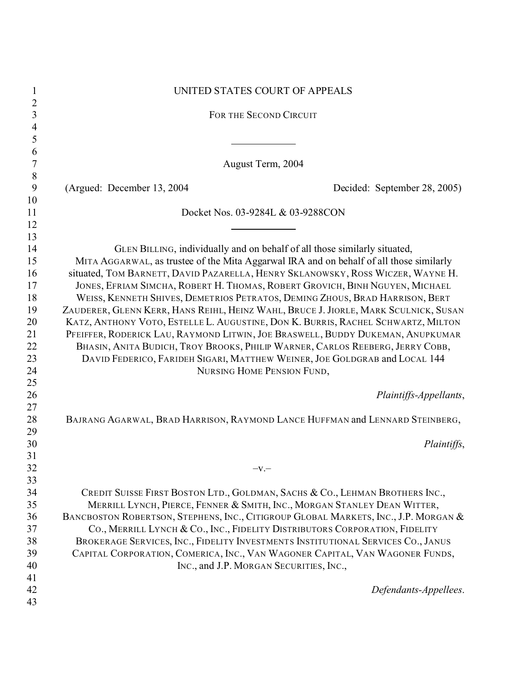| $\mathbf{1}$        | UNITED STATES COURT OF APPEALS                                                                                                                                       |
|---------------------|----------------------------------------------------------------------------------------------------------------------------------------------------------------------|
| $\overline{2}$<br>3 |                                                                                                                                                                      |
| 4                   | FOR THE SECOND CIRCUIT                                                                                                                                               |
| 5                   |                                                                                                                                                                      |
| 6                   |                                                                                                                                                                      |
| $\boldsymbol{7}$    | August Term, 2004                                                                                                                                                    |
| 8<br>9              | (Argued: December 13, 2004)<br>Decided: September 28, 2005)                                                                                                          |
| 10                  |                                                                                                                                                                      |
| 11                  | Docket Nos. 03-9284L & 03-9288CON                                                                                                                                    |
| 12                  |                                                                                                                                                                      |
| 13                  |                                                                                                                                                                      |
| 14<br>15            | GLEN BILLING, individually and on behalf of all those similarly situated,<br>MITA AGGARWAL, as trustee of the Mita Aggarwal IRA and on behalf of all those similarly |
| 16                  | situated, TOM BARNETT, DAVID PAZARELLA, HENRY SKLANOWSKY, ROSS WICZER, WAYNE H.                                                                                      |
| 17                  | JONES, EFRIAM SIMCHA, ROBERT H. THOMAS, ROBERT GROVICH, BINH NGUYEN, MICHAEL                                                                                         |
| 18                  | WEISS, KENNETH SHIVES, DEMETRIOS PETRATOS, DEMING ZHOUS, BRAD HARRISON, BERT                                                                                         |
| 19                  | ZAUDERER, GLENN KERR, HANS REIHL, HEINZ WAHL, BRUCE J. JIORLE, MARK SCULNICK, SUSAN                                                                                  |
| 20                  | KATZ, ANTHONY VOTO, ESTELLE L. AUGUSTINE, DON K. BURRIS, RACHEL SCHWARTZ, MILTON                                                                                     |
| 21                  | PFEIFFER, RODERICK LAU, RAYMOND LITWIN, JOE BRASWELL, BUDDY DUKEMAN, ANUPKUMAR                                                                                       |
| 22                  | BHASIN, ANITA BUDICH, TROY BROOKS, PHILIP WARNER, CARLOS REEBERG, JERRY COBB,                                                                                        |
| 23                  | DAVID FEDERICO, FARIDEH SIGARI, MATTHEW WEINER, JOE GOLDGRAB and LOCAL 144                                                                                           |
| 24                  | NURSING HOME PENSION FUND,                                                                                                                                           |
| 25<br>26<br>27      | Plaintiffs-Appellants,                                                                                                                                               |
| 28                  | BAJRANG AGARWAL, BRAD HARRISON, RAYMOND LANCE HUFFMAN and LENNARD STEINBERG,                                                                                         |
| 29<br>30            | Plaintiffs,                                                                                                                                                          |
| 31                  |                                                                                                                                                                      |
| 32                  | $-V -$                                                                                                                                                               |
| 33                  |                                                                                                                                                                      |
| 34<br>35            | CREDIT SUISSE FIRST BOSTON LTD., GOLDMAN, SACHS & CO., LEHMAN BROTHERS INC.,<br>MERRILL LYNCH, PIERCE, FENNER & SMITH, INC., MORGAN STANLEY DEAN WITTER,             |
| 36                  | BANCBOSTON ROBERTSON, STEPHENS, INC., CITIGROUP GLOBAL MARKETS, INC., J.P. MORGAN &                                                                                  |
| 37                  | CO., MERRILL LYNCH & CO., INC., FIDELITY DISTRIBUTORS CORPORATION, FIDELITY                                                                                          |
| 38                  | BROKERAGE SERVICES, INC., FIDELITY INVESTMENTS INSTITUTIONAL SERVICES CO., JANUS                                                                                     |
| 39                  | CAPITAL CORPORATION, COMERICA, INC., VAN WAGONER CAPITAL, VAN WAGONER FUNDS,                                                                                         |
| 40                  | INC., and J.P. MORGAN SECURITIES, INC.,                                                                                                                              |
| 41                  |                                                                                                                                                                      |
| 42<br>43            | Defendants-Appellees.                                                                                                                                                |
|                     |                                                                                                                                                                      |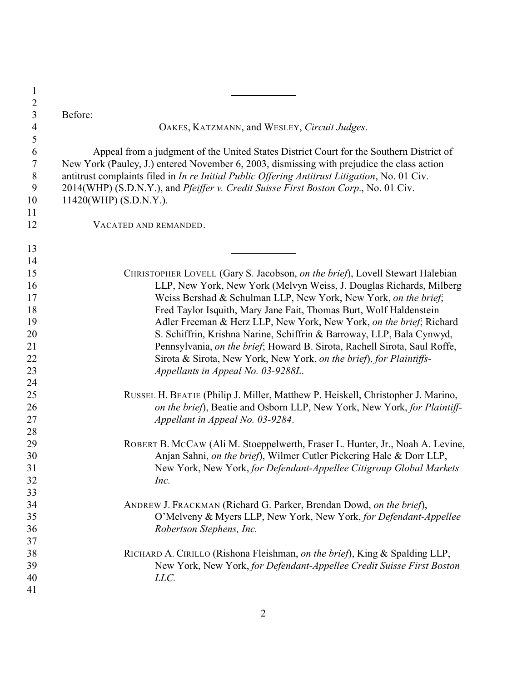| $\mathbf{1}$   |                                                                                               |
|----------------|-----------------------------------------------------------------------------------------------|
| $\sqrt{2}$     |                                                                                               |
| $\mathfrak{Z}$ | Before:                                                                                       |
| $\overline{4}$ | OAKES, KATZMANN, and WESLEY, Circuit Judges.                                                  |
| 5              |                                                                                               |
| 6              | Appeal from a judgment of the United States District Court for the Southern District of       |
| $\tau$         | New York (Pauley, J.) entered November 6, 2003, dismissing with prejudice the class action    |
| $8\,$          | antitrust complaints filed in In re Initial Public Offering Antitrust Litigation, No. 01 Civ. |
| 9              | 2014(WHP) (S.D.N.Y.), and Pfeiffer v. Credit Suisse First Boston Corp., No. 01 Civ.           |
| 10             | 11420(WHP) (S.D.N.Y.).                                                                        |
| 11             |                                                                                               |
| 12             | VACATED AND REMANDED.                                                                         |
| 13             |                                                                                               |
| 14             |                                                                                               |
| 15             | CHRISTOPHER LOVELL (Gary S. Jacobson, on the brief), Lovell Stewart Halebian                  |
| 16             | LLP, New York, New York (Melvyn Weiss, J. Douglas Richards, Milberg                           |
| 17             | Weiss Bershad & Schulman LLP, New York, New York, on the brief;                               |
| 18             | Fred Taylor Isquith, Mary Jane Fait, Thomas Burt, Wolf Haldenstein                            |
| 19             | Adler Freeman & Herz LLP, New York, New York, on the brief; Richard                           |
| 20             | S. Schiffrin, Krishna Narine, Schiffrin & Barroway, LLP, Bala Cynwyd,                         |
| 21             | Pennsylvania, on the brief; Howard B. Sirota, Rachell Sirota, Saul Roffe,                     |
| 22             | Sirota & Sirota, New York, New York, on the brief), for Plaintiffs-                           |
| 23             | Appellants in Appeal No. 03-9288L.                                                            |
| 24             |                                                                                               |
| 25             | RUSSEL H. BEATIE (Philip J. Miller, Matthew P. Heiskell, Christopher J. Marino,               |
| 26             | on the brief), Beatie and Osborn LLP, New York, New York, for Plaintiff-                      |
| 27             | Appellant in Appeal No. 03-9284.                                                              |
| 28             |                                                                                               |
| 29             | ROBERT B. MCCAW (Ali M. Stoeppelwerth, Fraser L. Hunter, Jr., Noah A. Levine,                 |
| 30             | Anjan Sahni, on the brief), Wilmer Cutler Pickering Hale & Dorr LLP,                          |
| 31             | New York, New York, for Defendant-Appellee Citigroup Global Markets                           |
| 32             | Inc.                                                                                          |
| 33             |                                                                                               |
| 34             | ANDREW J. FRACKMAN (Richard G. Parker, Brendan Dowd, on the brief),                           |
| 35             | O'Melveny & Myers LLP, New York, New York, for Defendant-Appellee                             |
| 36             | Robertson Stephens, Inc.                                                                      |
| 37             |                                                                                               |
| 38             | RICHARD A. CIRILLO (Rishona Fleishman, on the brief), King & Spalding LLP,                    |
| 39             | New York, New York, for Defendant-Appellee Credit Suisse First Boston                         |
| 40             | LLC.                                                                                          |
| 41             |                                                                                               |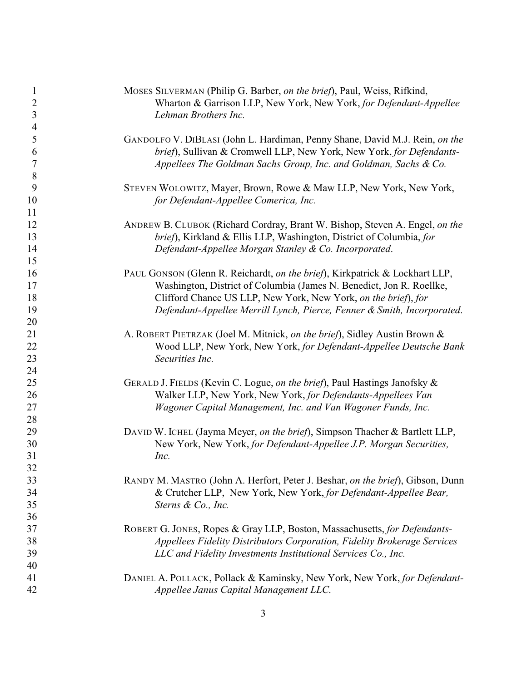| 1              | MOSES SILVERMAN (Philip G. Barber, on the brief), Paul, Weiss, Rifkind,        |
|----------------|--------------------------------------------------------------------------------|
| $\overline{c}$ | Wharton & Garrison LLP, New York, New York, for Defendant-Appellee             |
| $\mathfrak{Z}$ | Lehman Brothers Inc.                                                           |
| $\overline{4}$ |                                                                                |
| 5              | GANDOLFO V. DIBLASI (John L. Hardiman, Penny Shane, David M.J. Rein, on the    |
| 6              | brief), Sullivan & Cromwell LLP, New York, New York, for Defendants-           |
| 7              | Appellees The Goldman Sachs Group, Inc. and Goldman, Sachs & Co.               |
| 8              |                                                                                |
| 9              | STEVEN WOLOWITZ, Mayer, Brown, Rowe & Maw LLP, New York, New York,             |
| 10             | for Defendant-Appellee Comerica, Inc.                                          |
| 11             |                                                                                |
| 12             | ANDREW B. CLUBOK (Richard Cordray, Brant W. Bishop, Steven A. Engel, on the    |
| 13             | brief), Kirkland & Ellis LLP, Washington, District of Columbia, for            |
| 14             | Defendant-Appellee Morgan Stanley & Co. Incorporated.                          |
| 15             |                                                                                |
| 16             | PAUL GONSON (Glenn R. Reichardt, on the brief), Kirkpatrick & Lockhart LLP,    |
| 17             | Washington, District of Columbia (James N. Benedict, Jon R. Roellke,           |
| 18             | Clifford Chance US LLP, New York, New York, on the brief), for                 |
| 19             | Defendant-Appellee Merrill Lynch, Pierce, Fenner & Smith, Incorporated.        |
| 20             |                                                                                |
| 21             | A. ROBERT PIETRZAK (Joel M. Mitnick, on the brief), Sidley Austin Brown &      |
| 22             | Wood LLP, New York, New York, for Defendant-Appellee Deutsche Bank             |
| 23             | Securities Inc.                                                                |
| 24             |                                                                                |
| 25             | GERALD J. FIELDS (Kevin C. Logue, on the brief), Paul Hastings Janofsky &      |
| 26             | Walker LLP, New York, New York, for Defendants-Appellees Van                   |
| 27             | Wagoner Capital Management, Inc. and Van Wagoner Funds, Inc.                   |
| 28             |                                                                                |
| 29             | DAVID W. ICHEL (Jayma Meyer, on the brief), Simpson Thacher & Bartlett LLP,    |
| 30             | New York, New York, for Defendant-Appellee J.P. Morgan Securities,             |
| 31             | Inc.                                                                           |
| 32             |                                                                                |
| 33             | RANDY M. MASTRO (John A. Herfort, Peter J. Beshar, on the brief), Gibson, Dunn |
| 34             | & Crutcher LLP, New York, New York, for Defendant-Appellee Bear,               |
| 35             | Sterns & Co., Inc.                                                             |
| 36             |                                                                                |
| 37             | ROBERT G. JONES, Ropes & Gray LLP, Boston, Massachusetts, for Defendants-      |
| 38             | Appellees Fidelity Distributors Corporation, Fidelity Brokerage Services       |
| 39             | LLC and Fidelity Investments Institutional Services Co., Inc.                  |
| 40             |                                                                                |
| 41             | DANIEL A. POLLACK, Pollack & Kaminsky, New York, New York, for Defendant-      |
| 42             | Appellee Janus Capital Management LLC.                                         |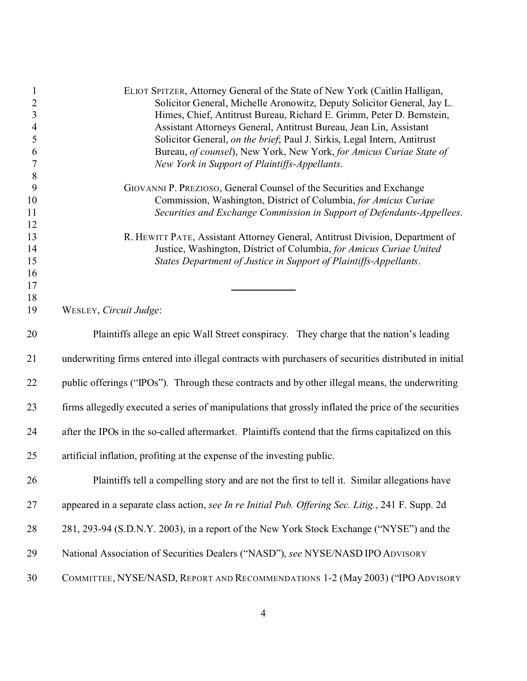| $\mathbf{1}$             | ELIOT SPITZER, Attorney General of the State of New York (Caitlin Halligan,                                                              |
|--------------------------|------------------------------------------------------------------------------------------------------------------------------------------|
| $\sqrt{2}$               | Solicitor General, Michelle Aronowitz, Deputy Solicitor General, Jay L.                                                                  |
| $\overline{3}$           | Himes, Chief, Antitrust Bureau, Richard E. Grimm, Peter D. Bernstein,                                                                    |
| $\overline{\mathcal{A}}$ | Assistant Attorneys General, Antitrust Bureau, Jean Lin, Assistant                                                                       |
| 5                        | Solicitor General, on the brief; Paul J. Sirkis, Legal Intern, Antitrust                                                                 |
| 6                        | Bureau, of counsel), New York, New York, for Amicus Curiae State of                                                                      |
| $\boldsymbol{7}$         | New York in Support of Plaintiffs-Appellants.                                                                                            |
| $\,8\,$                  |                                                                                                                                          |
| 9                        | GIOVANNI P. PREZIOSO, General Counsel of the Securities and Exchange                                                                     |
| 10                       | Commission, Washington, District of Columbia, for Amicus Curiae                                                                          |
| 11                       | Securities and Exchange Commission in Support of Defendants-Appellees.                                                                   |
| 12                       |                                                                                                                                          |
| 13                       | R. HEWITT PATE, Assistant Attorney General, Antitrust Division, Department of                                                            |
| 14<br>15                 | Justice, Washington, District of Columbia, for Amicus Curiae United<br>States Department of Justice in Support of Plaintiffs-Appellants. |
| 16                       |                                                                                                                                          |
| 17                       |                                                                                                                                          |
| 18                       |                                                                                                                                          |
| 19                       | WESLEY, Circuit Judge:                                                                                                                   |
|                          |                                                                                                                                          |
| 20                       | Plaintiffs allege an epic Wall Street conspiracy. They charge that the nation's leading                                                  |
| 21                       | underwriting firms entered into illegal contracts with purchasers of securities distributed in initial                                   |
| 22                       | public offerings ("IPOs"). Through these contracts and by other illegal means, the underwriting                                          |
| 23                       | firms allegedly executed a series of manipulations that grossly inflated the price of the securities                                     |
| 24                       | after the IPOs in the so-called aftermarket. Plaintiffs contend that the firms capitalized on this                                       |
| 25                       | artificial inflation, profiting at the expense of the investing public.                                                                  |
| 26                       | Plaintiffs tell a compelling story and are not the first to tell it. Similar allegations have                                            |
| 27                       | appeared in a separate class action, see In re Initial Pub. Offering Sec. Litig., 241 F. Supp. 2d                                        |
|                          |                                                                                                                                          |
| 28                       | 281, 293-94 (S.D.N.Y. 2003), in a report of the New York Stock Exchange ("NYSE") and the                                                 |
| 29                       | National Association of Securities Dealers ("NASD"), see NYSE/NASD IPO ADVISORY                                                          |
| 30                       | COMMITTEE, NYSE/NASD, REPORT AND RECOMMENDATIONS 1-2 (May 2003) ("IPO ADVISORY                                                           |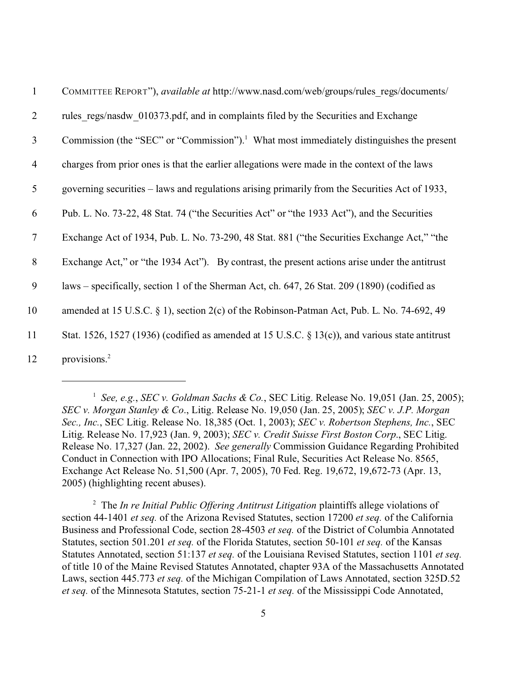| $\mathbf{1}$   | COMMITTEE REPORT"), available at http://www.nasd.com/web/groups/rules_regs/documents/                |
|----------------|------------------------------------------------------------------------------------------------------|
| $\overline{2}$ | rules regs/nasdw 010373.pdf, and in complaints filed by the Securities and Exchange                  |
| $\mathfrak{Z}$ | Commission (the "SEC" or "Commission"). <sup>1</sup> What most immediately distinguishes the present |
| $\overline{4}$ | charges from prior ones is that the earlier allegations were made in the context of the laws         |
| 5              | governing securities – laws and regulations arising primarily from the Securities Act of 1933,       |
| 6              | Pub. L. No. 73-22, 48 Stat. 74 ("the Securities Act" or "the 1933 Act"), and the Securities          |
| $\tau$         | Exchange Act of 1934, Pub. L. No. 73-290, 48 Stat. 881 ("the Securities Exchange Act," "the          |
| 8              | Exchange Act," or "the 1934 Act"). By contrast, the present actions arise under the antitrust        |
| 9              | laws – specifically, section 1 of the Sherman Act, ch. 647, 26 Stat. 209 (1890) (codified as         |
| 10             | amended at 15 U.S.C. § 1), section 2(c) of the Robinson-Patman Act, Pub. L. No. 74-692, 49           |
| 11             | Stat. 1526, 1527 (1936) (codified as amended at 15 U.S.C. $\S$ 13(c)), and various state antitrust   |
| 12             | provisions. <sup>2</sup>                                                                             |

1 *See, e.g.*, *SEC v. Goldman Sachs & Co.*, SEC Litig. Release No. 19,051 (Jan. 25, 2005); *SEC v. Morgan Stanley & Co*., Litig. Release No. 19,050 (Jan. 25, 2005); *SEC v. J.P. Morgan Sec., Inc.*, SEC Litig. Release No. 18,385 (Oct. 1, 2003); *SEC v. Robertson Stephens, Inc.*, SEC Litig. Release No. 17,923 (Jan. 9, 2003); *SEC v. Credit Suisse First Boston Corp*., SEC Litig. Release No. 17,327 (Jan. 22, 2002). *See generally* Commission Guidance Regarding Prohibited Conduct in Connection with IPO Allocations; Final Rule, Securities Act Release No. 8565, Exchange Act Release No. 51,500 (Apr. 7, 2005), 70 Fed. Reg. 19,672, 19,672-73 (Apr. 13, 2005) (highlighting recent abuses).

<sup>2</sup> The *In re Initial Public Offering Antitrust Litigation* plaintiffs allege violations of section 44-1401 *et seq.* of the Arizona Revised Statutes, section 17200 *et seq.* of the California Business and Professional Code, section 28-4503 *et seq.* of the District of Columbia Annotated Statutes, section 501.201 *et seq.* of the Florida Statutes, section 50-101 *et seq.* of the Kansas Statutes Annotated, section 51:137 *et seq.* of the Louisiana Revised Statutes, section 1101 *et seq.* of title 10 of the Maine Revised Statutes Annotated, chapter 93A of the Massachusetts Annotated Laws, section 445.773 *et seq.* of the Michigan Compilation of Laws Annotated, section 325D.52 *et seq.* of the Minnesota Statutes, section 75-21-1 *et seq.* of the Mississippi Code Annotated,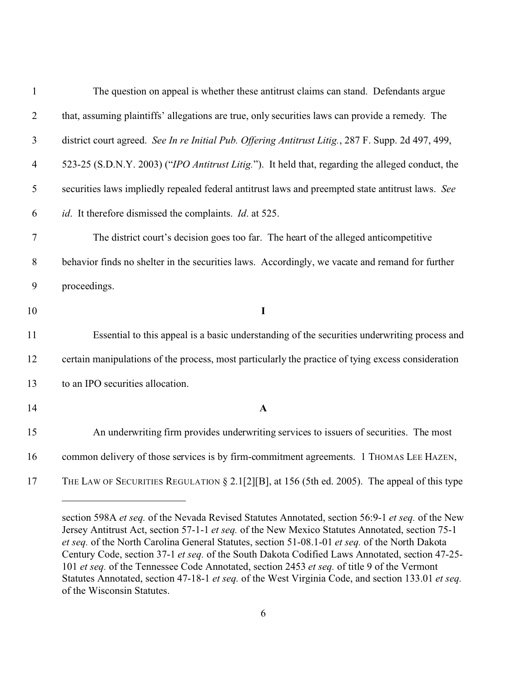| $\mathbf{1}$   | The question on appeal is whether these antitrust claims can stand. Defendants argue               |
|----------------|----------------------------------------------------------------------------------------------------|
| $\overline{2}$ | that, assuming plaintiffs' allegations are true, only securities laws can provide a remedy. The    |
| 3              | district court agreed. See In re Initial Pub. Offering Antitrust Litig., 287 F. Supp. 2d 497, 499, |
| $\overline{4}$ | 523-25 (S.D.N.Y. 2003) ("IPO Antitrust Litig."). It held that, regarding the alleged conduct, the  |
| 5              | securities laws impliedly repealed federal antitrust laws and preempted state antitrust laws. See  |
| 6              | id. It therefore dismissed the complaints. Id. at 525.                                             |
| $\tau$         | The district court's decision goes too far. The heart of the alleged anticompetitive               |
| $8\,$          | behavior finds no shelter in the securities laws. Accordingly, we vacate and remand for further    |
| 9              | proceedings.                                                                                       |
| 10             | $\mathbf I$                                                                                        |
| 11             | Essential to this appeal is a basic understanding of the securities underwriting process and       |
| 12             | certain manipulations of the process, most particularly the practice of tying excess consideration |
| 13             | to an IPO securities allocation.                                                                   |
| 14             | $\mathbf{A}$                                                                                       |
| 15             | An underwriting firm provides underwriting services to issuers of securities. The most             |
| 16             | common delivery of those services is by firm-commitment agreements. 1 THOMAS LEE HAZEN,            |
| 17             | THE LAW OF SECURITIES REGULATION § 2.1[2][B], at 156 (5th ed. 2005). The appeal of this type       |

section 598A *et seq.* of the Nevada Revised Statutes Annotated, section 56:9-1 *et seq.* of the New Jersey Antitrust Act, section 57-1-1 *et seq.* of the New Mexico Statutes Annotated, section 75-1 *et seq.* of the North Carolina General Statutes, section 51-08.1-01 *et seq.* of the North Dakota Century Code, section 37-1 *et seq.* of the South Dakota Codified Laws Annotated, section 47-25- *et seq.* of the Tennessee Code Annotated, section 2453 *et seq.* of title 9 of the Vermont Statutes Annotated, section 47-18-1 *et seq.* of the West Virginia Code, and section 133.01 *et seq.* of the Wisconsin Statutes.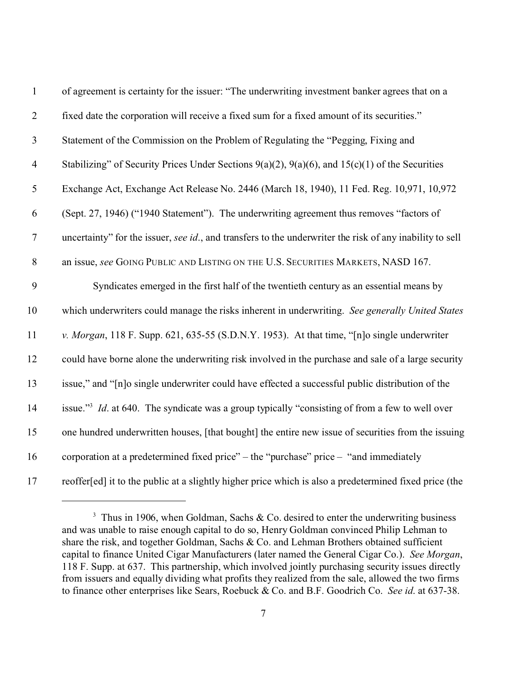| $\mathbf{1}$     | of agreement is certainty for the issuer: "The underwriting investment banker agrees that on a              |
|------------------|-------------------------------------------------------------------------------------------------------------|
| $\overline{2}$   | fixed date the corporation will receive a fixed sum for a fixed amount of its securities."                  |
| $\mathfrak{Z}$   | Statement of the Commission on the Problem of Regulating the "Pegging, Fixing and                           |
| $\overline{4}$   | Stabilizing" of Security Prices Under Sections $9(a)(2)$ , $9(a)(6)$ , and $15(c)(1)$ of the Securities     |
| $\mathfrak{S}$   | Exchange Act, Exchange Act Release No. 2446 (March 18, 1940), 11 Fed. Reg. 10,971, 10,972                   |
| 6                | (Sept. 27, 1946) ("1940 Statement"). The underwriting agreement thus removes "factors of                    |
| $\boldsymbol{7}$ | uncertainty" for the issuer, see id., and transfers to the underwriter the risk of any inability to sell    |
| $\, 8$           | an issue, see GOING PUBLIC AND LISTING ON THE U.S. SECURITIES MARKETS, NASD 167.                            |
| 9                | Syndicates emerged in the first half of the twentieth century as an essential means by                      |
| 10               | which underwriters could manage the risks inherent in underwriting. See generally United States             |
| 11               | v. Morgan, 118 F. Supp. 621, 635-55 (S.D.N.Y. 1953). At that time, "[n]o single underwriter                 |
| 12               | could have borne alone the underwriting risk involved in the purchase and sale of a large security          |
| 13               | issue," and "[n]o single underwriter could have effected a successful public distribution of the            |
| 14               | issue." <sup>3</sup> Id. at 640. The syndicate was a group typically "consisting of from a few to well over |
| 15               | one hundred underwritten houses, [that bought] the entire new issue of securities from the issuing          |
| 16               | corporation at a predetermined fixed price" – the "purchase" price $-$ "and immediately                     |
| 17               | reoffer[ed] it to the public at a slightly higher price which is also a predetermined fixed price (the      |

<sup>&</sup>lt;sup>3</sup> Thus in 1906, when Goldman, Sachs & Co. desired to enter the underwriting business and was unable to raise enough capital to do so, Henry Goldman convinced Philip Lehman to share the risk, and together Goldman, Sachs & Co. and Lehman Brothers obtained sufficient capital to finance United Cigar Manufacturers (later named the General Cigar Co.). *See Morgan*, 118 F. Supp. at 637. This partnership, which involved jointly purchasing security issues directly from issuers and equally dividing what profits they realized from the sale, allowed the two firms to finance other enterprises like Sears, Roebuck & Co. and B.F. Goodrich Co. *See id*. at 637-38.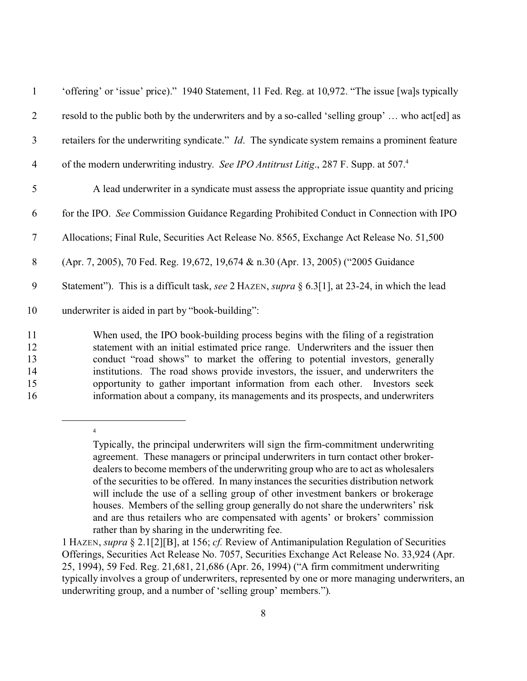| $\mathbf{1}$   | 'offering' or 'issue' price)." 1940 Statement, 11 Fed. Reg. at 10,972. "The issue [wa]s typically       |
|----------------|---------------------------------------------------------------------------------------------------------|
| 2              | resold to the public both by the underwriters and by a so-called 'selling group'  who act [ed] as       |
| 3              | retailers for the underwriting syndicate." <i>Id</i> . The syndicate system remains a prominent feature |
| $\overline{4}$ | of the modern underwriting industry. See IPO Antitrust Litig., 287 F. Supp. at 507.4                    |
| 5              | A lead underwriter in a syndicate must assess the appropriate issue quantity and pricing                |
| 6              | for the IPO. See Commission Guidance Regarding Prohibited Conduct in Connection with IPO                |
| $\tau$         | Allocations; Final Rule, Securities Act Release No. 8565, Exchange Act Release No. 51,500               |
| 8              | (Apr. 7, 2005), 70 Fed. Reg. 19,672, 19,674 & n.30 (Apr. 13, 2005) ("2005 Guidance                      |
| 9              | Statement"). This is a difficult task, see 2 HAZEN, supra § 6.3[1], at 23-24, in which the lead         |
| 10             | underwriter is aided in part by "book-building":                                                        |
| 11             | When used, the IPO book-building process begins with the filing of a registration                       |
| 12             | statement with an initial estimated price range. Underwriters and the issuer then                       |
| 13             | conduct "road shows" to market the offering to potential investors, generally                           |
| 14             | institutions. The road shows provide investors, the issuer, and underwriters the                        |

15 opportunity to gather important information from each other. Investors seek 16 information about a company, its managements and its prospects, and underwriters

Typically, the principal underwriters will sign the firm-commitment underwriting agreement. These managers or principal underwriters in turn contact other brokerdealers to become members of the underwriting group who are to act as wholesalers of the securities to be offered. In many instances the securities distribution network will include the use of a selling group of other investment bankers or brokerage houses. Members of the selling group generally do not share the underwriters' risk and are thus retailers who are compensated with agents' or brokers' commission rather than by sharing in the underwriting fee.

<sup>1</sup> HAZEN, *supra* § 2.1[2][B], at 156; *cf.* Review of Antimanipulation Regulation of Securities Offerings, Securities Act Release No. 7057, Securities Exchange Act Release No. 33,924 (Apr. 25, 1994), 59 Fed. Reg. 21,681, 21,686 (Apr. 26, 1994) ("A firm commitment underwriting typically involves a group of underwriters, represented by one or more managing underwriters, an underwriting group, and a number of 'selling group' members.").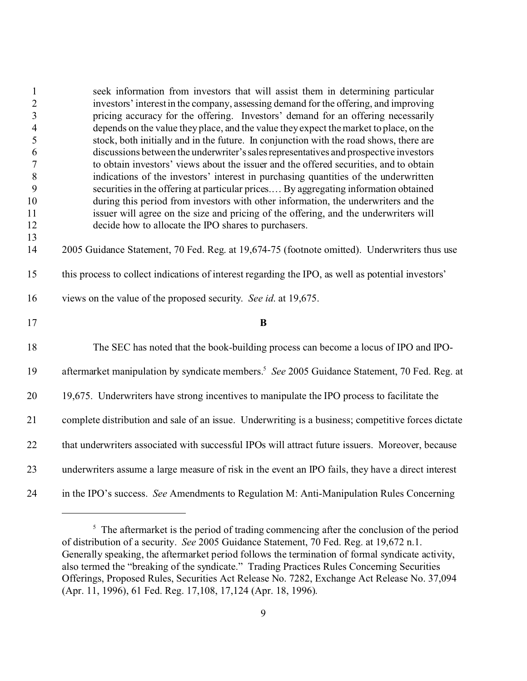| $\mathbf{1}$            | seek information from investors that will assist them in determining particular                                                                                                |
|-------------------------|--------------------------------------------------------------------------------------------------------------------------------------------------------------------------------|
| $\overline{c}$          | investors' interest in the company, assessing demand for the offering, and improving                                                                                           |
| $\overline{\mathbf{3}}$ | pricing accuracy for the offering. Investors' demand for an offering necessarily                                                                                               |
| $\overline{4}$          | depends on the value they place, and the value they expect the market to place, on the                                                                                         |
| 5                       | stock, both initially and in the future. In conjunction with the road shows, there are                                                                                         |
| 6<br>$\sqrt{ }$         | discussions between the underwriter's sales representatives and prospective investors<br>to obtain investors' views about the issuer and the offered securities, and to obtain |
| 8                       | indications of the investors' interest in purchasing quantities of the underwritten                                                                                            |
| 9                       | securities in the offering at particular prices By aggregating information obtained                                                                                            |
| 10                      | during this period from investors with other information, the underwriters and the                                                                                             |
| 11                      | issuer will agree on the size and pricing of the offering, and the underwriters will                                                                                           |
| 12                      | decide how to allocate the IPO shares to purchasers.                                                                                                                           |
| 13                      |                                                                                                                                                                                |
| 14                      | 2005 Guidance Statement, 70 Fed. Reg. at 19,674-75 (footnote omitted). Underwriters thus use                                                                                   |
| 15                      | this process to collect indications of interest regarding the IPO, as well as potential investors'                                                                             |
| 16                      | views on the value of the proposed security. See id. at 19,675.                                                                                                                |
| 17                      | B                                                                                                                                                                              |
| 18                      | The SEC has noted that the book-building process can become a locus of IPO and IPO-                                                                                            |
| 19                      | aftermarket manipulation by syndicate members. <sup>5</sup> See 2005 Guidance Statement, 70 Fed. Reg. at                                                                       |
| 20                      | 19,675. Underwriters have strong incentives to manipulate the IPO process to facilitate the                                                                                    |
| 21                      | complete distribution and sale of an issue. Underwriting is a business; competitive forces dictate                                                                             |
| 22                      | that underwriters associated with successful IPOs will attract future issuers. Moreover, because                                                                               |
| 23                      | underwriters assume a large measure of risk in the event an IPO fails, they have a direct interest                                                                             |
| 24                      | in the IPO's success. See Amendments to Regulation M: Anti-Manipulation Rules Concerning                                                                                       |

<sup>&</sup>lt;sup>5</sup> The aftermarket is the period of trading commencing after the conclusion of the period of distribution of a security. *See* 2005 Guidance Statement, 70 Fed. Reg. at 19,672 n.1. Generally speaking, the aftermarket period follows the termination of formal syndicate activity, also termed the "breaking of the syndicate." Trading Practices Rules Concerning Securities Offerings, Proposed Rules, Securities Act Release No. 7282, Exchange Act Release No. 37,094 (Apr. 11, 1996), 61 Fed. Reg. 17,108, 17,124 (Apr. 18, 1996).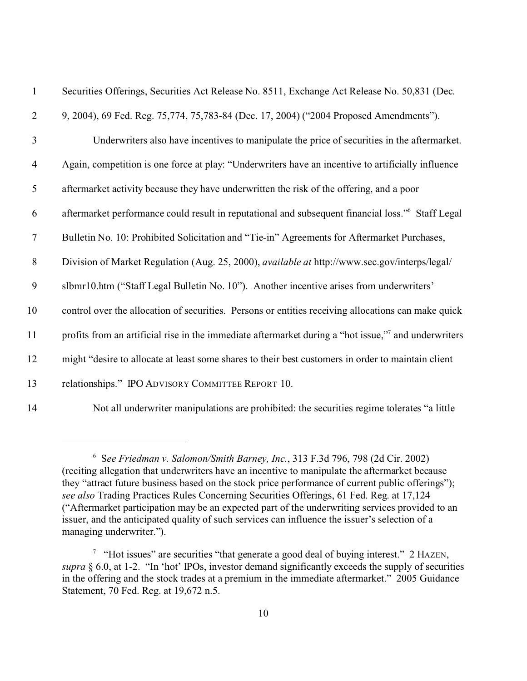| $\mathbf{1}$     | Securities Offerings, Securities Act Release No. 8511, Exchange Act Release No. 50,831 (Dec.         |
|------------------|------------------------------------------------------------------------------------------------------|
| $\overline{2}$   | 9, 2004), 69 Fed. Reg. 75, 774, 75, 783-84 (Dec. 17, 2004) ("2004 Proposed Amendments").             |
| 3                | Underwriters also have incentives to manipulate the price of securities in the aftermarket.          |
| $\overline{4}$   | Again, competition is one force at play: "Underwriters have an incentive to artificially influence   |
| 5                | aftermarket activity because they have underwritten the risk of the offering, and a poor             |
| 6                | aftermarket performance could result in reputational and subsequent financial loss." Staff Legal     |
| $\tau$           | Bulletin No. 10: Prohibited Solicitation and "Tie-in" Agreements for Aftermarket Purchases,          |
| $8\,$            | Division of Market Regulation (Aug. 25, 2000), <i>available at http://www.sec.gov/interps/legal/</i> |
| $\boldsymbol{9}$ | slbmr10.htm ("Staff Legal Bulletin No. 10"). Another incentive arises from underwriters'             |
| 10               | control over the allocation of securities. Persons or entities receiving allocations can make quick  |
| 11               | profits from an artificial rise in the immediate aftermarket during a "hot issue," and underwriters  |
| 12               | might "desire to allocate at least some shares to their best customers in order to maintain client   |
| 13               | relationships." IPO ADVISORY COMMITTEE REPORT 10.                                                    |
| 14               | Not all underwriter manipulations are prohibited: the securities regime tolerates "a little          |

<sup>6</sup> S*ee Friedman v. Salomon/Smith Barney, Inc.*, 313 F.3d 796, 798 (2d Cir. 2002) (reciting allegation that underwriters have an incentive to manipulate the aftermarket because they "attract future business based on the stock price performance of current public offerings"); *see also* Trading Practices Rules Concerning Securities Offerings, 61 Fed. Reg. at 17,124 ("Aftermarket participation may be an expected part of the underwriting services provided to an issuer, and the anticipated quality of such services can influence the issuer's selection of a managing underwriter.").

<sup>&</sup>lt;sup>7</sup> "Hot issues" are securities "that generate a good deal of buying interest." 2 HAZEN, *supra* § 6.0, at 1-2. "In 'hot' IPOs, investor demand significantly exceeds the supply of securities in the offering and the stock trades at a premium in the immediate aftermarket." 2005 Guidance Statement, 70 Fed. Reg. at 19,672 n.5.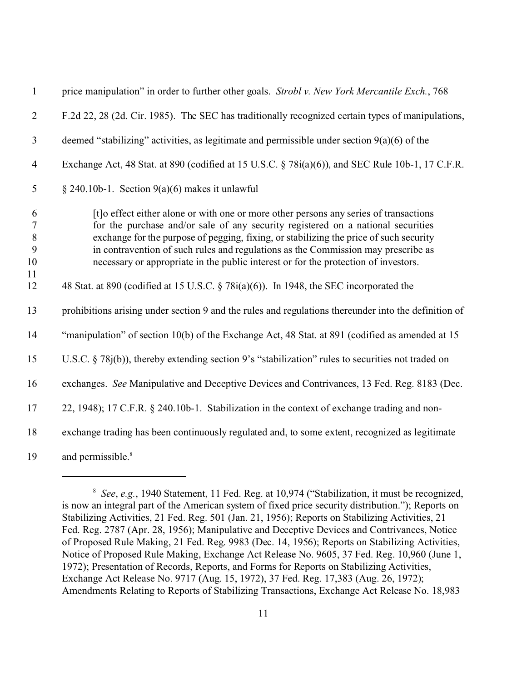| $\mathbf{1}$                      | price manipulation" in order to further other goals. Strobl v. New York Mercantile Exch., 768                                                                                                                                                                                                                                                                                                                                                    |
|-----------------------------------|--------------------------------------------------------------------------------------------------------------------------------------------------------------------------------------------------------------------------------------------------------------------------------------------------------------------------------------------------------------------------------------------------------------------------------------------------|
| $\mathfrak{2}$                    | F.2d 22, 28 (2d. Cir. 1985). The SEC has traditionally recognized certain types of manipulations,                                                                                                                                                                                                                                                                                                                                                |
| 3                                 | deemed "stabilizing" activities, as legitimate and permissible under section $9(a)(6)$ of the                                                                                                                                                                                                                                                                                                                                                    |
| $\overline{4}$                    | Exchange Act, 48 Stat. at 890 (codified at 15 U.S.C. § 78i(a)(6)), and SEC Rule 10b-1, 17 C.F.R.                                                                                                                                                                                                                                                                                                                                                 |
| 5                                 | § 240.10b-1. Section $9(a)(6)$ makes it unlawful                                                                                                                                                                                                                                                                                                                                                                                                 |
| 6<br>$\tau$<br>$\,8\,$<br>9<br>10 | [t] o effect either alone or with one or more other persons any series of transactions<br>for the purchase and/or sale of any security registered on a national securities<br>exchange for the purpose of pegging, fixing, or stabilizing the price of such security<br>in contravention of such rules and regulations as the Commission may prescribe as<br>necessary or appropriate in the public interest or for the protection of investors. |
| 11<br>12                          | 48 Stat. at 890 (codified at 15 U.S.C. $\S$ 78 $i$ (a)(6)). In 1948, the SEC incorporated the                                                                                                                                                                                                                                                                                                                                                    |
| 13                                | prohibitions arising under section 9 and the rules and regulations thereunder into the definition of                                                                                                                                                                                                                                                                                                                                             |
| 14                                | "manipulation" of section 10(b) of the Exchange Act, 48 Stat. at 891 (codified as amended at 15                                                                                                                                                                                                                                                                                                                                                  |
| 15                                | U.S.C. $\S$ 78 $j(b)$ ), thereby extending section 9's "stabilization" rules to securities not traded on                                                                                                                                                                                                                                                                                                                                         |
| 16                                | exchanges. See Manipulative and Deceptive Devices and Contrivances, 13 Fed. Reg. 8183 (Dec.                                                                                                                                                                                                                                                                                                                                                      |
| 17                                | 22, 1948); 17 C.F.R. § 240.10b-1. Stabilization in the context of exchange trading and non-                                                                                                                                                                                                                                                                                                                                                      |
| 18                                | exchange trading has been continuously regulated and, to some extent, recognized as legitimate                                                                                                                                                                                                                                                                                                                                                   |
| 19                                | and permissible. <sup>8</sup>                                                                                                                                                                                                                                                                                                                                                                                                                    |

 *See*, *e.g.*, 1940 Statement, 11 Fed. Reg. at 10,974 ("Stabilization, it must be recognized, is now an integral part of the American system of fixed price security distribution."); Reports on Stabilizing Activities, 21 Fed. Reg. 501 (Jan. 21, 1956); Reports on Stabilizing Activities, 21 Fed. Reg. 2787 (Apr. 28, 1956); Manipulative and Deceptive Devices and Contrivances, Notice of Proposed Rule Making, 21 Fed. Reg. 9983 (Dec. 14, 1956); Reports on Stabilizing Activities, Notice of Proposed Rule Making, Exchange Act Release No. 9605, 37 Fed. Reg. 10,960 (June 1, 1972); Presentation of Records, Reports, and Forms for Reports on Stabilizing Activities, Exchange Act Release No. 9717 (Aug. 15, 1972), 37 Fed. Reg. 17,383 (Aug. 26, 1972); Amendments Relating to Reports of Stabilizing Transactions, Exchange Act Release No. 18,983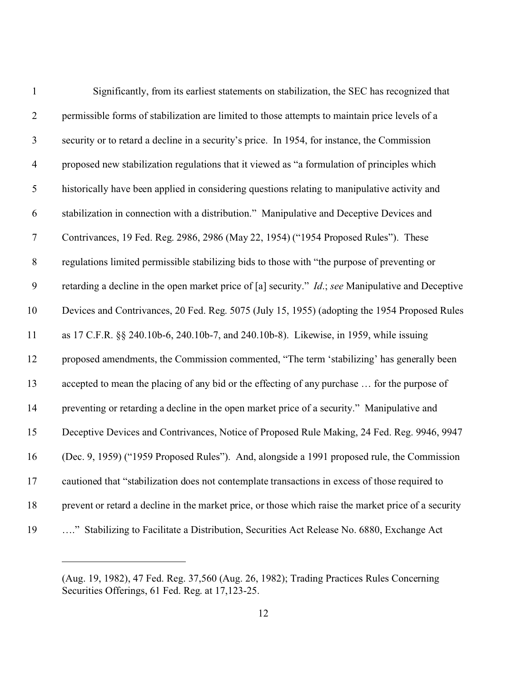| $\mathbf{1}$   | Significantly, from its earliest statements on stabilization, the SEC has recognized that                  |
|----------------|------------------------------------------------------------------------------------------------------------|
| $\overline{2}$ | permissible forms of stabilization are limited to those attempts to maintain price levels of a             |
| $\mathfrak{Z}$ | security or to retard a decline in a security's price. In 1954, for instance, the Commission               |
| $\overline{4}$ | proposed new stabilization regulations that it viewed as "a formulation of principles which                |
| 5              | historically have been applied in considering questions relating to manipulative activity and              |
| 6              | stabilization in connection with a distribution." Manipulative and Deceptive Devices and                   |
| $\overline{7}$ | Contrivances, 19 Fed. Reg. 2986, 2986 (May 22, 1954) ("1954 Proposed Rules"). These                        |
| $8\,$          | regulations limited permissible stabilizing bids to those with "the purpose of preventing or               |
| 9              | retarding a decline in the open market price of [a] security." <i>Id.</i> ; see Manipulative and Deceptive |
| 10             | Devices and Contrivances, 20 Fed. Reg. 5075 (July 15, 1955) (adopting the 1954 Proposed Rules              |
| 11             | as 17 C.F.R. §§ 240.10b-6, 240.10b-7, and 240.10b-8). Likewise, in 1959, while issuing                     |
| 12             | proposed amendments, the Commission commented, "The term 'stabilizing' has generally been                  |
| 13             | accepted to mean the placing of any bid or the effecting of any purchase  for the purpose of               |
| 14             | preventing or retarding a decline in the open market price of a security." Manipulative and                |
| 15             | Deceptive Devices and Contrivances, Notice of Proposed Rule Making, 24 Fed. Reg. 9946, 9947                |
| 16             | (Dec. 9, 1959) ("1959 Proposed Rules"). And, alongside a 1991 proposed rule, the Commission                |
| 17             | cautioned that "stabilization does not contemplate transactions in excess of those required to             |
| 18             | prevent or retard a decline in the market price, or those which raise the market price of a security       |
| 19             | " Stabilizing to Facilitate a Distribution, Securities Act Release No. 6880, Exchange Act                  |

<sup>(</sup>Aug. 19, 1982), 47 Fed. Reg. 37,560 (Aug. 26, 1982); Trading Practices Rules Concerning Securities Offerings, 61 Fed. Reg. at 17,123-25.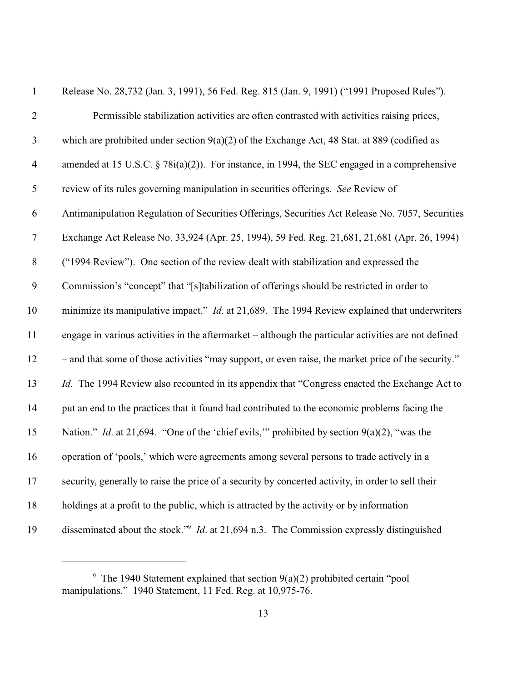| $\mathbf{1}$   | Release No. 28,732 (Jan. 3, 1991), 56 Fed. Reg. 815 (Jan. 9, 1991) ("1991 Proposed Rules").                  |
|----------------|--------------------------------------------------------------------------------------------------------------|
| $\mathbf{2}$   | Permissible stabilization activities are often contrasted with activities raising prices,                    |
| $\mathfrak{Z}$ | which are prohibited under section $9(a)(2)$ of the Exchange Act, 48 Stat. at 889 (codified as               |
| $\overline{4}$ | amended at 15 U.S.C. $\S$ 78 $i$ (a)(2)). For instance, in 1994, the SEC engaged in a comprehensive          |
| 5              | review of its rules governing manipulation in securities offerings. See Review of                            |
| 6              | Antimanipulation Regulation of Securities Offerings, Securities Act Release No. 7057, Securities             |
| $\tau$         | Exchange Act Release No. 33,924 (Apr. 25, 1994), 59 Fed. Reg. 21,681, 21,681 (Apr. 26, 1994)                 |
| $8\,$          | ("1994 Review"). One section of the review dealt with stabilization and expressed the                        |
| 9              | Commission's "concept" that "[s]tabilization of offerings should be restricted in order to                   |
| 10             | minimize its manipulative impact." <i>Id.</i> at 21,689. The 1994 Review explained that underwriters         |
| 11             | engage in various activities in the aftermarket – although the particular activities are not defined         |
| 12             | - and that some of those activities "may support, or even raise, the market price of the security."          |
| 13             | <i>Id.</i> The 1994 Review also recounted in its appendix that "Congress enacted the Exchange Act to         |
| 14             | put an end to the practices that it found had contributed to the economic problems facing the                |
| 15             | Nation." <i>Id.</i> at 21,694. "One of the 'chief evils," prohibited by section $9(a)(2)$ , "was the         |
| 16             | operation of 'pools,' which were agreements among several persons to trade actively in a                     |
| 17             | security, generally to raise the price of a security by concerted activity, in order to sell their           |
| 18             | holdings at a profit to the public, which is attracted by the activity or by information                     |
| 19             | disseminated about the stock." <sup>9</sup> <i>Id.</i> at 21,694 n.3. The Commission expressly distinguished |

<sup>&</sup>lt;sup>9</sup> The 1940 Statement explained that section  $9(a)(2)$  prohibited certain "pool manipulations." 1940 Statement, 11 Fed. Reg. at 10,975-76.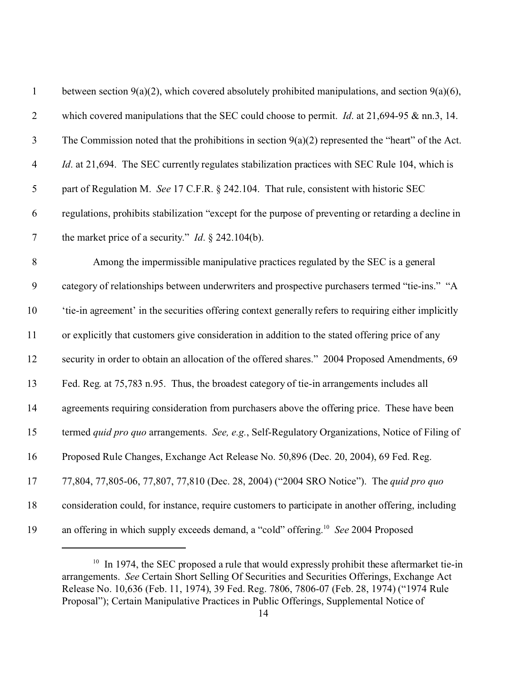| $\mathbf{1}$             | between section $9(a)(2)$ , which covered absolutely prohibited manipulations, and section $9(a)(6)$ , |
|--------------------------|--------------------------------------------------------------------------------------------------------|
| $\overline{2}$           | which covered manipulations that the SEC could choose to permit. <i>Id.</i> at $21,694-95$ & nn.3, 14. |
| 3                        | The Commission noted that the prohibitions in section $9(a)(2)$ represented the "heart" of the Act.    |
| $\overline{\mathcal{A}}$ | <i>Id.</i> at 21,694. The SEC currently regulates stabilization practices with SEC Rule 104, which is  |
| 5                        | part of Regulation M. See 17 C.F.R. § 242.104. That rule, consistent with historic SEC                 |
| 6                        | regulations, prohibits stabilization "except for the purpose of preventing or retarding a decline in   |
| $\overline{7}$           | the market price of a security." <i>Id.</i> $\S$ 242.104(b).                                           |
| 8                        | Among the impermissible manipulative practices regulated by the SEC is a general                       |
| $\mathbf{9}$             | category of relationships between underwriters and prospective purchasers termed "tie-ins." "A         |
| 10                       | 'tie-in agreement' in the securities offering context generally refers to requiring either implicitly  |
| 11                       | or explicitly that customers give consideration in addition to the stated offering price of any        |
| 12                       | security in order to obtain an allocation of the offered shares." 2004 Proposed Amendments, 69         |
| 13                       | Fed. Reg. at 75,783 n.95. Thus, the broadest category of tie-in arrangements includes all              |
| 14                       | agreements requiring consideration from purchasers above the offering price. These have been           |
| 15                       | termed quid pro quo arrangements. See, e.g., Self-Regulatory Organizations, Notice of Filing of        |
| 16                       | Proposed Rule Changes, Exchange Act Release No. 50,896 (Dec. 20, 2004), 69 Fed. Reg.                   |
| 17                       | 77,804, 77,805-06, 77,807, 77,810 (Dec. 28, 2004) ("2004 SRO Notice"). The quid pro quo                |
| 18                       | consideration could, for instance, require customers to participate in another offering, including     |
| 19                       | an offering in which supply exceeds demand, a "cold" offering. <sup>10</sup> See 2004 Proposed         |

<sup>&</sup>lt;sup>10</sup> In 1974, the SEC proposed a rule that would expressly prohibit these aftermarket tie-in arrangements. *See* Certain Short Selling Of Securities and Securities Offerings, Exchange Act Release No. 10,636 (Feb. 11, 1974), 39 Fed. Reg. 7806, 7806-07 (Feb. 28, 1974) ("1974 Rule Proposal"); Certain Manipulative Practices in Public Offerings, Supplemental Notice of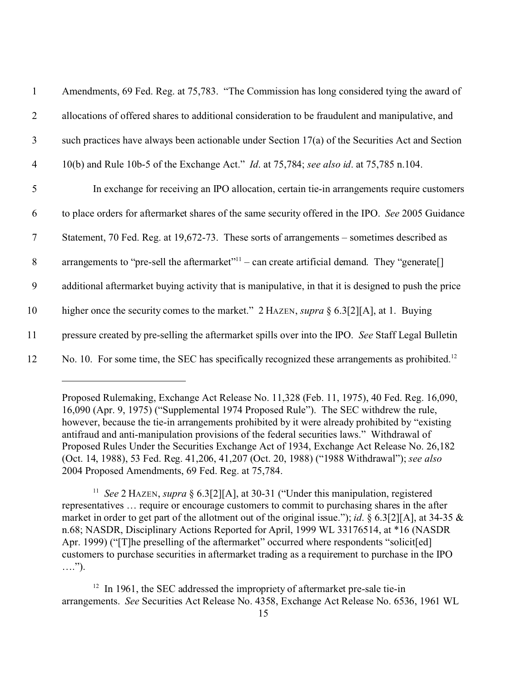| $\mathbf{1}$   | Amendments, 69 Fed. Reg. at 75,783. "The Commission has long considered tying the award of                 |
|----------------|------------------------------------------------------------------------------------------------------------|
| $\overline{2}$ | allocations of offered shares to additional consideration to be fraudulent and manipulative, and           |
| 3              | such practices have always been actionable under Section $17(a)$ of the Securities Act and Section         |
| $\overline{4}$ | 10(b) and Rule 10b-5 of the Exchange Act." <i>Id.</i> at 75,784; see also id. at 75,785 n.104.             |
| 5              | In exchange for receiving an IPO allocation, certain tie-in arrangements require customers                 |
| 6              | to place orders for aftermarket shares of the same security offered in the IPO. See 2005 Guidance          |
| $\tau$         | Statement, 70 Fed. Reg. at 19,672-73. These sorts of arrangements – sometimes described as                 |
| 8              | arrangements to "pre-sell the aftermarket" <sup>11</sup> – can create artificial demand. They "generate[]  |
| 9              | additional aftermarket buying activity that is manipulative, in that it is designed to push the price      |
| 10             | higher once the security comes to the market." 2 HAZEN, <i>supra</i> § 6.3[2][A], at 1. Buying             |
| 11             | pressure created by pre-selling the aftermarket spills over into the IPO. See Staff Legal Bulletin         |
| 12             | No. 10. For some time, the SEC has specifically recognized these arrangements as prohibited. <sup>12</sup> |

<sup>11</sup> See 2 HAZEN, *supra* § 6.3[2][A], at 30-31 ("Under this manipulation, registered representatives … require or encourage customers to commit to purchasing shares in the after market in order to get part of the allotment out of the original issue."); *id*. § 6.3[2][A], at 34-35 & n.68; NASDR, Disciplinary Actions Reported for April, 1999 WL 33176514, at \*16 (NASDR Apr. 1999) ("[T]he preselling of the aftermarket" occurred where respondents "solicit[ed] customers to purchase securities in aftermarket trading as a requirement to purchase in the IPO ….").

Proposed Rulemaking, Exchange Act Release No. 11,328 (Feb. 11, 1975), 40 Fed. Reg. 16,090, 16,090 (Apr. 9, 1975) ("Supplemental 1974 Proposed Rule"). The SEC withdrew the rule, however, because the tie-in arrangements prohibited by it were already prohibited by "existing antifraud and anti-manipulation provisions of the federal securities laws." Withdrawal of Proposed Rules Under the Securities Exchange Act of 1934, Exchange Act Release No. 26,182 (Oct. 14, 1988), 53 Fed. Reg. 41,206, 41,207 (Oct. 20, 1988) ("1988 Withdrawal"); *see also* 2004 Proposed Amendments, 69 Fed. Reg. at 75,784.

 $12$  In 1961, the SEC addressed the impropriety of aftermarket pre-sale tie-in arrangements. *See* Securities Act Release No. 4358, Exchange Act Release No. 6536, 1961 WL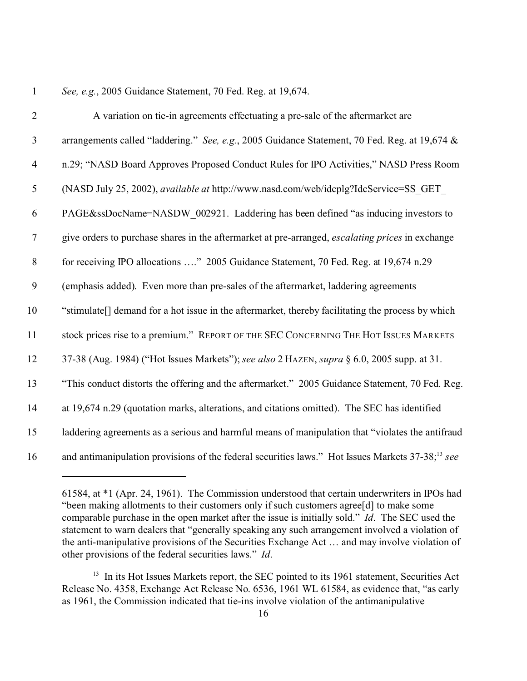## *See, e.g.*, 2005 Guidance Statement, 70 Fed. Reg. at 19,674.

| $\overline{2}$ | A variation on tie-in agreements effectuating a pre-sale of the aftermarket are                              |
|----------------|--------------------------------------------------------------------------------------------------------------|
| $\overline{3}$ | arrangements called "laddering." See, e.g., 2005 Guidance Statement, 70 Fed. Reg. at 19,674 &                |
| $\overline{4}$ | n.29; "NASD Board Approves Proposed Conduct Rules for IPO Activities," NASD Press Room                       |
| $\mathfrak{S}$ | (NASD July 25, 2002), available at http://www.nasd.com/web/idcplg?IdcService=SS GET                          |
| 6              | PAGE&ssDocName=NASDW 002921. Laddering has been defined "as inducing investors to                            |
| $\overline{7}$ | give orders to purchase shares in the aftermarket at pre-arranged, <i>escalating prices</i> in exchange      |
| $\,8\,$        | for receiving IPO allocations " 2005 Guidance Statement, 70 Fed. Reg. at 19,674 n.29                         |
| 9              | (emphasis added). Even more than pre-sales of the aftermarket, laddering agreements                          |
| 10             | "stimulate[] demand for a hot issue in the aftermarket, thereby facilitating the process by which            |
| 11             | stock prices rise to a premium." REPORT OF THE SEC CONCERNING THE HOT ISSUES MARKETS                         |
| 12             | 37-38 (Aug. 1984) ("Hot Issues Markets"); see also 2 HAZEN, supra § 6.0, 2005 supp. at 31.                   |
| 13             | "This conduct distorts the offering and the aftermarket." 2005 Guidance Statement, 70 Fed. Reg.              |
| 14             | at 19,674 n.29 (quotation marks, alterations, and citations omitted). The SEC has identified                 |
| 15             | laddering agreements as a serious and harmful means of manipulation that "violates the antifraud             |
| 16             | and antimanipulation provisions of the federal securities laws." Hot Issues Markets 37-38; <sup>13</sup> see |

<sup>61584,</sup> at \*1 (Apr. 24, 1961). The Commission understood that certain underwriters in IPOs had "been making allotments to their customers only if such customers agree[d] to make some comparable purchase in the open market after the issue is initially sold." *Id*. The SEC used the statement to warn dealers that "generally speaking any such arrangement involved a violation of the anti-manipulative provisions of the Securities Exchange Act … and may involve violation of other provisions of the federal securities laws." *Id*.

<sup>&</sup>lt;sup>13</sup> In its Hot Issues Markets report, the SEC pointed to its 1961 statement, Securities Act Release No. 4358, Exchange Act Release No. 6536, 1961 WL 61584, as evidence that, "as early as 1961, the Commission indicated that tie-ins involve violation of the antimanipulative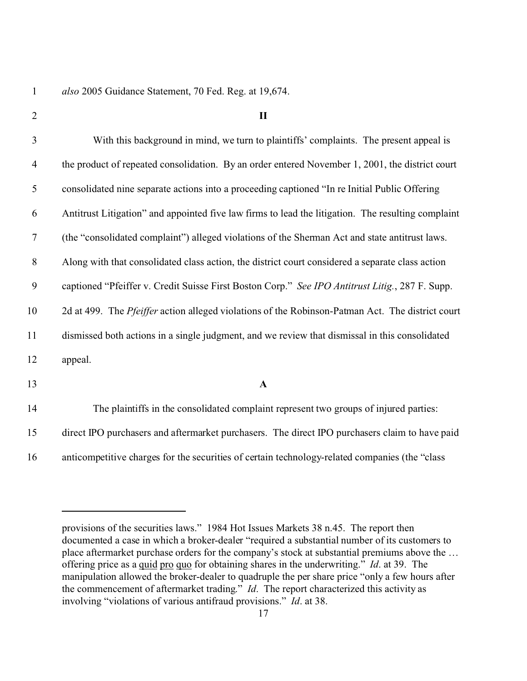*also* 2005 Guidance Statement, 70 Fed. Reg. at 19,674.

 $\blacksquare$ 

 With this background in mind, we turn to plaintiffs' complaints. The present appeal is the product of repeated consolidation. By an order entered November 1, 2001, the district court consolidated nine separate actions into a proceeding captioned "In re Initial Public Offering Antitrust Litigation" and appointed five law firms to lead the litigation. The resulting complaint (the "consolidated complaint") alleged violations of the Sherman Act and state antitrust laws. Along with that consolidated class action, the district court considered a separate class action captioned "Pfeiffer v. Credit Suisse First Boston Corp." *See IPO Antitrust Litig.*, 287 F. Supp. 2d at 499. The *Pfeiffer* action alleged violations of the Robinson-Patman Act.The district court dismissed both actions in a single judgment, and we review that dismissal in this consolidated appeal. **A**

 The plaintiffs in the consolidated complaint represent two groups of injured parties: direct IPO purchasers and aftermarket purchasers. The direct IPO purchasers claim to have paid anticompetitive charges for the securities of certain technology-related companies (the "class

provisions of the securities laws." 1984 Hot Issues Markets 38 n.45. The report then documented a case in which a broker-dealer "required a substantial number of its customers to place aftermarket purchase orders for the company's stock at substantial premiums above the … offering price as a quid pro quo for obtaining shares in the underwriting." *Id*. at 39. The manipulation allowed the broker-dealer to quadruple the per share price "only a few hours after the commencement of aftermarket trading." *Id*. The report characterized this activity as involving "violations of various antifraud provisions." *Id*. at 38.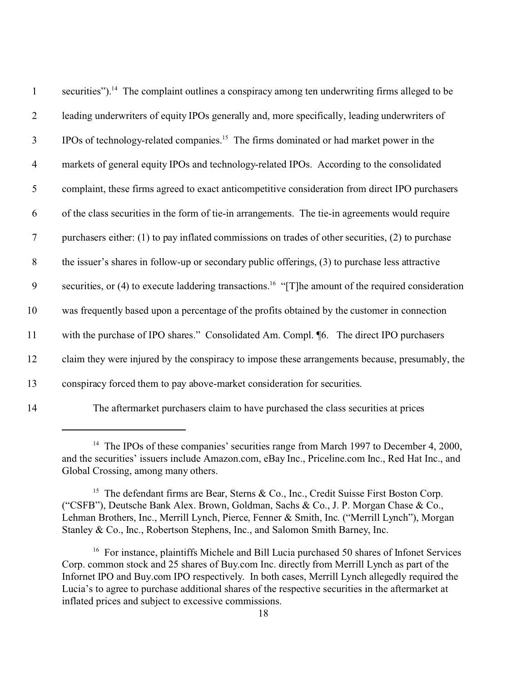| $\mathbf{1}$     | securities"). <sup>14</sup> The complaint outlines a conspiracy among ten underwriting firms alleged to be      |
|------------------|-----------------------------------------------------------------------------------------------------------------|
| $\overline{2}$   | leading underwriters of equity IPOs generally and, more specifically, leading underwriters of                   |
| $\mathfrak{Z}$   | IPOs of technology-related companies. <sup>15</sup> The firms dominated or had market power in the              |
| $\overline{4}$   | markets of general equity IPOs and technology-related IPOs. According to the consolidated                       |
| 5                | complaint, these firms agreed to exact anticompetitive consideration from direct IPO purchasers                 |
| 6                | of the class securities in the form of tie-in arrangements. The tie-in agreements would require                 |
| $\overline{7}$   | purchasers either: (1) to pay inflated commissions on trades of other securities, (2) to purchase               |
| $\,8\,$          | the issuer's shares in follow-up or secondary public offerings, (3) to purchase less attractive                 |
| $\boldsymbol{9}$ | securities, or (4) to execute laddering transactions. <sup>16</sup> "[T]he amount of the required consideration |
| 10               | was frequently based upon a percentage of the profits obtained by the customer in connection                    |
| 11               | with the purchase of IPO shares." Consolidated Am. Compl. 16. The direct IPO purchasers                         |
| 12               | claim they were injured by the conspiracy to impose these arrangements because, presumably, the                 |
| 13               | conspiracy forced them to pay above-market consideration for securities.                                        |
| 14               | The aftermarket purchasers claim to have purchased the class securities at prices                               |

<sup>&</sup>lt;sup>14</sup> The IPOs of these companies' securities range from March 1997 to December 4, 2000, and the securities' issuers include Amazon.com, eBay Inc., Priceline.com Inc., Red Hat Inc., and Global Crossing, among many others.

<sup>&</sup>lt;sup>15</sup> The defendant firms are Bear, Sterns & Co., Inc., Credit Suisse First Boston Corp. ("CSFB"), Deutsche Bank Alex. Brown, Goldman, Sachs & Co., J. P. Morgan Chase & Co., Lehman Brothers, Inc., Merrill Lynch, Pierce, Fenner & Smith, Inc. ("Merrill Lynch"), Morgan Stanley & Co., Inc., Robertson Stephens, Inc., and Salomon Smith Barney, Inc.

<sup>&</sup>lt;sup>16</sup> For instance, plaintiffs Michele and Bill Lucia purchased 50 shares of Infonet Services Corp. common stock and 25 shares of Buy.com Inc. directly from Merrill Lynch as part of the Infornet IPO and Buy.com IPO respectively. In both cases, Merrill Lynch allegedly required the Lucia's to agree to purchase additional shares of the respective securities in the aftermarket at inflated prices and subject to excessive commissions.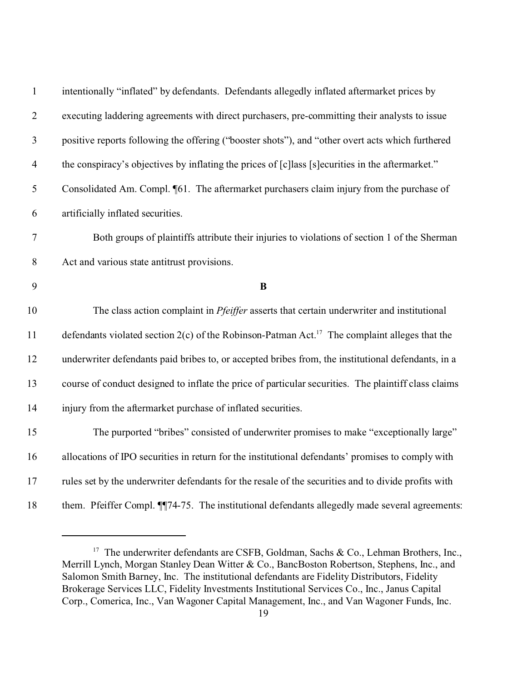| $\mathbf{1}$             | intentionally "inflated" by defendants. Defendants allegedly inflated aftermarket prices by                 |
|--------------------------|-------------------------------------------------------------------------------------------------------------|
| $\overline{2}$           | executing laddering agreements with direct purchasers, pre-committing their analysts to issue               |
| $\mathfrak{Z}$           | positive reports following the offering ("booster shots"), and "other overt acts which furthered            |
| $\overline{\mathcal{A}}$ | the conspiracy's objectives by inflating the prices of [c] lass [s] ecurities in the aftermarket."          |
| 5                        | Consolidated Am. Compl. [61. The aftermarket purchasers claim injury from the purchase of                   |
| 6                        | artificially inflated securities.                                                                           |
| $\boldsymbol{7}$         | Both groups of plaintiffs attribute their injuries to violations of section 1 of the Sherman                |
| $8\,$                    | Act and various state antitrust provisions.                                                                 |
| 9                        | $\bf{B}$                                                                                                    |
| 10                       | The class action complaint in <i>Pfeiffer</i> asserts that certain underwriter and institutional            |
| 11                       | defendants violated section $2(c)$ of the Robinson-Patman Act. <sup>17</sup> The complaint alleges that the |
| 12                       | underwriter defendants paid bribes to, or accepted bribes from, the institutional defendants, in a          |
| 13                       | course of conduct designed to inflate the price of particular securities. The plaintiff class claims        |
| 14                       | injury from the aftermarket purchase of inflated securities.                                                |
| 15                       | The purported "bribes" consisted of underwriter promises to make "exceptionally large"                      |
| 16                       | allocations of IPO securities in return for the institutional defendants' promises to comply with           |
| 17                       | rules set by the underwriter defendants for the resale of the securities and to divide profits with         |
| 18                       | them. Pfeiffer Compl. ¶74-75. The institutional defendants allegedly made several agreements:               |

<sup>&</sup>lt;sup>17</sup> The underwriter defendants are CSFB, Goldman, Sachs & Co., Lehman Brothers, Inc., Merrill Lynch, Morgan Stanley Dean Witter & Co., BancBoston Robertson, Stephens, Inc., and Salomon Smith Barney, Inc. The institutional defendants are Fidelity Distributors, Fidelity Brokerage Services LLC, Fidelity Investments Institutional Services Co., Inc., Janus Capital Corp., Comerica, Inc., Van Wagoner Capital Management, Inc., and Van Wagoner Funds, Inc.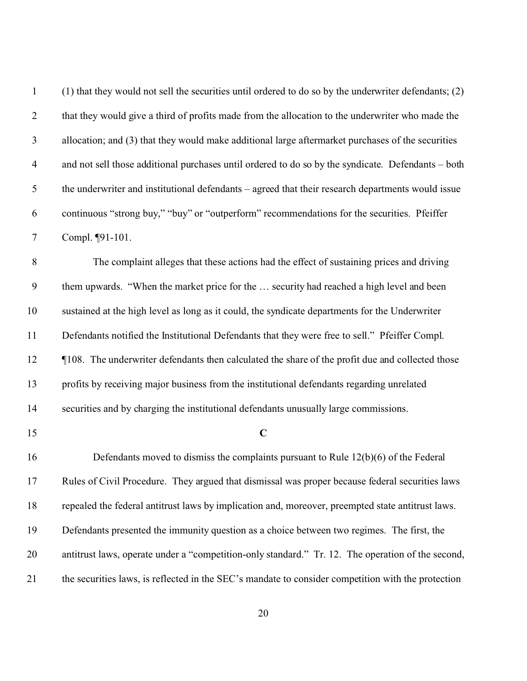| $\mathbf{1}$     | (1) that they would not sell the securities until ordered to do so by the underwriter defendants; (2) |
|------------------|-------------------------------------------------------------------------------------------------------|
| $\overline{2}$   | that they would give a third of profits made from the allocation to the underwriter who made the      |
| $\mathfrak{Z}$   | allocation; and (3) that they would make additional large aftermarket purchases of the securities     |
| $\overline{4}$   | and not sell those additional purchases until ordered to do so by the syndicate. Defendants - both    |
| $\mathfrak s$    | the underwriter and institutional defendants – agreed that their research departments would issue     |
| 6                | continuous "strong buy," "buy" or "outperform" recommendations for the securities. Pfeiffer           |
| $\boldsymbol{7}$ | Compl. ¶91-101.                                                                                       |
| $\,8\,$          | The complaint alleges that these actions had the effect of sustaining prices and driving              |
| $\boldsymbol{9}$ | them upwards. "When the market price for the  security had reached a high level and been              |
| 10               | sustained at the high level as long as it could, the syndicate departments for the Underwriter        |
| 11               | Defendants notified the Institutional Defendants that they were free to sell." Pfeiffer Compl.        |
| 12               | ¶108. The underwriter defendants then calculated the share of the profit due and collected those      |
| 13               | profits by receiving major business from the institutional defendants regarding unrelated             |
| 14               | securities and by charging the institutional defendants unusually large commissions.                  |
| 15               | $\mathbf C$                                                                                           |
| 16               | Defendants moved to dismiss the complaints pursuant to Rule $12(b)(6)$ of the Federal                 |
| 17               | Rules of Civil Procedure. They argued that dismissal was proper because federal securities laws       |
| 18               | repealed the federal antitrust laws by implication and, moreover, preempted state antitrust laws.     |
| 19               | Defendants presented the immunity question as a choice between two regimes. The first, the            |
| 20               | antitrust laws, operate under a "competition-only standard." Tr. 12. The operation of the second,     |
| 21               | the securities laws, is reflected in the SEC's mandate to consider competition with the protection    |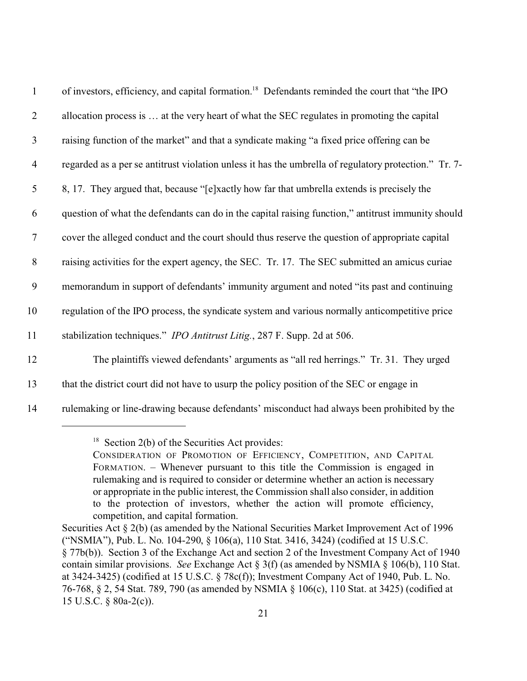| $\mathbf{1}$   | of investors, efficiency, and capital formation. <sup>18</sup> Defendants reminded the court that "the IPO" |
|----------------|-------------------------------------------------------------------------------------------------------------|
| $\overline{2}$ | allocation process is  at the very heart of what the SEC regulates in promoting the capital                 |
| $\mathfrak{Z}$ | raising function of the market" and that a syndicate making "a fixed price offering can be                  |
| $\overline{4}$ | regarded as a per se antitrust violation unless it has the umbrella of regulatory protection." Tr. 7-       |
| 5              | 8, 17. They argued that, because "[e]xactly how far that umbrella extends is precisely the                  |
| 6              | question of what the defendants can do in the capital raising function," antitrust immunity should          |
| $\tau$         | cover the alleged conduct and the court should thus reserve the question of appropriate capital             |
| $8\phantom{.}$ | raising activities for the expert agency, the SEC. Tr. 17. The SEC submitted an amicus curiae               |
| 9              | memorandum in support of defendants' immunity argument and noted "its past and continuing                   |
| 10             | regulation of the IPO process, the syndicate system and various normally anticompetitive price              |
| 11             | stabilization techniques." IPO Antitrust Litig., 287 F. Supp. 2d at 506.                                    |
| 12             | The plaintiffs viewed defendants' arguments as "all red herrings." Tr. 31. They urged                       |
| 13             | that the district court did not have to usurp the policy position of the SEC or engage in                   |
| 14             | rulemaking or line-drawing because defendants' misconduct had always been prohibited by the                 |

 $18$  Section 2(b) of the Securities Act provides:

CONSIDERATION OF PROMOTION OF EFFICIENCY, COMPETITION, AND CAPITAL FORMATION. – Whenever pursuant to this title the Commission is engaged in rulemaking and is required to consider or determine whether an action is necessary or appropriate in the public interest, the Commission shall also consider, in addition to the protection of investors, whether the action will promote efficiency, competition, and capital formation.

Securities Act § 2(b) (as amended by the National Securities Market Improvement Act of 1996 ("NSMIA"), Pub. L. No. 104-290, § 106(a), 110 Stat. 3416, 3424) (codified at 15 U.S.C. § 77b(b)). Section 3 of the Exchange Act and section 2 of the Investment Company Act of 1940 contain similar provisions. *See* Exchange Act § 3(f) (as amended by NSMIA § 106(b), 110 Stat. at 3424-3425) (codified at 15 U.S.C. § 78c(f)); Investment Company Act of 1940, Pub. L. No. 76-768, § 2, 54 Stat. 789, 790 (as amended by NSMIA § 106(c), 110 Stat. at 3425) (codified at 15 U.S.C. § 80a-2(c)).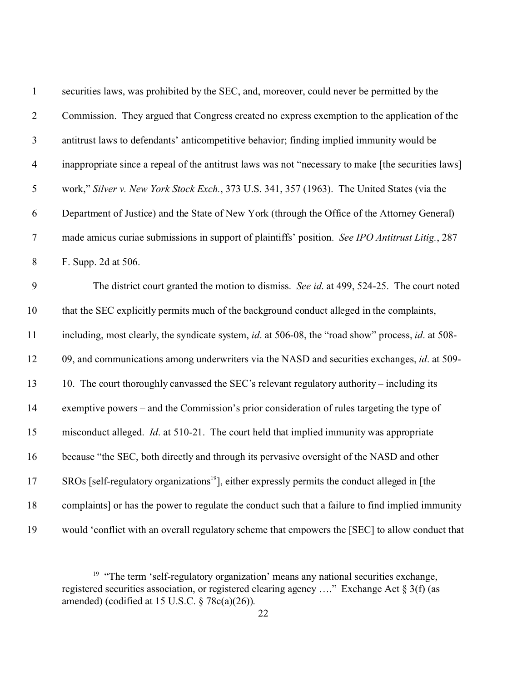| $\mathbf{1}$   | securities laws, was prohibited by the SEC, and, moreover, could never be permitted by the                       |
|----------------|------------------------------------------------------------------------------------------------------------------|
| $\sqrt{2}$     | Commission. They argued that Congress created no express exemption to the application of the                     |
| $\mathfrak{Z}$ | antitrust laws to defendants' anticompetitive behavior; finding implied immunity would be                        |
| $\overline{4}$ | inappropriate since a repeal of the antitrust laws was not "necessary to make [the securities laws]              |
| $\mathfrak s$  | work," Silver v. New York Stock Exch., 373 U.S. 341, 357 (1963). The United States (via the                      |
| 6              | Department of Justice) and the State of New York (through the Office of the Attorney General)                    |
| $\tau$         | made amicus curiae submissions in support of plaintiffs' position. See IPO Antitrust Litig., 287                 |
| 8              | F. Supp. 2d at 506.                                                                                              |
| 9              | The district court granted the motion to dismiss. See id. at 499, 524-25. The court noted                        |
| 10             | that the SEC explicitly permits much of the background conduct alleged in the complaints,                        |
| 11             | including, most clearly, the syndicate system, <i>id.</i> at 506-08, the "road show" process, <i>id.</i> at 508- |
| 12             | 09, and communications among underwriters via the NASD and securities exchanges, id. at 509-                     |
| 13             | 10. The court thoroughly canvassed the SEC's relevant regulatory authority – including its                       |
| 14             | exemptive powers – and the Commission's prior consideration of rules targeting the type of                       |
| 15             | misconduct alleged. <i>Id.</i> at 510-21. The court held that implied immunity was appropriate                   |
| 16             | because "the SEC, both directly and through its pervasive oversight of the NASD and other                        |
| 17             | SROs [self-regulatory organizations <sup>19</sup> ], either expressly permits the conduct alleged in [the        |
| 18             | complaints] or has the power to regulate the conduct such that a failure to find implied immunity                |
| 19             | would 'conflict with an overall regulatory scheme that empowers the [SEC] to allow conduct that                  |

<sup>&</sup>lt;sup>19</sup> "The term 'self-regulatory organization' means any national securities exchange, registered securities association, or registered clearing agency …." Exchange Act § 3(f) (as amended) (codified at 15 U.S.C. § 78c(a)(26)).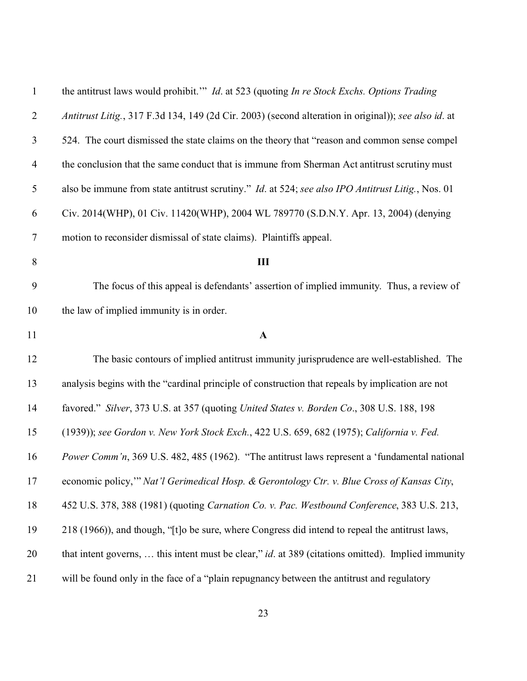| $\mathbf{1}$   | the antitrust laws would prohibit." <i>Id.</i> at 523 (quoting <i>In re Stock Exchs. Options Trading</i> |
|----------------|----------------------------------------------------------------------------------------------------------|
| $\overline{2}$ | Antitrust Litig., 317 F.3d 134, 149 (2d Cir. 2003) (second alteration in original)); see also id. at     |
| 3              | 524. The court dismissed the state claims on the theory that "reason and common sense compel"            |
| $\overline{4}$ | the conclusion that the same conduct that is immune from Sherman Act antitrust scrutiny must             |
| 5              | also be immune from state antitrust scrutiny." <i>Id.</i> at 524; see also IPO Antitrust Litig., Nos. 01 |
| 6              | Civ. 2014(WHP), 01 Civ. 11420(WHP), 2004 WL 789770 (S.D.N.Y. Apr. 13, 2004) (denying                     |
| $\tau$         | motion to reconsider dismissal of state claims). Plaintiffs appeal.                                      |
| 8              | III                                                                                                      |
| 9              | The focus of this appeal is defendants' assertion of implied immunity. Thus, a review of                 |
| 10             | the law of implied immunity is in order.                                                                 |
| 11             | $\mathbf{A}$                                                                                             |
| 12             | The basic contours of implied antitrust immunity jurisprudence are well-established. The                 |
| 13             | analysis begins with the "cardinal principle of construction that repeals by implication are not         |
| 14             | favored." Silver, 373 U.S. at 357 (quoting United States v. Borden Co., 308 U.S. 188, 198                |
| 15             | (1939)); see Gordon v. New York Stock Exch., 422 U.S. 659, 682 (1975); California v. Fed.                |
| 16             | Power Comm'n, 369 U.S. 482, 485 (1962). "The antitrust laws represent a 'fundamental national            |
| 17             | economic policy," Nat'l Gerimedical Hosp. & Gerontology Ctr. v. Blue Cross of Kansas City,               |
| 18             | 452 U.S. 378, 388 (1981) (quoting Carnation Co. v. Pac. Westbound Conference, 383 U.S. 213,              |
| 19             | 218 (1966)), and though, "[t]o be sure, where Congress did intend to repeal the antitrust laws,          |
| 20             | that intent governs,  this intent must be clear," id. at 389 (citations omitted). Implied immunity       |
| 21             | will be found only in the face of a "plain repugnancy between the antitrust and regulatory               |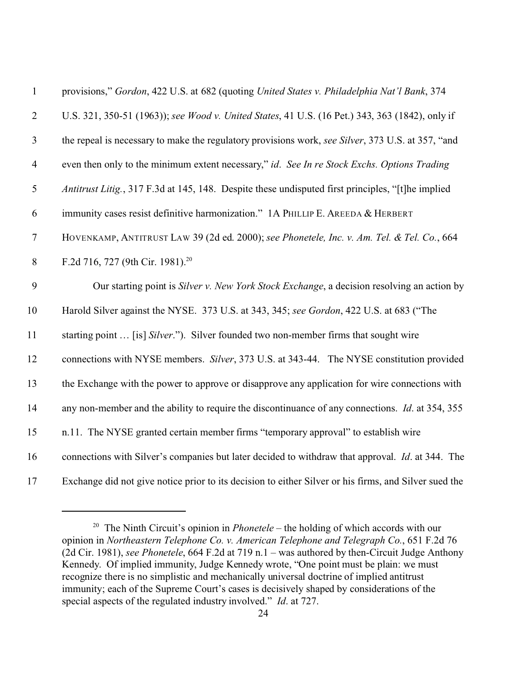| $\mathbf{1}$   | provisions," Gordon, 422 U.S. at 682 (quoting United States v. Philadelphia Nat'l Bank, 374             |
|----------------|---------------------------------------------------------------------------------------------------------|
| $\overline{2}$ | U.S. 321, 350-51 (1963)); see Wood v. United States, 41 U.S. (16 Pet.) 343, 363 (1842), only if         |
| $\mathfrak{Z}$ | the repeal is necessary to make the regulatory provisions work, see Silver, 373 U.S. at 357, "and       |
| $\overline{4}$ | even then only to the minimum extent necessary," id. See In re Stock Exchs. Options Trading             |
| $\mathfrak{S}$ | Antitrust Litig., 317 F.3d at 145, 148. Despite these undisputed first principles, "[t]he implied       |
| 6              | immunity cases resist definitive harmonization." 1A PHILLIP E. AREEDA & HERBERT                         |
| $\tau$         | HOVENKAMP, ANTITRUST LAW 39 (2d ed. 2000); see Phonetele, Inc. v. Am. Tel. & Tel. Co., 664              |
| 8              | F.2d 716, 727 (9th Cir. 1981). <sup>20</sup>                                                            |
| 9              | Our starting point is Silver v. New York Stock Exchange, a decision resolving an action by              |
| 10             | Harold Silver against the NYSE. 373 U.S. at 343, 345; see Gordon, 422 U.S. at 683 ("The                 |
| 11             | starting point  [is] Silver."). Silver founded two non-member firms that sought wire                    |
| 12             | connections with NYSE members. Silver, 373 U.S. at 343-44. The NYSE constitution provided               |
| 13             | the Exchange with the power to approve or disapprove any application for wire connections with          |
| 14             | any non-member and the ability to require the discontinuance of any connections. <i>Id.</i> at 354, 355 |
| 15             | n.11. The NYSE granted certain member firms "temporary approval" to establish wire                      |
| 16             | connections with Silver's companies but later decided to withdraw that approval. <i>Id.</i> at 344. The |
| 17             | Exchange did not give notice prior to its decision to either Silver or his firms, and Silver sued the   |

 The Ninth Circuit's opinion in *Phonetele* – the holding of which accords with our opinion in *Northeastern Telephone Co. v. American Telephone and Telegraph Co.*, 651 F.2d 76 (2d Cir. 1981), *see Phonetele*, 664 F.2d at 719 n.1 – was authored by then-Circuit Judge Anthony Kennedy. Of implied immunity, Judge Kennedy wrote, "One point must be plain: we must recognize there is no simplistic and mechanically universal doctrine of implied antitrust immunity; each of the Supreme Court's cases is decisively shaped by considerations of the special aspects of the regulated industry involved." *Id*. at 727.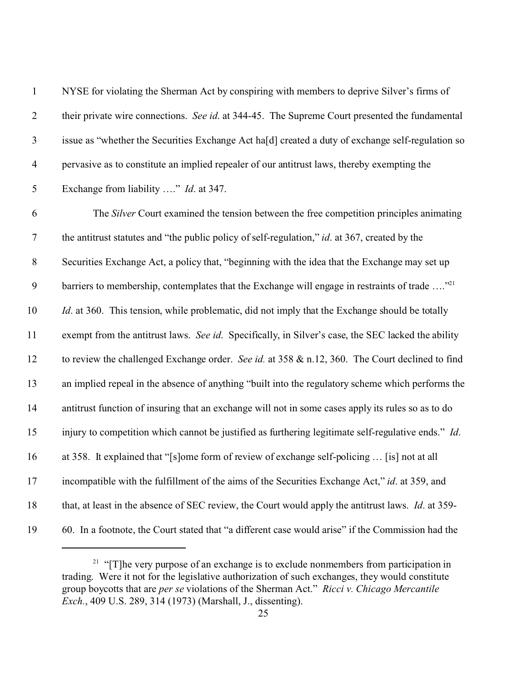| $\mathbf{1}$   | NYSE for violating the Sherman Act by conspiring with members to deprive Silver's firms of                |
|----------------|-----------------------------------------------------------------------------------------------------------|
| $\mathbf{2}$   | their private wire connections. See id. at 344-45. The Supreme Court presented the fundamental            |
| $\mathfrak{Z}$ | issue as "whether the Securities Exchange Act ha[d] created a duty of exchange self-regulation so         |
| $\overline{4}$ | pervasive as to constitute an implied repealer of our antitrust laws, thereby exempting the               |
| 5              | Exchange from liability " <i>Id.</i> at 347.                                                              |
| $\sqrt{6}$     | The Silver Court examined the tension between the free competition principles animating                   |
| $\overline{7}$ | the antitrust statutes and "the public policy of self-regulation," <i>id.</i> at 367, created by the      |
| $8\,$          | Securities Exchange Act, a policy that, "beginning with the idea that the Exchange may set up             |
| $\mathfrak{g}$ | barriers to membership, contemplates that the Exchange will engage in restraints of trade " <sup>21</sup> |
| 10             | <i>Id.</i> at 360. This tension, while problematic, did not imply that the Exchange should be totally     |
| 11             | exempt from the antitrust laws. See id. Specifically, in Silver's case, the SEC lacked the ability        |
| 12             | to review the challenged Exchange order. See id. at 358 & n.12, 360. The Court declined to find           |
| 13             | an implied repeal in the absence of anything "built into the regulatory scheme which performs the         |
| 14             | antitrust function of insuring that an exchange will not in some cases apply its rules so as to do        |
| 15             | injury to competition which cannot be justified as furthering legitimate self-regulative ends." Id.       |
| 16             | at 358. It explained that "[s]ome form of review of exchange self-policing  [is] not at all               |
| 17             | incompatible with the fulfillment of the aims of the Securities Exchange Act," id. at 359, and            |
| 18             | that, at least in the absence of SEC review, the Court would apply the antitrust laws. Id. at 359-        |
| 19             | 60. In a footnote, the Court stated that "a different case would arise" if the Commission had the         |

<sup>&</sup>lt;sup>21</sup> "[T]he very purpose of an exchange is to exclude nonmembers from participation in trading. Were it not for the legislative authorization of such exchanges, they would constitute group boycotts that are *per se* violations of the Sherman Act." *Ricci v. Chicago Mercantile Exch.*, 409 U.S. 289, 314 (1973) (Marshall, J., dissenting).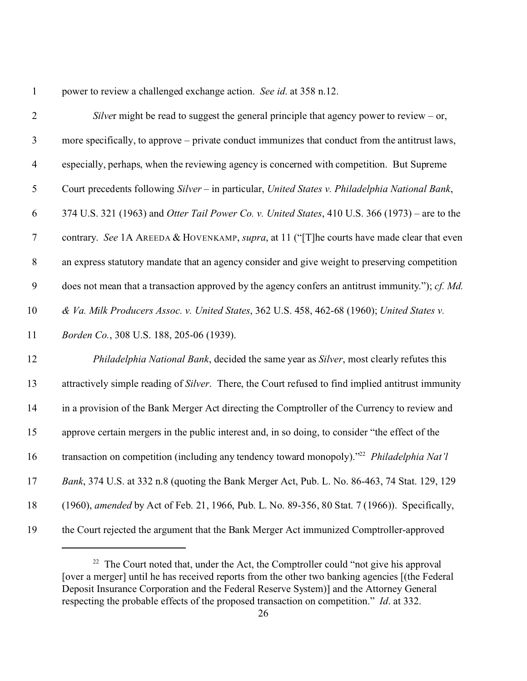power to review a challenged exchange action. *See id*. at 358 n.12.

| $\mathbf{2}$   | Silver might be read to suggest the general principle that agency power to review – or,                |
|----------------|--------------------------------------------------------------------------------------------------------|
| $\mathfrak{Z}$ | more specifically, to approve – private conduct immunizes that conduct from the antitrust laws,        |
| $\overline{4}$ | especially, perhaps, when the reviewing agency is concerned with competition. But Supreme              |
| 5              | Court precedents following Silver - in particular, United States v. Philadelphia National Bank,        |
| 6              | 374 U.S. 321 (1963) and Otter Tail Power Co. v. United States, 410 U.S. 366 (1973) – are to the        |
| $\tau$         | contrary. See 1A AREEDA & HOVENKAMP, supra, at 11 ("[T]he courts have made clear that even             |
| $8\,$          | an express statutory mandate that an agency consider and give weight to preserving competition         |
| 9              | does not mean that a transaction approved by the agency confers an antitrust immunity."); cf. Md.      |
| 10             | & Va. Milk Producers Assoc. v. United States, 362 U.S. 458, 462-68 (1960); United States v.            |
| 11             | Borden Co., 308 U.S. 188, 205-06 (1939).                                                               |
| 12             | Philadelphia National Bank, decided the same year as Silver, most clearly refutes this                 |
| 13             | attractively simple reading of Silver. There, the Court refused to find implied antitrust immunity     |
| 14             | in a provision of the Bank Merger Act directing the Comptroller of the Currency to review and          |
| 15             | approve certain mergers in the public interest and, in so doing, to consider "the effect of the        |
| 16             | transaction on competition (including any tendency toward monopoly)." <sup>22</sup> Philadelphia Nat'l |
| 17             | Bank, 374 U.S. at 332 n.8 (quoting the Bank Merger Act, Pub. L. No. 86-463, 74 Stat. 129, 129          |
| 18             | (1960), amended by Act of Feb. 21, 1966, Pub. L. No. 89-356, 80 Stat. 7 (1966)). Specifically,         |
| 19             | the Court rejected the argument that the Bank Merger Act immunized Comptroller-approved                |

<sup>&</sup>lt;sup>22</sup> The Court noted that, under the Act, the Comptroller could "not give his approval [over a merger] until he has received reports from the other two banking agencies [(the Federal Deposit Insurance Corporation and the Federal Reserve System)] and the Attorney General respecting the probable effects of the proposed transaction on competition." *Id*. at 332.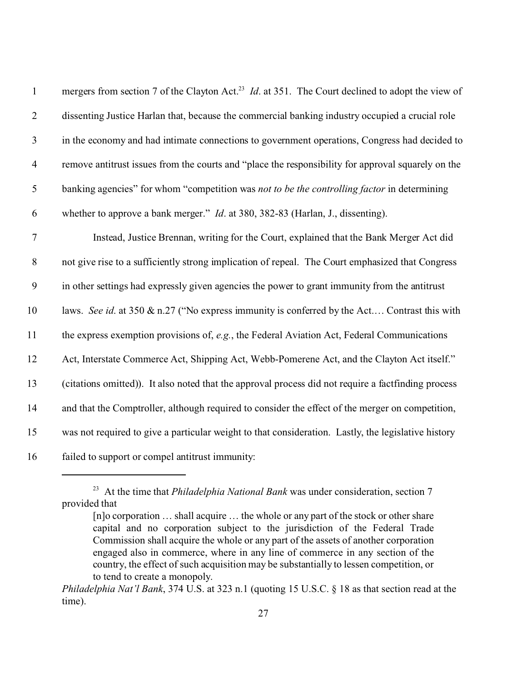| $\mathbf{1}$     | mergers from section 7 of the Clayton Act. <sup>23</sup> <i>Id.</i> at 351. The Court declined to adopt the view of |
|------------------|---------------------------------------------------------------------------------------------------------------------|
| $\overline{2}$   | dissenting Justice Harlan that, because the commercial banking industry occupied a crucial role                     |
| $\mathfrak{Z}$   | in the economy and had intimate connections to government operations, Congress had decided to                       |
| $\overline{4}$   | remove antitrust issues from the courts and "place the responsibility for approval squarely on the                  |
| $\mathfrak{S}$   | banking agencies" for whom "competition was not to be the controlling factor in determining                         |
| 6                | whether to approve a bank merger." <i>Id.</i> at 380, 382-83 (Harlan, J., dissenting).                              |
| $\tau$           | Instead, Justice Brennan, writing for the Court, explained that the Bank Merger Act did                             |
| $8\,$            | not give rise to a sufficiently strong implication of repeal. The Court emphasized that Congress                    |
| $\boldsymbol{9}$ | in other settings had expressly given agencies the power to grant immunity from the antitrust                       |
| 10               | laws. See id. at 350 & n.27 ("No express immunity is conferred by the Act Contrast this with                        |
| 11               | the express exemption provisions of, e.g., the Federal Aviation Act, Federal Communications                         |
| 12               | Act, Interstate Commerce Act, Shipping Act, Webb-Pomerene Act, and the Clayton Act itself."                         |
| 13               | (citations omitted)). It also noted that the approval process did not require a factfinding process                 |
| 14               | and that the Comptroller, although required to consider the effect of the merger on competition,                    |
| 15               | was not required to give a particular weight to that consideration. Lastly, the legislative history                 |
| 16               | failed to support or compel antitrust immunity:                                                                     |

<sup>&</sup>lt;sup>23</sup> At the time that *Philadelphia National Bank* was under consideration, section 7 provided that

<sup>[</sup>n]o corporation ... shall acquire ... the whole or any part of the stock or other share capital and no corporation subject to the jurisdiction of the Federal Trade Commission shall acquire the whole or any part of the assets of another corporation engaged also in commerce, where in any line of commerce in any section of the country, the effect of such acquisition may be substantially to lessen competition, or to tend to create a monopoly.

*Philadelphia Nat'l Bank*, 374 U.S. at 323 n.1 (quoting 15 U.S.C. § 18 as that section read at the time).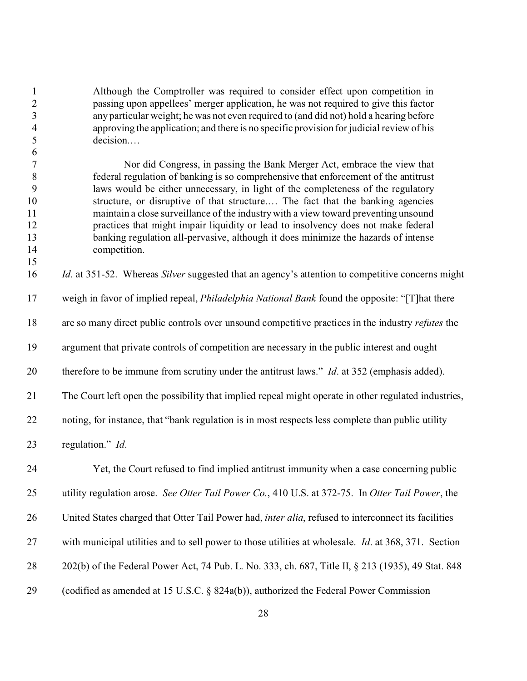Although the Comptroller was required to consider effect upon competition in passing upon appellees' merger application, he was not required to give this factor any particular weight; he was not even required to (and did not) hold a hearing before approving the application; and there is no specific provision for judicial review of his decision.…

 Nor did Congress, in passing the Bank Merger Act, embrace the view that federal regulation of banking is so comprehensive that enforcement of the antitrust laws would be either unnecessary, in light of the completeness of the regulatory structure, or disruptive of that structure.… The fact that the banking agencies maintain a close surveillance of the industry with a view toward preventing unsound practices that might impair liquidity or lead to insolvency does not make federal banking regulation all-pervasive, although it does minimize the hazards of intense competition.

*Id*. at 351-52. Whereas *Silver* suggested that an agency's attention to competitive concerns might

weigh in favor of implied repeal, *Philadelphia National Bank* found the opposite: "[T]hat there

are so many direct public controls over unsound competitive practices in the industry *refutes* the

argument that private controls of competition are necessary in the public interest and ought

therefore to be immune from scrutiny under the antitrust laws." *Id*. at 352 (emphasis added).

The Court left open the possibility that implied repeal might operate in other regulated industries,

noting, for instance, that "bank regulation is in most respects less complete than public utility

regulation." *Id*.

 Yet, the Court refused to find implied antitrust immunity when a case concerning public utility regulation arose. *See Otter Tail Power Co.*, 410 U.S. at 372-75. In *Otter Tail Power*, the United States charged that Otter Tail Power had, *inter alia*, refused to interconnect its facilities with municipal utilities and to sell power to those utilities at wholesale. *Id*. at 368, 371. Section 202(b) of the Federal Power Act, 74 Pub. L. No. 333, ch. 687, Title II, § 213 (1935), 49 Stat. 848 (codified as amended at 15 U.S.C. § 824a(b)), authorized the Federal Power Commission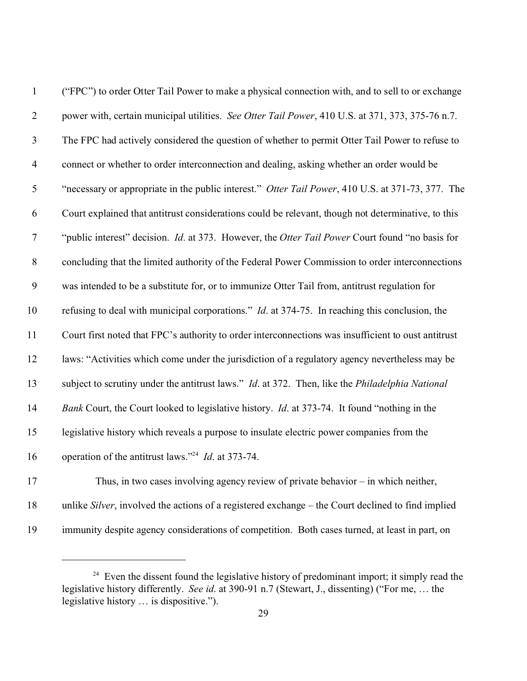| $\mathbf{1}$   | ("FPC") to order Otter Tail Power to make a physical connection with, and to sell to or exchange       |
|----------------|--------------------------------------------------------------------------------------------------------|
| $\overline{2}$ | power with, certain municipal utilities. See Otter Tail Power, 410 U.S. at 371, 373, 375-76 n.7.       |
| $\mathfrak{Z}$ | The FPC had actively considered the question of whether to permit Otter Tail Power to refuse to        |
| $\overline{4}$ | connect or whether to order interconnection and dealing, asking whether an order would be              |
| 5              | "necessary or appropriate in the public interest." Otter Tail Power, 410 U.S. at 371-73, 377. The      |
| 6              | Court explained that antitrust considerations could be relevant, though not determinative, to this     |
| $\tau$         | "public interest" decision. <i>Id.</i> at 373. However, the Otter Tail Power Court found "no basis for |
| $8\,$          | concluding that the limited authority of the Federal Power Commission to order interconnections        |
| 9              | was intended to be a substitute for, or to immunize Otter Tail from, antitrust regulation for          |
| 10             | refusing to deal with municipal corporations." <i>Id.</i> at 374-75. In reaching this conclusion, the  |
| 11             | Court first noted that FPC's authority to order interconnections was insufficient to oust antitrust    |
| 12             | laws: "Activities which come under the jurisdiction of a regulatory agency nevertheless may be         |
| 13             | subject to scrutiny under the antitrust laws." Id. at 372. Then, like the Philadelphia National        |
| 14             | Bank Court, the Court looked to legislative history. <i>Id.</i> at 373-74. It found "nothing in the    |
| 15             | legislative history which reveals a purpose to insulate electric power companies from the              |
| 16             | operation of the antitrust laws." <sup>24</sup> <i>Id.</i> at 373-74.                                  |
| 17             | Thus, in two cases involving agency review of private behavior $-$ in which neither,                   |
|                |                                                                                                        |

unlike *Silver*, involved the actions of a registered exchange – the Court declined to find implied

immunity despite agency considerations of competition. Both cases turned, at least in part, on

<sup>&</sup>lt;sup>24</sup> Even the dissent found the legislative history of predominant import; it simply read the legislative history differently. *See id*. at 390-91 n.7 (Stewart, J., dissenting) ("For me, … the legislative history … is dispositive.").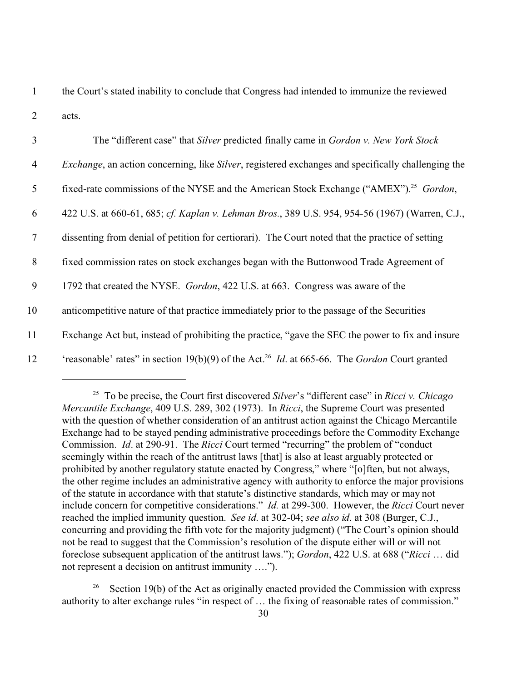1 the Court's stated inability to conclude that Congress had intended to immunize the reviewed 2 acts.

| $\overline{3}$ | The "different case" that Silver predicted finally came in Gordon v. New York Stock                                     |
|----------------|-------------------------------------------------------------------------------------------------------------------------|
| $\overline{4}$ | <i>Exchange</i> , an action concerning, like <i>Silver</i> , registered exchanges and specifically challenging the      |
| $\mathfrak{S}$ | fixed-rate commissions of the NYSE and the American Stock Exchange ("AMEX"). <sup>25</sup> Gordon,                      |
| 6              | 422 U.S. at 660-61, 685; cf. Kaplan v. Lehman Bros., 389 U.S. 954, 954-56 (1967) (Warren, C.J.,                         |
| $\tau$         | dissenting from denial of petition for certiorari). The Court noted that the practice of setting                        |
| 8              | fixed commission rates on stock exchanges began with the Buttonwood Trade Agreement of                                  |
| 9              | 1792 that created the NYSE. <i>Gordon</i> , 422 U.S. at 663. Congress was aware of the                                  |
| 10             | anticompetitive nature of that practice immediately prior to the passage of the Securities                              |
| 11             | Exchange Act but, instead of prohibiting the practice, "gave the SEC the power to fix and insure                        |
| 12             | 'reasonable' rates" in section 19(b)(9) of the Act. <sup>26</sup> <i>Id.</i> at 665-66. The <i>Gordon</i> Court granted |

<sup>25</sup> To be precise, the Court first discovered *Silver*'s "different case" in *Ricci v. Chicago Mercantile Exchange*, 409 U.S. 289, 302 (1973). In *Ricci*, the Supreme Court was presented with the question of whether consideration of an antitrust action against the Chicago Mercantile Exchange had to be stayed pending administrative proceedings before the Commodity Exchange Commission. *Id*. at 290-91. The *Ricci* Court termed "recurring" the problem of "conduct seemingly within the reach of the antitrust laws [that] is also at least arguably protected or prohibited by another regulatory statute enacted by Congress," where "[o]ften, but not always, the other regime includes an administrative agency with authority to enforce the major provisions of the statute in accordance with that statute's distinctive standards, which may or may not include concern for competitive considerations." *Id.* at 299-300. However, the *Ricci* Court never reached the implied immunity question. *See id*. at 302-04; *see also id*. at 308 (Burger, C.J., concurring and providing the fifth vote for the majority judgment) ("The Court's opinion should not be read to suggest that the Commission's resolution of the dispute either will or will not foreclose subsequent application of the antitrust laws."); *Gordon*, 422 U.S. at 688 ("*Ricci* … did not represent a decision on antitrust immunity ….").

<sup>26</sup> Section 19(b) of the Act as originally enacted provided the Commission with express authority to alter exchange rules "in respect of … the fixing of reasonable rates of commission."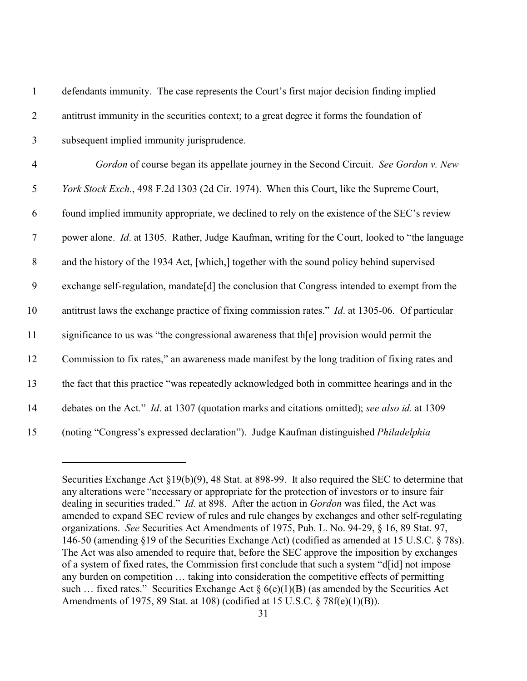| $\mathbf{1}$     | defendants immunity. The case represents the Court's first major decision finding implied              |
|------------------|--------------------------------------------------------------------------------------------------------|
| $\overline{2}$   | antitrust immunity in the securities context; to a great degree it forms the foundation of             |
| $\mathfrak{Z}$   | subsequent implied immunity jurisprudence.                                                             |
| $\overline{4}$   | Gordon of course began its appellate journey in the Second Circuit. See Gordon v. New                  |
| 5                | York Stock Exch., 498 F.2d 1303 (2d Cir. 1974). When this Court, like the Supreme Court,               |
| 6                | found implied immunity appropriate, we declined to rely on the existence of the SEC's review           |
| $\boldsymbol{7}$ | power alone. <i>Id.</i> at 1305. Rather, Judge Kaufman, writing for the Court, looked to "the language |
| $8\,$            | and the history of the 1934 Act, [which,] together with the sound policy behind supervised             |
| 9                | exchange self-regulation, mandate[d] the conclusion that Congress intended to exempt from the          |
| 10               | antitrust laws the exchange practice of fixing commission rates." <i>Id.</i> at 1305-06. Of particular |
| 11               | significance to us was "the congressional awareness that th[e] provision would permit the              |
| 12               | Commission to fix rates," an awareness made manifest by the long tradition of fixing rates and         |
| 13               | the fact that this practice "was repeatedly acknowledged both in committee hearings and in the         |
| 14               | debates on the Act." Id. at 1307 (quotation marks and citations omitted); see also id. at 1309         |
| 15               | (noting "Congress's expressed declaration"). Judge Kaufman distinguished Philadelphia                  |

Securities Exchange Act §19(b)(9), 48 Stat. at 898-99. It also required the SEC to determine that any alterations were "necessary or appropriate for the protection of investors or to insure fair dealing in securities traded." *Id.* at 898. After the action in *Gordon* was filed, the Act was amended to expand SEC review of rules and rule changes by exchanges and other self-regulating organizations. *See* Securities Act Amendments of 1975, Pub. L. No. 94-29, § 16, 89 Stat. 97, 146-50 (amending §19 of the Securities Exchange Act) (codified as amended at 15 U.S.C. § 78s). The Act was also amended to require that, before the SEC approve the imposition by exchanges of a system of fixed rates, the Commission first conclude that such a system "d[id] not impose any burden on competition … taking into consideration the competitive effects of permitting such ... fixed rates." Securities Exchange Act  $\S 6(e)(1)(B)$  (as amended by the Securities Act Amendments of 1975, 89 Stat. at 108) (codified at 15 U.S.C. § 78f(e)(1)(B)).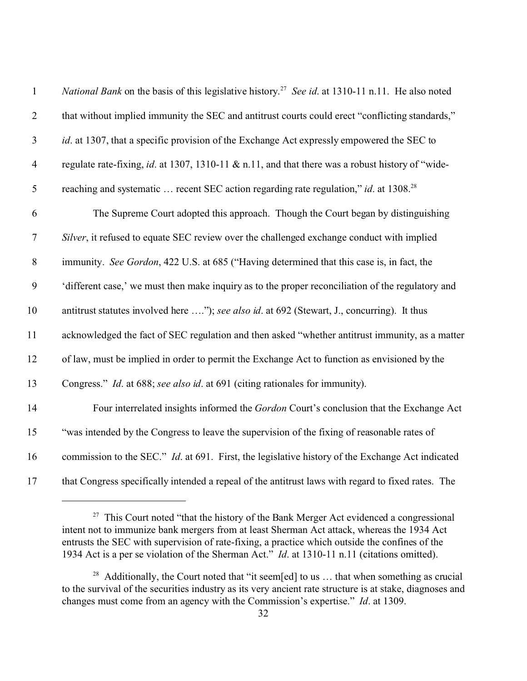| $\mathbf{1}$   | <i>National Bank</i> on the basis of this legislative history. <sup>27</sup> See id. at 1310-11 n.11. He also noted |
|----------------|---------------------------------------------------------------------------------------------------------------------|
| $\overline{2}$ | that without implied immunity the SEC and antitrust courts could erect "conflicting standards,"                     |
| $\mathfrak{Z}$ | id. at 1307, that a specific provision of the Exchange Act expressly empowered the SEC to                           |
| $\overline{4}$ | regulate rate-fixing, id. at 1307, 1310-11 & n.11, and that there was a robust history of "wide-                    |
| 5              | reaching and systematic  recent SEC action regarding rate regulation," <i>id.</i> at 1308. <sup>28</sup>            |
| 6              | The Supreme Court adopted this approach. Though the Court began by distinguishing                                   |
| $\tau$         | Silver, it refused to equate SEC review over the challenged exchange conduct with implied                           |
| $8\,$          | immunity. See Gordon, 422 U.S. at 685 ("Having determined that this case is, in fact, the                           |
| 9              | 'different case,' we must then make inquiry as to the proper reconciliation of the regulatory and                   |
| 10             | antitrust statutes involved here "); see also id. at 692 (Stewart, J., concurring). It thus                         |
| 11             | acknowledged the fact of SEC regulation and then asked "whether antitrust immunity, as a matter                     |
| 12             | of law, must be implied in order to permit the Exchange Act to function as envisioned by the                        |
| 13             | Congress." Id. at 688; see also id. at 691 (citing rationales for immunity).                                        |
| 14             | Four interrelated insights informed the Gordon Court's conclusion that the Exchange Act                             |
| 15             | "was intended by the Congress to leave the supervision of the fixing of reasonable rates of                         |
| 16             | commission to the SEC." <i>Id.</i> at 691. First, the legislative history of the Exchange Act indicated             |
| 17             | that Congress specifically intended a repeal of the antitrust laws with regard to fixed rates. The                  |

 This Court noted "that the history of the Bank Merger Act evidenced a congressional intent not to immunize bank mergers from at least Sherman Act attack, whereas the 1934 Act entrusts the SEC with supervision of rate-fixing, a practice which outside the confines of the 1934 Act is a per se violation of the Sherman Act." *Id*. at 1310-11 n.11 (citations omitted).

<sup>&</sup>lt;sup>28</sup> Additionally, the Court noted that "it seem[ed] to us ... that when something as crucial to the survival of the securities industry as its very ancient rate structure is at stake, diagnoses and changes must come from an agency with the Commission's expertise." *Id*. at 1309.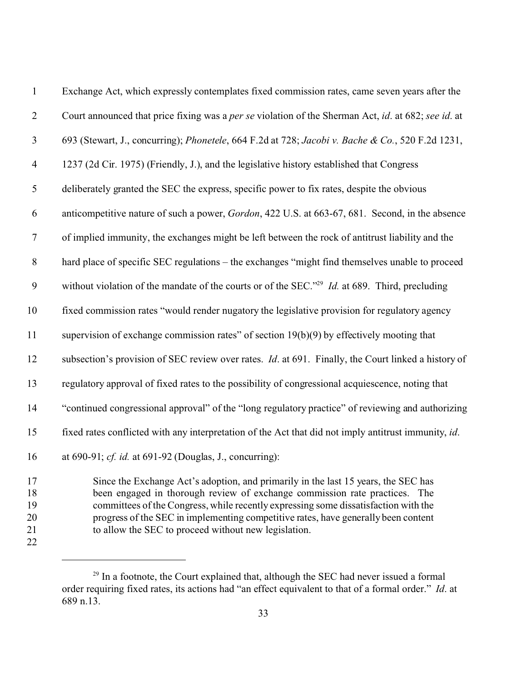| $\mathbf{1}$     | Exchange Act, which expressly contemplates fixed commission rates, came seven years after the                        |
|------------------|----------------------------------------------------------------------------------------------------------------------|
| $\overline{2}$   | Court announced that price fixing was a per se violation of the Sherman Act, id. at 682; see id. at                  |
| $\mathfrak{Z}$   | 693 (Stewart, J., concurring); <i>Phonetele</i> , 664 F.2d at 728; <i>Jacobi v. Bache &amp; Co.</i> , 520 F.2d 1231, |
| $\overline{4}$   | 1237 (2d Cir. 1975) (Friendly, J.), and the legislative history established that Congress                            |
| 5                | deliberately granted the SEC the express, specific power to fix rates, despite the obvious                           |
| 6                | anticompetitive nature of such a power, Gordon, 422 U.S. at 663-67, 681. Second, in the absence                      |
| $\boldsymbol{7}$ | of implied immunity, the exchanges might be left between the rock of antitrust liability and the                     |
| $8\,$            | hard place of specific SEC regulations – the exchanges "might find themselves unable to proceed                      |
| 9                | without violation of the mandate of the courts or of the SEC." <sup>29</sup> <i>Id.</i> at 689. Third, precluding    |
| 10               | fixed commission rates "would render nugatory the legislative provision for regulatory agency                        |
| 11               | supervision of exchange commission rates" of section $19(b)(9)$ by effectively mooting that                          |
| 12               | subsection's provision of SEC review over rates. <i>Id.</i> at 691. Finally, the Court linked a history of           |
| 13               | regulatory approval of fixed rates to the possibility of congressional acquiescence, noting that                     |
| 14               | "continued congressional approval" of the "long regulatory practice" of reviewing and authorizing                    |
| 15               | fixed rates conflicted with any interpretation of the Act that did not imply antitrust immunity, id.                 |
| 16               | at 690-91; cf. id. at 691-92 (Douglas, J., concurring):                                                              |
| 17               | Since the Exchange Act's adoption, and primarily in the last 15 years, the SEC has                                   |

 Since the Exchange Act's adoption, and primarily in the last 15 years, the SEC has been engaged in thorough review of exchange commission rate practices. The committees of the Congress, while recently expressing some dissatisfaction with the progress of the SEC in implementing competitive rates, have generally been content to allow the SEC to proceed without new legislation.

<sup>&</sup>lt;sup>29</sup> In a footnote, the Court explained that, although the SEC had never issued a formal order requiring fixed rates, its actions had "an effect equivalent to that of a formal order." *Id*. at 689 n.13.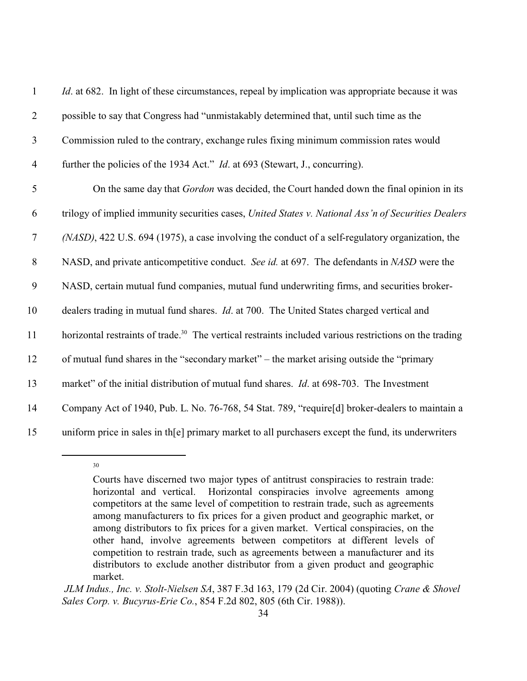| $\mathbf{1}$   | <i>Id.</i> at 682. In light of these circumstances, repeal by implication was appropriate because it was           |
|----------------|--------------------------------------------------------------------------------------------------------------------|
| $\overline{2}$ | possible to say that Congress had "unmistakably determined that, until such time as the                            |
| $\mathfrak{Z}$ | Commission ruled to the contrary, exchange rules fixing minimum commission rates would                             |
| $\overline{4}$ | further the policies of the 1934 Act." <i>Id.</i> at 693 (Stewart, J., concurring).                                |
| 5              | On the same day that <i>Gordon</i> was decided, the Court handed down the final opinion in its                     |
| 6              | trilogy of implied immunity securities cases, United States v. National Ass'n of Securities Dealers                |
| $\overline{7}$ | (NASD), 422 U.S. 694 (1975), a case involving the conduct of a self-regulatory organization, the                   |
| $8\,$          | NASD, and private anticompetitive conduct. See id. at 697. The defendants in NASD were the                         |
| 9              | NASD, certain mutual fund companies, mutual fund underwriting firms, and securities broker-                        |
| 10             | dealers trading in mutual fund shares. <i>Id.</i> at 700. The United States charged vertical and                   |
| 11             | horizontal restraints of trade. <sup>30</sup> The vertical restraints included various restrictions on the trading |
| 12             | of mutual fund shares in the "secondary market" – the market arising outside the "primary"                         |
| 13             | market" of the initial distribution of mutual fund shares. <i>Id.</i> at 698-703. The Investment                   |
| 14             | Company Act of 1940, Pub. L. No. 76-768, 54 Stat. 789, "require[d] broker-dealers to maintain a                    |
| 15             | uniform price in sales in th[e] primary market to all purchasers except the fund, its underwriters                 |

Courts have discerned two major types of antitrust conspiracies to restrain trade: horizontal and vertical. Horizontal conspiracies involve agreements among competitors at the same level of competition to restrain trade, such as agreements among manufacturers to fix prices for a given product and geographic market, or among distributors to fix prices for a given market. Vertical conspiracies, on the other hand, involve agreements between competitors at different levels of competition to restrain trade, such as agreements between a manufacturer and its distributors to exclude another distributor from a given product and geographic market.

*JLM Indus., Inc. v. Stolt-Nielsen SA*, 387 F.3d 163, 179 (2d Cir. 2004) (quoting *Crane & Shovel Sales Corp. v. Bucyrus-Erie Co.*, 854 F.2d 802, 805 (6th Cir. 1988)).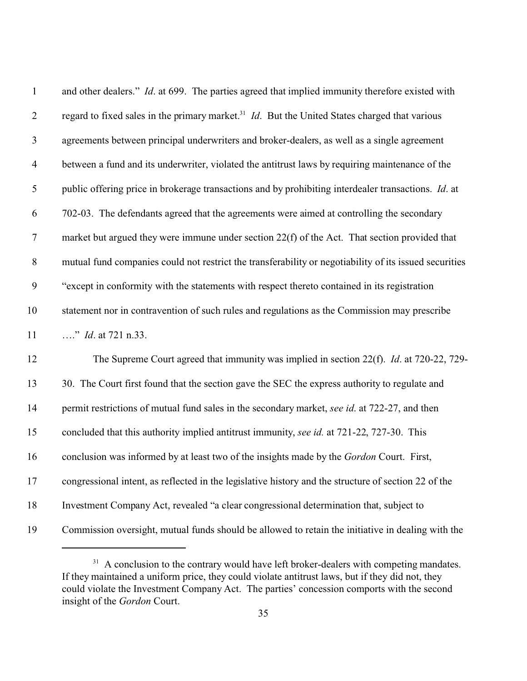| $\mathbf{1}$             | and other dealers." <i>Id.</i> at 699. The parties agreed that implied immunity therefore existed with            |
|--------------------------|-------------------------------------------------------------------------------------------------------------------|
| $\overline{2}$           | regard to fixed sales in the primary market. <sup>31</sup> <i>Id</i> . But the United States charged that various |
| $\mathfrak{Z}$           | agreements between principal underwriters and broker-dealers, as well as a single agreement                       |
| $\overline{\mathcal{A}}$ | between a fund and its underwriter, violated the antitrust laws by requiring maintenance of the                   |
| 5                        | public offering price in brokerage transactions and by prohibiting interdealer transactions. Id. at               |
| 6                        | 702-03. The defendants agreed that the agreements were aimed at controlling the secondary                         |
| $\tau$                   | market but argued they were immune under section 22(f) of the Act. That section provided that                     |
| $8\,$                    | mutual fund companies could not restrict the transferability or negotiability of its issued securities            |
| 9                        | "except in conformity with the statements with respect thereto contained in its registration                      |
| 10                       | statement nor in contravention of such rules and regulations as the Commission may prescribe                      |
| 11                       | " <i>Id.</i> at 721 n.33.                                                                                         |
| 12                       | The Supreme Court agreed that immunity was implied in section 22(f). <i>Id.</i> at 720-22, 729-                   |
| 13                       | 30. The Court first found that the section gave the SEC the express authority to regulate and                     |
| 14                       | permit restrictions of mutual fund sales in the secondary market, see id. at 722-27, and then                     |
| 15                       | concluded that this authority implied antitrust immunity, see id. at 721-22, 727-30. This                         |
| 16                       | conclusion was informed by at least two of the insights made by the Gordon Court. First,                          |
| 17                       | congressional intent, as reflected in the legislative history and the structure of section 22 of the              |
| 18                       | Investment Company Act, revealed "a clear congressional determination that, subject to                            |
| 19                       | Commission oversight, mutual funds should be allowed to retain the initiative in dealing with the                 |

 A conclusion to the contrary would have left broker-dealers with competing mandates. If they maintained a uniform price, they could violate antitrust laws, but if they did not, they could violate the Investment Company Act. The parties' concession comports with the second insight of the *Gordon* Court.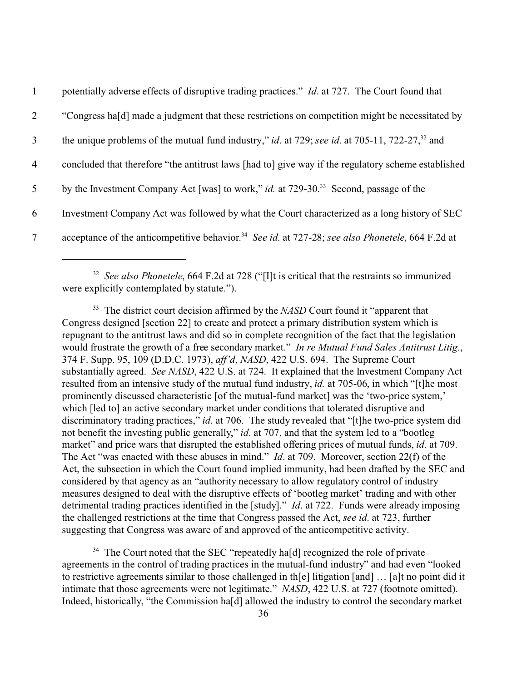| $\mathbf{1}$   | potentially adverse effects of disruptive trading practices." <i>Id.</i> at 727. The Court found that                    |
|----------------|--------------------------------------------------------------------------------------------------------------------------|
| 2              | "Congress hald made a judgment that these restrictions on competition might be necessitated by                           |
| 3              | the unique problems of the mutual fund industry," <i>id.</i> at 729; see <i>id.</i> at 705-11, 722-27, <sup>32</sup> and |
| $\overline{4}$ | concluded that therefore "the antitrust laws [had to] give way if the regulatory scheme established                      |
| 5              | by the Investment Company Act [was] to work," id. at 729-30. <sup>33</sup> Second, passage of the                        |
| 6              | Investment Company Act was followed by what the Court characterized as a long history of SEC                             |
| $\tau$         | acceptance of the anticompetitive behavior. <sup>34</sup> See id. at 727-28; see also Phonetele, 664 F.2d at             |

<sup>32</sup> See also Phonetele, 664 F.2d at 728 ("[I]t is critical that the restraints so immunized were explicitly contemplated by statute.").

<sup>33</sup> The district court decision affirmed by the *NASD* Court found it "apparent that Congress designed [section 22] to create and protect a primary distribution system which is repugnant to the antitrust laws and did so in complete recognition of the fact that the legislation would frustrate the growth of a free secondary market." *In re Mutual Fund Sales Antitrust Litig.*, 374 F. Supp. 95, 109 (D.D.C. 1973), *aff'd*, *NASD*, 422 U.S. 694. The Supreme Court substantially agreed. *See NASD*, 422 U.S. at 724. It explained that the Investment Company Act resulted from an intensive study of the mutual fund industry, *id.* at 705-06, in which "[t]he most prominently discussed characteristic [of the mutual-fund market] was the 'two-price system,' which [led to] an active secondary market under conditions that tolerated disruptive and discriminatory trading practices," *id.* at 706. The study revealed that "[t]he two-price system did not benefit the investing public generally," *id*. at 707, and that the system led to a "bootleg market" and price wars that disrupted the established offering prices of mutual funds, *id*. at 709. The Act "was enacted with these abuses in mind." *Id*. at 709. Moreover, section 22(f) of the Act, the subsection in which the Court found implied immunity, had been drafted by the SEC and considered by that agency as an "authority necessary to allow regulatory control of industry measures designed to deal with the disruptive effects of 'bootleg market' trading and with other detrimental trading practices identified in the [study]." *Id*. at 722. Funds were already imposing the challenged restrictions at the time that Congress passed the Act, *see id*. at 723, further suggesting that Congress was aware of and approved of the anticompetitive activity.

<sup>34</sup> The Court noted that the SEC "repeatedly ha[d] recognized the role of private agreements in the control of trading practices in the mutual-fund industry" and had even "looked to restrictive agreements similar to those challenged in th[e] litigation [and] … [a]t no point did it intimate that those agreements were not legitimate." *NASD*, 422 U.S. at 727 (footnote omitted). Indeed, historically, "the Commission ha[d] allowed the industry to control the secondary market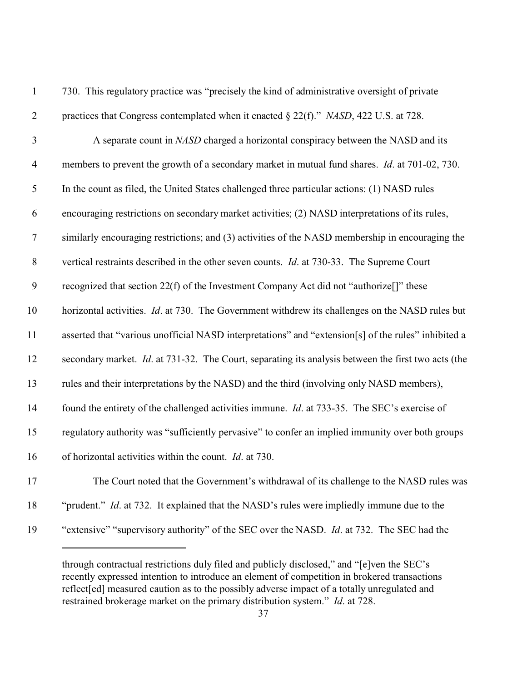| $\mathbf{1}$     | 730. This regulatory practice was "precisely the kind of administrative oversight of private           |
|------------------|--------------------------------------------------------------------------------------------------------|
| $\overline{2}$   | practices that Congress contemplated when it enacted § 22(f)." NASD, 422 U.S. at 728.                  |
| $\mathfrak{Z}$   | A separate count in NASD charged a horizontal conspiracy between the NASD and its                      |
| $\overline{4}$   | members to prevent the growth of a secondary market in mutual fund shares. <i>Id.</i> at 701-02, 730.  |
| 5                | In the count as filed, the United States challenged three particular actions: (1) NASD rules           |
| 6                | encouraging restrictions on secondary market activities; (2) NASD interpretations of its rules,        |
| $\tau$           | similarly encouraging restrictions; and (3) activities of the NASD membership in encouraging the       |
| $8\,$            | vertical restraints described in the other seven counts. <i>Id.</i> at 730-33. The Supreme Court       |
| $\boldsymbol{9}$ | recognized that section 22(f) of the Investment Company Act did not "authorize <sup>[]</sup> " these   |
| 10               | horizontal activities. <i>Id.</i> at 730. The Government withdrew its challenges on the NASD rules but |
| 11               | asserted that "various unofficial NASD interpretations" and "extension[s] of the rules" inhibited a    |
| 12               | secondary market. Id. at 731-32. The Court, separating its analysis between the first two acts (the    |
| 13               | rules and their interpretations by the NASD) and the third (involving only NASD members),              |
| 14               | found the entirety of the challenged activities immune. <i>Id.</i> at 733-35. The SEC's exercise of    |
| 15               | regulatory authority was "sufficiently pervasive" to confer an implied immunity over both groups       |
| 16               | of horizontal activities within the count. <i>Id.</i> at 730.                                          |
| 17               | The Court noted that the Government's withdrawal of its challenge to the NASD rules was                |
| 18               | "prudent." Id. at 732. It explained that the NASD's rules were impliedly immune due to the             |
| 19               | "extensive" "supervisory authority" of the SEC over the NASD. <i>Id.</i> at 732. The SEC had the       |
|                  |                                                                                                        |

through contractual restrictions duly filed and publicly disclosed," and "[e]ven the SEC's recently expressed intention to introduce an element of competition in brokered transactions reflect[ed] measured caution as to the possibly adverse impact of a totally unregulated and restrained brokerage market on the primary distribution system." *Id*. at 728.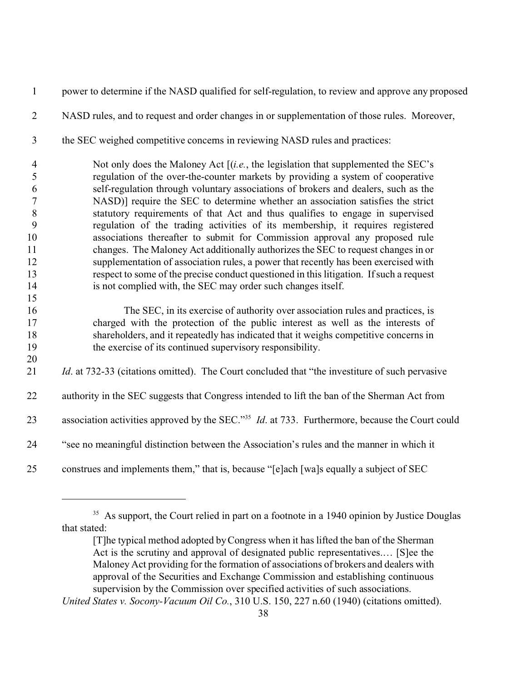power to determine if the NASD qualified for self-regulation, to review and approve any proposed NASD rules, and to request and order changes in or supplementation of those rules. Moreover, the SEC weighed competitive concerns in reviewing NASD rules and practices: Not only does the Maloney Act [(*i.e.*, the legislation that supplemented the SEC's regulation of the over-the-counter markets by providing a system of cooperative self-regulation through voluntary associations of brokers and dealers, such as the NASD)] require the SEC to determine whether an association satisfies the strict statutory requirements of that Act and thus qualifies to engage in supervised regulation of the trading activities of its membership, it requires registered associations thereafter to submit for Commission approval any proposed rule changes. The Maloney Act additionally authorizes the SEC to request changes in or supplementation of association rules, a power that recently has been exercised with respect to some of the precise conduct questioned in this litigation. If such a request is not complied with, the SEC may order such changes itself. The SEC, in its exercise of authority over association rules and practices, is charged with the protection of the public interest as well as the interests of shareholders, and it repeatedly has indicated that it weighs competitive concerns in the exercise of its continued supervisory responsibility. *Id.* at 732-33 (citations omitted). The Court concluded that "the investiture of such pervasive 22 authority in the SEC suggests that Congress intended to lift the ban of the Sherman Act from 23 association activities approved by the SEC."<sup>35</sup> *Id.* at 733. Furthermore, because the Court could "see no meaningful distinction between the Association's rules and the manner in which it construes and implements them," that is, because "[e]ach [wa]s equally a subject of SEC

<sup>&</sup>lt;sup>35</sup> As support, the Court relied in part on a footnote in a 1940 opinion by Justice Douglas that stated:

<sup>[</sup>T]he typical method adopted by Congress when it has lifted the ban of the Sherman Act is the scrutiny and approval of designated public representatives.… [S]ee the Maloney Act providing for the formation of associations of brokers and dealers with approval of the Securities and Exchange Commission and establishing continuous supervision by the Commission over specified activities of such associations.

*United States v. Socony-Vacuum Oil Co.*, 310 U.S. 150, 227 n.60 (1940) (citations omitted).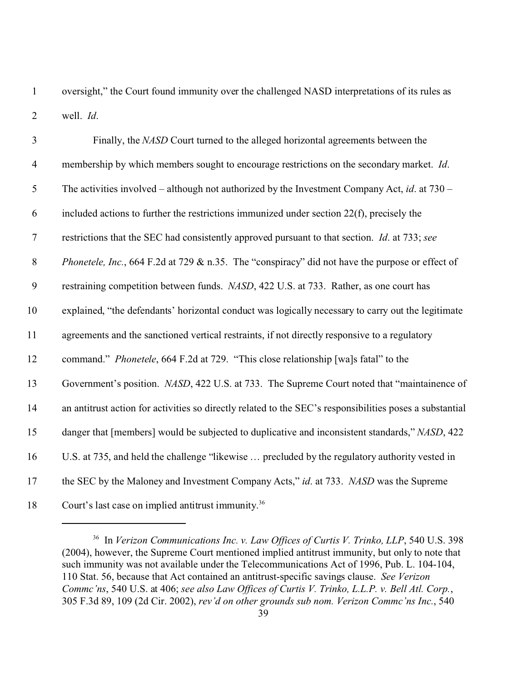oversight," the Court found immunity over the challenged NASD interpretations of its rules as well. *Id*.

| $\mathfrak{Z}$   | Finally, the NASD Court turned to the alleged horizontal agreements between the                          |
|------------------|----------------------------------------------------------------------------------------------------------|
| $\overline{4}$   | membership by which members sought to encourage restrictions on the secondary market. Id.                |
| $\mathfrak{S}$   | The activities involved – although not authorized by the Investment Company Act, id. at $730 -$          |
| 6                | included actions to further the restrictions immunized under section $22(f)$ , precisely the             |
| $\boldsymbol{7}$ | restrictions that the SEC had consistently approved pursuant to that section. <i>Id.</i> at 733; see     |
| $8\,$            | Phonetele, Inc., 664 F.2d at 729 & n.35. The "conspiracy" did not have the purpose or effect of          |
| 9                | restraining competition between funds. NASD, 422 U.S. at 733. Rather, as one court has                   |
| 10               | explained, "the defendants' horizontal conduct was logically necessary to carry out the legitimate       |
| 11               | agreements and the sanctioned vertical restraints, if not directly responsive to a regulatory            |
| 12               | command." <i>Phonetele</i> , 664 F.2d at 729. "This close relationship [wa]s fatal" to the               |
| 13               | Government's position. NASD, 422 U.S. at 733. The Supreme Court noted that "maintainence of              |
| 14               | an antitrust action for activities so directly related to the SEC's responsibilities poses a substantial |
| 15               | danger that [members] would be subjected to duplicative and inconsistent standards," NASD, 422           |
| 16               | U.S. at 735, and held the challenge "likewise  precluded by the regulatory authority vested in           |
| 17               | the SEC by the Maloney and Investment Company Acts," id. at 733. NASD was the Supreme                    |
| 18               | Court's last case on implied antitrust immunity. <sup>36</sup>                                           |

 In *Verizon Communications Inc. v. Law Offices of Curtis V. Trinko, LLP*, 540 U.S. 398 (2004), however, the Supreme Court mentioned implied antitrust immunity, but only to note that such immunity was not available under the Telecommunications Act of 1996, Pub. L. 104-104, 110 Stat. 56, because that Act contained an antitrust-specific savings clause. *See Verizon Commc'ns*, 540 U.S. at 406; *see also Law Offices of Curtis V. Trinko, L.L.P. v. Bell Atl. Corp.*, 305 F.3d 89, 109 (2d Cir. 2002), *rev'd on other grounds sub nom. Verizon Commc'ns Inc.*, 540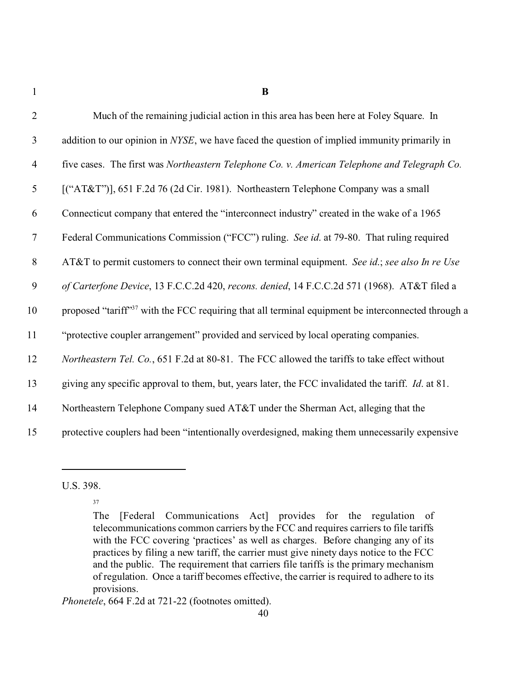1 **B**

| $\overline{2}$ | Much of the remaining judicial action in this area has been here at Foley Square. In                           |
|----------------|----------------------------------------------------------------------------------------------------------------|
| $\mathfrak{Z}$ | addition to our opinion in NYSE, we have faced the question of implied immunity primarily in                   |
| $\overline{4}$ | five cases. The first was Northeastern Telephone Co. v. American Telephone and Telegraph Co.                   |
| 5              | [("AT&T")], 651 F.2d 76 (2d Cir. 1981). Northeastern Telephone Company was a small                             |
| 6              | Connecticut company that entered the "interconnect industry" created in the wake of a 1965                     |
| $\tau$         | Federal Communications Commission ("FCC") ruling. See id. at 79-80. That ruling required                       |
| $8\,$          | AT&T to permit customers to connect their own terminal equipment. See id.; see also In re Use                  |
| 9              | of Carterfone Device, 13 F.C.C.2d 420, recons. denied, 14 F.C.C.2d 571 (1968). AT&T filed a                    |
| 10             | proposed "tariff" <sup>37</sup> with the FCC requiring that all terminal equipment be interconnected through a |
| 11             | "protective coupler arrangement" provided and serviced by local operating companies.                           |
| 12             | Northeastern Tel. Co., 651 F.2d at 80-81. The FCC allowed the tariffs to take effect without                   |
| 13             | giving any specific approval to them, but, years later, the FCC invalidated the tariff. <i>Id.</i> at 81.      |
| 14             | Northeastern Telephone Company sued AT&T under the Sherman Act, alleging that the                              |
| 15             | protective couplers had been "intentionally overdesigned, making them unnecessarily expensive                  |

U.S. 398.

37

*Phonetele*, 664 F.2d at 721-22 (footnotes omitted).

The [Federal Communications Act] provides for the regulation of telecommunications common carriers by the FCC and requires carriers to file tariffs with the FCC covering 'practices' as well as charges. Before changing any of its practices by filing a new tariff, the carrier must give ninety days notice to the FCC and the public. The requirement that carriers file tariffs is the primary mechanism of regulation. Once a tariff becomes effective, the carrier is required to adhere to its provisions.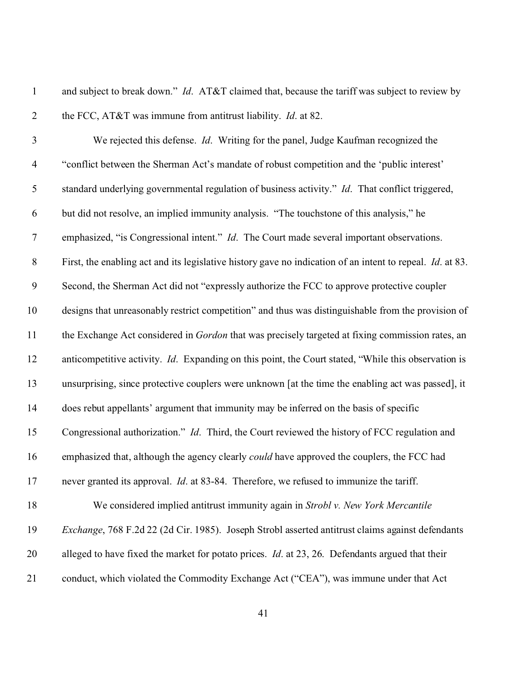and subject to break down." *Id*. AT&T claimed that, because the tariff was subject to review by the FCC, AT&T was immune from antitrust liability. *Id*. at 82. We rejected this defense. *Id*. Writing for the panel, Judge Kaufman recognized the "conflict between the Sherman Act's mandate of robust competition and the 'public interest' standard underlying governmental regulation of business activity." *Id*. That conflict triggered, but did not resolve, an implied immunity analysis. "The touchstone of this analysis," he emphasized, "is Congressional intent." *Id*. The Court made several important observations. First, the enabling act and its legislative history gave no indication of an intent to repeal. *Id*. at 83. Second, the Sherman Act did not "expressly authorize the FCC to approve protective coupler designs that unreasonably restrict competition" and thus was distinguishable from the provision of the Exchange Act considered in *Gordon* that was precisely targeted at fixing commission rates, an anticompetitive activity. *Id*. Expanding on this point, the Court stated, "While this observation is unsurprising, since protective couplers were unknown [at the time the enabling act was passed], it does rebut appellants' argument that immunity may be inferred on the basis of specific Congressional authorization." *Id*. Third, the Court reviewed the history of FCC regulation and emphasized that, although the agency clearly *could* have approved the couplers, the FCC had never granted its approval. *Id*. at 83-84. Therefore, we refused to immunize the tariff. We considered implied antitrust immunity again in *Strobl v. New York Mercantile Exchange*, 768 F.2d 22 (2d Cir. 1985). Joseph Strobl asserted antitrust claims against defendants alleged to have fixed the market for potato prices. *Id*. at 23, 26. Defendants argued that their

21 conduct, which violated the Commodity Exchange Act ("CEA"), was immune under that Act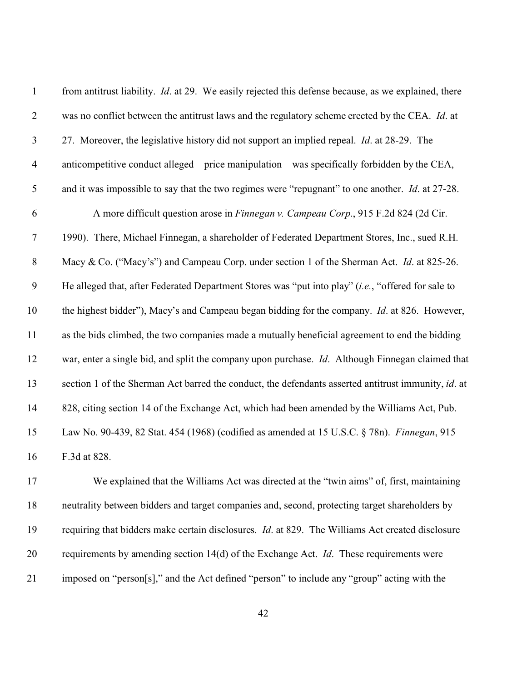| $\mathbf{1}$   | from antitrust liability. <i>Id.</i> at 29. We easily rejected this defense because, as we explained, there |
|----------------|-------------------------------------------------------------------------------------------------------------|
| $\overline{2}$ | was no conflict between the antitrust laws and the regulatory scheme erected by the CEA. Id. at             |
| $\mathfrak{Z}$ | 27. Moreover, the legislative history did not support an implied repeal. <i>Id.</i> at 28-29. The           |
| $\overline{4}$ | anticompetitive conduct alleged – price manipulation – was specifically forbidden by the CEA,               |
| $\mathfrak{S}$ | and it was impossible to say that the two regimes were "repugnant" to one another. <i>Id.</i> at 27-28.     |
| 6              | A more difficult question arose in Finnegan v. Campeau Corp., 915 F.2d 824 (2d Cir.                         |
| $\tau$         | 1990). There, Michael Finnegan, a shareholder of Federated Department Stores, Inc., sued R.H.               |
| $8\,$          | Macy & Co. ("Macy's") and Campeau Corp. under section 1 of the Sherman Act. Id. at 825-26.                  |
| 9              | He alleged that, after Federated Department Stores was "put into play" (i.e., "offered for sale to          |
| 10             | the highest bidder"), Macy's and Campeau began bidding for the company. <i>Id.</i> at 826. However,         |
| 11             | as the bids climbed, the two companies made a mutually beneficial agreement to end the bidding              |
| 12             | war, enter a single bid, and split the company upon purchase. Id. Although Finnegan claimed that            |
| 13             | section 1 of the Sherman Act barred the conduct, the defendants asserted antitrust immunity, id. at         |
| 14             | 828, citing section 14 of the Exchange Act, which had been amended by the Williams Act, Pub.                |
| 15             | Law No. 90-439, 82 Stat. 454 (1968) (codified as amended at 15 U.S.C. § 78n). Finnegan, 915                 |
| 16             | F.3d at 828.                                                                                                |
| 17             | We explained that the Williams Act was directed at the "twin aims" of, first, maintaining                   |
| 18             | neutrality between bidders and target companies and, second, protecting target shareholders by              |
| 19             | requiring that bidders make certain disclosures. <i>Id.</i> at 829. The Williams Act created disclosure     |

imposed on "person[s]," and the Act defined "person" to include any "group" acting with the

requirements by amending section 14(d) of the Exchange Act. *Id*. These requirements were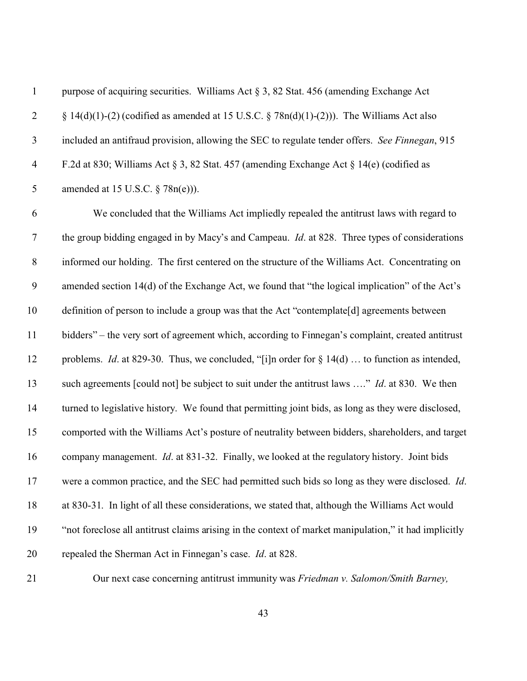| $\mathbf{1}$     | purpose of acquiring securities. Williams Act $\S 3$ , 82 Stat. 456 (amending Exchange Act              |
|------------------|---------------------------------------------------------------------------------------------------------|
| $\overline{2}$   | $\S 14(d)(1)-(2)$ (codified as amended at 15 U.S.C. $\S 78n(d)(1)-(2))$ ). The Williams Act also        |
| $\mathfrak{Z}$   | included an antifraud provision, allowing the SEC to regulate tender offers. See Finnegan, 915          |
| $\overline{4}$   | F.2d at 830; Williams Act § 3, 82 Stat. 457 (amending Exchange Act § 14(e) (codified as                 |
| 5                | amended at 15 U.S.C. $\S$ 78n(e))).                                                                     |
| 6                | We concluded that the Williams Act impliedly repealed the antitrust laws with regard to                 |
| $\boldsymbol{7}$ | the group bidding engaged in by Macy's and Campeau. <i>Id.</i> at 828. Three types of considerations    |
| $8\,$            | informed our holding. The first centered on the structure of the Williams Act. Concentrating on         |
| 9                | amended section 14(d) of the Exchange Act, we found that "the logical implication" of the Act's         |
| 10               | definition of person to include a group was that the Act "contemplate[d] agreements between             |
| 11               | bidders" – the very sort of agreement which, according to Finnegan's complaint, created antitrust       |
| 12               | problems. <i>Id.</i> at 829-30. Thus, we concluded, "[i]n order for $\S 14(d)$ to function as intended, |
| 13               | such agreements [could not] be subject to suit under the antitrust laws " Id. at 830. We then           |
| 14               | turned to legislative history. We found that permitting joint bids, as long as they were disclosed,     |
| 15               | comported with the Williams Act's posture of neutrality between bidders, shareholders, and target       |
| 16               | company management. <i>Id.</i> at 831-32. Finally, we looked at the regulatory history. Joint bids      |
| 17               | were a common practice, and the SEC had permitted such bids so long as they were disclosed. Id.         |
| 18               | at 830-31. In light of all these considerations, we stated that, although the Williams Act would        |
| 19               | "not foreclose all antitrust claims arising in the context of market manipulation," it had implicitly   |
| 20               | repealed the Sherman Act in Finnegan's case. Id. at 828.                                                |
| 21               | Our next case concerning antitrust immunity was Friedman v. Salomon/Smith Barney,                       |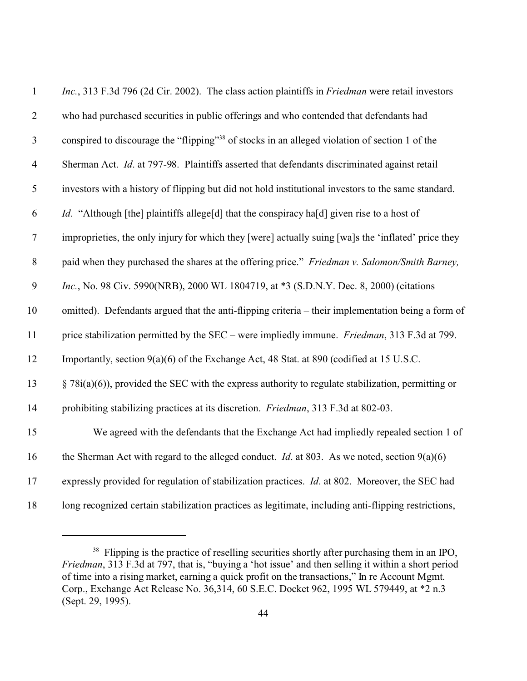| $\mathbf{1}$   | <i>Inc.</i> , 313 F.3d 796 (2d Cir. 2002). The class action plaintiffs in <i>Friedman</i> were retail investors |
|----------------|-----------------------------------------------------------------------------------------------------------------|
| $\overline{2}$ | who had purchased securities in public offerings and who contended that defendants had                          |
| $\mathfrak{Z}$ | conspired to discourage the "flipping" <sup>38</sup> of stocks in an alleged violation of section 1 of the      |
| $\overline{4}$ | Sherman Act. <i>Id.</i> at 797-98. Plaintiffs asserted that defendants discriminated against retail             |
| 5              | investors with a history of flipping but did not hold institutional investors to the same standard.             |
| 6              | <i>Id.</i> "Although [the] plaintiffs allege[d] that the conspiracy ha[d] given rise to a host of               |
| $\tau$         | improprieties, the only injury for which they [were] actually suing [wa]s the 'inflated' price they             |
| $\,8\,$        | paid when they purchased the shares at the offering price." Friedman v. Salomon/Smith Barney,                   |
| $\mathfrak{g}$ | Inc., No. 98 Civ. 5990(NRB), 2000 WL 1804719, at *3 (S.D.N.Y. Dec. 8, 2000) (citations                          |
| 10             | omitted). Defendants argued that the anti-flipping criteria – their implementation being a form of              |
| 11             | price stabilization permitted by the SEC – were impliedly immune. <i>Friedman</i> , 313 F.3d at 799.            |
| 12             | Importantly, section 9(a)(6) of the Exchange Act, 48 Stat. at 890 (codified at 15 U.S.C.                        |
| 13             | $\S$ 78i(a)(6)), provided the SEC with the express authority to regulate stabilization, permitting or           |
| 14             | prohibiting stabilizing practices at its discretion. Friedman, 313 F.3d at 802-03.                              |
| 15             | We agreed with the defendants that the Exchange Act had impliedly repealed section 1 of                         |
| 16             | the Sherman Act with regard to the alleged conduct. <i>Id.</i> at 803. As we noted, section $9(a)(6)$           |
| 17             | expressly provided for regulation of stabilization practices. <i>Id.</i> at 802. Moreover, the SEC had          |
| 18             | long recognized certain stabilization practices as legitimate, including anti-flipping restrictions,            |

<sup>&</sup>lt;sup>38</sup> Flipping is the practice of reselling securities shortly after purchasing them in an IPO, *Friedman*, 313 F.3d at 797, that is, "buying a 'hot issue' and then selling it within a short period of time into a rising market, earning a quick profit on the transactions," In re Account Mgmt. Corp., Exchange Act Release No. 36,314, 60 S.E.C. Docket 962, 1995 WL 579449, at \*2 n.3 (Sept. 29, 1995).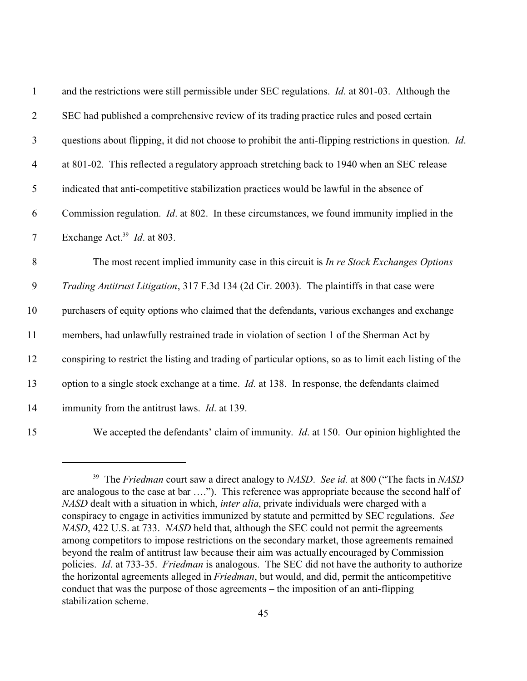| $\mathbf{1}$   | and the restrictions were still permissible under SEC regulations. <i>Id.</i> at 801-03. Although the    |
|----------------|----------------------------------------------------------------------------------------------------------|
| $\overline{2}$ | SEC had published a comprehensive review of its trading practice rules and posed certain                 |
| 3              | questions about flipping, it did not choose to prohibit the anti-flipping restrictions in question. Id.  |
| $\overline{4}$ | at 801-02. This reflected a regulatory approach stretching back to 1940 when an SEC release              |
| $\mathfrak s$  | indicated that anti-competitive stabilization practices would be lawful in the absence of                |
| 6              | Commission regulation. <i>Id.</i> at 802. In these circumstances, we found immunity implied in the       |
| $\tau$         | Exchange Act. <sup>39</sup> <i>Id.</i> at 803.                                                           |
| 8              | The most recent implied immunity case in this circuit is <i>In re Stock Exchanges Options</i>            |
| 9              | Trading Antitrust Litigation, 317 F.3d 134 (2d Cir. 2003). The plaintiffs in that case were              |
| 10             | purchasers of equity options who claimed that the defendants, various exchanges and exchange             |
| 11             | members, had unlawfully restrained trade in violation of section 1 of the Sherman Act by                 |
| 12             | conspiring to restrict the listing and trading of particular options, so as to limit each listing of the |
| 13             | option to a single stock exchange at a time. <i>Id.</i> at 138. In response, the defendants claimed      |
| 14             | immunity from the antitrust laws. <i>Id.</i> at 139.                                                     |
| 15             | We accepted the defendants' claim of immunity. <i>Id.</i> at 150. Our opinion highlighted the            |

 The *Friedman* court saw a direct analogy to *NASD*. *See id.* at 800 ("The facts in *NASD* are analogous to the case at bar …."). This reference was appropriate because the second half of *NASD* dealt with a situation in which, *inter alia*, private individuals were charged with a conspiracy to engage in activities immunized by statute and permitted by SEC regulations. *See NASD*, 422 U.S. at 733. *NASD* held that, although the SEC could not permit the agreements among competitors to impose restrictions on the secondary market, those agreements remained beyond the realm of antitrust law because their aim was actually encouraged by Commission policies. *Id*. at 733-35. *Friedman* is analogous. The SEC did not have the authority to authorize the horizontal agreements alleged in *Friedman*, but would, and did, permit the anticompetitive conduct that was the purpose of those agreements – the imposition of an anti-flipping stabilization scheme.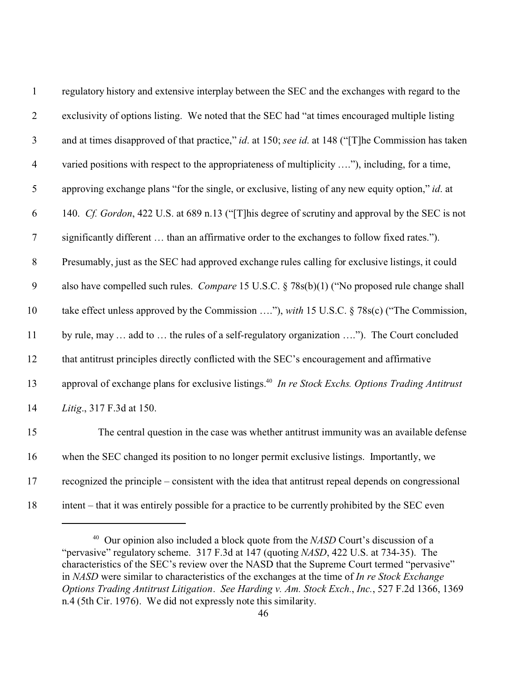| $\mathbf{1}$     | regulatory history and extensive interplay between the SEC and the exchanges with regard to the               |
|------------------|---------------------------------------------------------------------------------------------------------------|
| $\overline{2}$   | exclusivity of options listing. We noted that the SEC had "at times encouraged multiple listing               |
| 3                | and at times disapproved of that practice," id. at 150; see id. at 148 ("[T]he Commission has taken           |
| $\overline{4}$   | varied positions with respect to the appropriateness of multiplicity "), including, for a time,               |
| $\mathfrak s$    | approving exchange plans "for the single, or exclusive, listing of any new equity option," id. at             |
| 6                | 140. Cf. Gordon, 422 U.S. at 689 n.13 ("[T] his degree of scrutiny and approval by the SEC is not             |
| $\boldsymbol{7}$ | significantly different  than an affirmative order to the exchanges to follow fixed rates.").                 |
| $8\,$            | Presumably, just as the SEC had approved exchange rules calling for exclusive listings, it could              |
| 9                | also have compelled such rules. Compare 15 U.S.C. § 78s(b)(1) ("No proposed rule change shall                 |
| 10               | take effect unless approved by the Commission "), with 15 U.S.C. § 78s(c) ("The Commission,                   |
| 11               | by rule, may  add to  the rules of a self-regulatory organization "). The Court concluded                     |
| 12               | that antitrust principles directly conflicted with the SEC's encouragement and affirmative                    |
| 13               | approval of exchange plans for exclusive listings. <sup>40</sup> In re Stock Exchs. Options Trading Antitrust |
| 14               | Litig., 317 F.3d at 150.                                                                                      |
| 15               | The central question in the case was whether antitrust immunity was an available defense                      |
| 16               | when the SEC changed its position to no longer permit exclusive listings. Importantly, we                     |
| $17$             | recognized the principle – consistent with the idea that antitrust repeal depends on congressional            |
| 18               | intent – that it was entirely possible for a practice to be currently prohibited by the SEC even              |

 Our opinion also included a block quote from the *NASD* Court's discussion of a "pervasive" regulatory scheme. 317 F.3d at 147 (quoting *NASD*, 422 U.S. at 734-35). The characteristics of the SEC's review over the NASD that the Supreme Court termed "pervasive" in *NASD* were similar to characteristics of the exchanges at the time of *In re Stock Exchange Options Trading Antitrust Litigation*. *See Harding v. Am. Stock Exch.*, *Inc.*, 527 F.2d 1366, 1369 n.4 (5th Cir. 1976). We did not expressly note this similarity.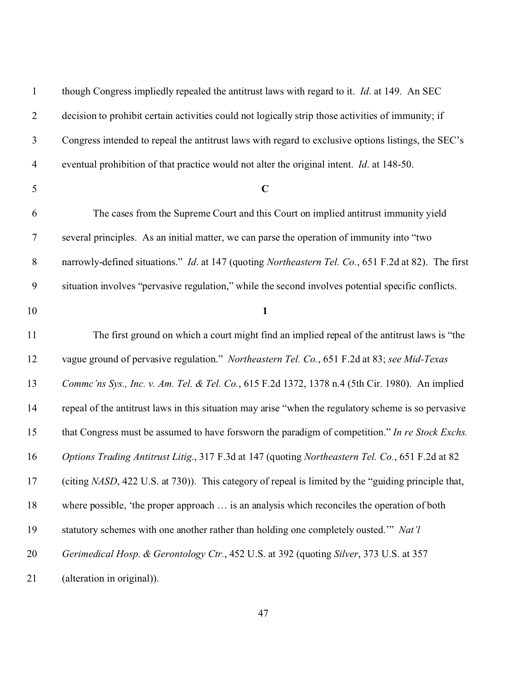| $\mathbf{1}$             | though Congress impliedly repealed the antitrust laws with regard to it. <i>Id.</i> at 149. An SEC   |
|--------------------------|------------------------------------------------------------------------------------------------------|
| $\overline{2}$           | decision to prohibit certain activities could not logically strip those activities of immunity; if   |
| $\mathfrak{Z}$           | Congress intended to repeal the antitrust laws with regard to exclusive options listings, the SEC's  |
| $\overline{\mathcal{A}}$ | eventual prohibition of that practice would not alter the original intent. <i>Id.</i> at 148-50.     |
| 5                        | $\mathbf C$                                                                                          |
| 6                        | The cases from the Supreme Court and this Court on implied antitrust immunity yield                  |
| $\tau$                   | several principles. As an initial matter, we can parse the operation of immunity into "two           |
| $8\,$                    | narrowly-defined situations." Id. at 147 (quoting Northeastern Tel. Co., 651 F.2d at 82). The first  |
| $\mathbf{9}$             | situation involves "pervasive regulation," while the second involves potential specific conflicts.   |
| 10                       | $\mathbf{1}$                                                                                         |
| 11                       | The first ground on which a court might find an implied repeal of the antitrust laws is "the         |
| 12                       | vague ground of pervasive regulation." Northeastern Tel. Co., 651 F.2d at 83; see Mid-Texas          |
| 13                       | Commc'ns Sys., Inc. v. Am. Tel. & Tel. Co., 615 F.2d 1372, 1378 n.4 (5th Cir. 1980). An implied      |
| 14                       | repeal of the antitrust laws in this situation may arise "when the regulatory scheme is so pervasive |
| 15                       | that Congress must be assumed to have forsworn the paradigm of competition." In re Stock Exchs.      |
| 16                       | Options Trading Antitrust Litig., 317 F.3d at 147 (quoting Northeastern Tel. Co., 651 F.2d at 82     |
| 17                       | (citing NASD, 422 U.S. at 730)). This category of repeal is limited by the "guiding principle that,  |
| 18                       | where possible, 'the proper approach  is an analysis which reconciles the operation of both          |
| 19                       | statutory schemes with one another rather than holding one completely ousted." Nat'l                 |
| 20                       | Gerimedical Hosp. & Gerontology Ctr., 452 U.S. at 392 (quoting Silver, 373 U.S. at 357               |
| 21                       | (alteration in original)).                                                                           |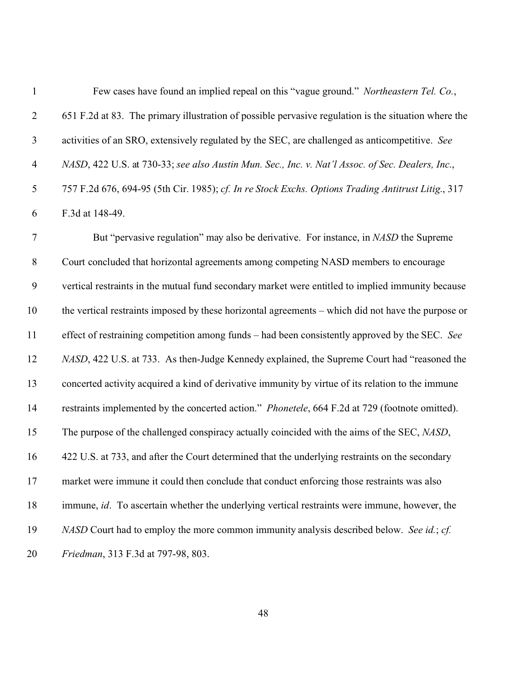| $\mathbf{1}$             | Few cases have found an implied repeal on this "vague ground." Northeastern Tel. Co.,                 |
|--------------------------|-------------------------------------------------------------------------------------------------------|
| $\overline{2}$           | 651 F.2d at 83. The primary illustration of possible pervasive regulation is the situation where the  |
| $\mathfrak{Z}$           | activities of an SRO, extensively regulated by the SEC, are challenged as anticompetitive. See        |
| $\overline{\mathcal{A}}$ | NASD, 422 U.S. at 730-33; see also Austin Mun. Sec., Inc. v. Nat'l Assoc. of Sec. Dealers, Inc.,      |
| 5                        | 757 F.2d 676, 694-95 (5th Cir. 1985); cf. In re Stock Exchs. Options Trading Antitrust Litig., 317    |
| 6                        | F.3d at 148-49.                                                                                       |
| $\tau$                   | But "pervasive regulation" may also be derivative. For instance, in NASD the Supreme                  |
| $8\,$                    | Court concluded that horizontal agreements among competing NASD members to encourage                  |
| $\mathbf{9}$             | vertical restraints in the mutual fund secondary market were entitled to implied immunity because     |
| 10                       | the vertical restraints imposed by these horizontal agreements – which did not have the purpose or    |
| 11                       | effect of restraining competition among funds – had been consistently approved by the SEC. See        |
| 12                       | NASD, 422 U.S. at 733. As then-Judge Kennedy explained, the Supreme Court had "reasoned the           |
| 13                       | concerted activity acquired a kind of derivative immunity by virtue of its relation to the immune     |
| 14                       | restraints implemented by the concerted action." Phonetele, 664 F.2d at 729 (footnote omitted).       |
| 15                       | The purpose of the challenged conspiracy actually coincided with the aims of the SEC, NASD,           |
| 16                       | 422 U.S. at 733, and after the Court determined that the underlying restraints on the secondary       |
| 17                       | market were immune it could then conclude that conduct enforcing those restraints was also            |
| 18                       | immune, <i>id</i> . To ascertain whether the underlying vertical restraints were immune, however, the |
| 19                       | NASD Court had to employ the more common immunity analysis described below. See id.; cf.              |
| 20                       | Friedman, 313 F.3d at 797-98, 803.                                                                    |
|                          |                                                                                                       |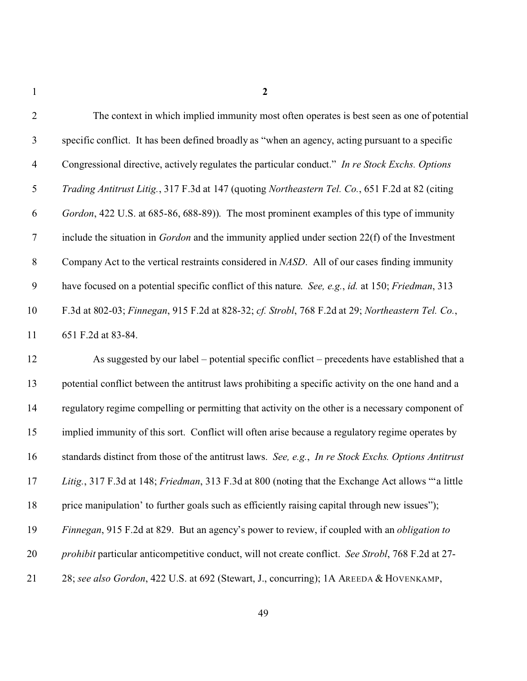| $\overline{2}$ | The context in which implied immunity most often operates is best seen as one of potential              |
|----------------|---------------------------------------------------------------------------------------------------------|
| 3              | specific conflict. It has been defined broadly as "when an agency, acting pursuant to a specific        |
| $\overline{4}$ | Congressional directive, actively regulates the particular conduct." In re Stock Exchs. Options         |
| 5              | Trading Antitrust Litig., 317 F.3d at 147 (quoting Northeastern Tel. Co., 651 F.2d at 82 (citing        |
| 6              | Gordon, 422 U.S. at 685-86, 688-89)). The most prominent examples of this type of immunity              |
| $\overline{7}$ | include the situation in <i>Gordon</i> and the immunity applied under section $22(f)$ of the Investment |
| $8\,$          | Company Act to the vertical restraints considered in NASD. All of our cases finding immunity            |
| 9              | have focused on a potential specific conflict of this nature. See, e.g., id. at 150; Friedman, 313      |
| 10             | F.3d at 802-03; Finnegan, 915 F.2d at 828-32; cf. Strobl, 768 F.2d at 29; Northeastern Tel. Co.,        |
| 11             | 651 F.2d at 83-84.                                                                                      |
| 12             | As suggested by our label – potential specific conflict – precedents have established that a            |
| 13             | potential conflict between the antitrust laws prohibiting a specific activity on the one hand and a     |
| 14             | regulatory regime compelling or permitting that activity on the other is a necessary component of       |
| 15             | implied immunity of this sort. Conflict will often arise because a regulatory regime operates by        |
| 16             | standards distinct from those of the antitrust laws. See, e.g., In re Stock Exchs. Options Antitrust    |
| 17             | Litig., 317 F.3d at 148; Friedman, 313 F.3d at 800 (noting that the Exchange Act allows "a little       |
| 18             | price manipulation' to further goals such as efficiently raising capital through new issues");          |
| 19             | Finnegan, 915 F.2d at 829. But an agency's power to review, if coupled with an <i>obligation to</i>     |
| 20             | prohibit particular anticompetitive conduct, will not create conflict. See Strobl, 768 F.2d at 27-      |
| 21             | 28; see also Gordon, 422 U.S. at 692 (Stewart, J., concurring); 1A AREEDA & HOVENKAMP,                  |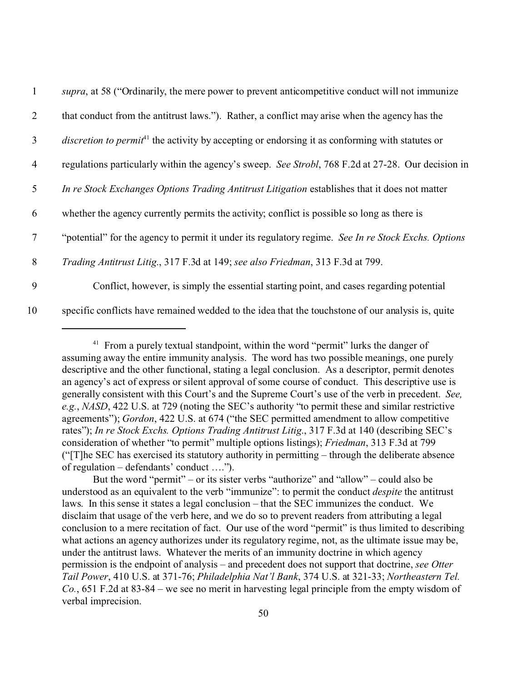| $\mathbf{1}$   | supra, at 58 ("Ordinarily, the mere power to prevent anticompetitive conduct will not immunize                     |
|----------------|--------------------------------------------------------------------------------------------------------------------|
| 2              | that conduct from the antitrust laws."). Rather, a conflict may arise when the agency has the                      |
| $\mathfrak{Z}$ | <i>discretion to permit</i> <sup>41</sup> the activity by accepting or endorsing it as conforming with statutes or |
| $\overline{4}$ | regulations particularly within the agency's sweep. See Strobl, 768 F.2d at 27-28. Our decision in                 |
| 5              | In re Stock Exchanges Options Trading Antitrust Litigation establishes that it does not matter                     |
| 6              | whether the agency currently permits the activity; conflict is possible so long as there is                        |
| $\tau$         | "potential" for the agency to permit it under its regulatory regime. See In re Stock Exchs. Options                |
| 8              | Trading Antitrust Litig., 317 F.3d at 149; see also Friedman, 313 F.3d at 799.                                     |
| 9              | Conflict, however, is simply the essential starting point, and cases regarding potential                           |
| 10             | specific conflicts have remained wedded to the idea that the touchstone of our analysis is, quite                  |

<sup>&</sup>lt;sup>41</sup> From a purely textual standpoint, within the word "permit" lurks the danger of assuming away the entire immunity analysis. The word has two possible meanings, one purely descriptive and the other functional, stating a legal conclusion. As a descriptor, permit denotes an agency's act of express or silent approval of some course of conduct. This descriptive use is generally consistent with this Court's and the Supreme Court's use of the verb in precedent. *See, e.g.*, *NASD*, 422 U.S. at 729 (noting the SEC's authority "to permit these and similar restrictive agreements"); *Gordon*, 422 U.S. at 674 ("the SEC permitted amendment to allow competitive rates"); *In re Stock Exchs. Options Trading Antitrust Litig*., 317 F.3d at 140 (describing SEC's consideration of whether "to permit" multiple options listings); *Friedman*, 313 F.3d at 799 ("[T]he SEC has exercised its statutory authority in permitting – through the deliberate absence of regulation – defendants' conduct ….").

But the word "permit" – or its sister verbs "authorize" and "allow" – could also be understood as an equivalent to the verb "immunize": to permit the conduct *despite* the antitrust laws. In this sense it states a legal conclusion – that the SEC immunizes the conduct. We disclaim that usage of the verb here, and we do so to prevent readers from attributing a legal conclusion to a mere recitation of fact. Our use of the word "permit" is thus limited to describing what actions an agency authorizes under its regulatory regime, not, as the ultimate issue may be, under the antitrust laws. Whatever the merits of an immunity doctrine in which agency permission is the endpoint of analysis – and precedent does not support that doctrine, *see Otter Tail Power*, 410 U.S. at 371-76; *Philadelphia Nat'l Bank*, 374 U.S. at 321-33; *Northeastern Tel. Co.*, 651 F.2d at 83-84 – we see no merit in harvesting legal principle from the empty wisdom of verbal imprecision.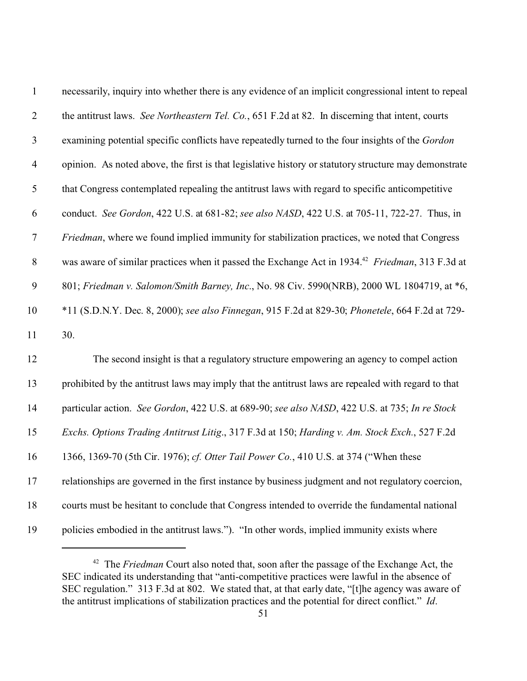| $\mathbf{1}$   | necessarily, inquiry into whether there is any evidence of an implicit congressional intent to repeal       |
|----------------|-------------------------------------------------------------------------------------------------------------|
| $\overline{2}$ | the antitrust laws. See Northeastern Tel. Co., 651 F.2d at 82. In discerning that intent, courts            |
| $\mathfrak{Z}$ | examining potential specific conflicts have repeatedly turned to the four insights of the Gordon            |
| $\overline{4}$ | opinion. As noted above, the first is that legislative history or statutory structure may demonstrate       |
| $\mathfrak{S}$ | that Congress contemplated repealing the antitrust laws with regard to specific anticompetitive             |
| 6              | conduct. See Gordon, 422 U.S. at 681-82; see also NASD, 422 U.S. at 705-11, 722-27. Thus, in                |
| $\tau$         | <i>Friedman</i> , where we found implied immunity for stabilization practices, we noted that Congress       |
| $8\,$          | was aware of similar practices when it passed the Exchange Act in 1934. <sup>42</sup> Friedman, 313 F.3d at |
| 9              | 801; Friedman v. Salomon/Smith Barney, Inc., No. 98 Civ. 5990(NRB), 2000 WL 1804719, at *6,                 |
| 10             | *11 (S.D.N.Y. Dec. 8, 2000); see also Finnegan, 915 F.2d at 829-30; Phonetele, 664 F.2d at 729-             |
| 11             | 30.                                                                                                         |
| 12             | The second insight is that a regulatory structure empowering an agency to compel action                     |
| 13             | prohibited by the antitrust laws may imply that the antitrust laws are repealed with regard to that         |
| 14             | particular action. See Gordon, 422 U.S. at 689-90; see also NASD, 422 U.S. at 735; In re Stock              |
| 15             | Exchs. Options Trading Antitrust Litig., 317 F.3d at 150; Harding v. Am. Stock Exch., 527 F.2d              |
| 16             | 1366, 1369-70 (5th Cir. 1976); cf. Otter Tail Power Co., 410 U.S. at 374 ("When these                       |
| 17             | relationships are governed in the first instance by business judgment and not regulatory coercion,          |
| 18             | courts must be hesitant to conclude that Congress intended to override the fundamental national             |
| 19             | policies embodied in the antitrust laws."). "In other words, implied immunity exists where                  |

<sup>&</sup>lt;sup>42</sup> The *Friedman* Court also noted that, soon after the passage of the Exchange Act, the SEC indicated its understanding that "anti-competitive practices were lawful in the absence of SEC regulation." 313 F.3d at 802. We stated that, at that early date, "[t]he agency was aware of the antitrust implications of stabilization practices and the potential for direct conflict." *Id*.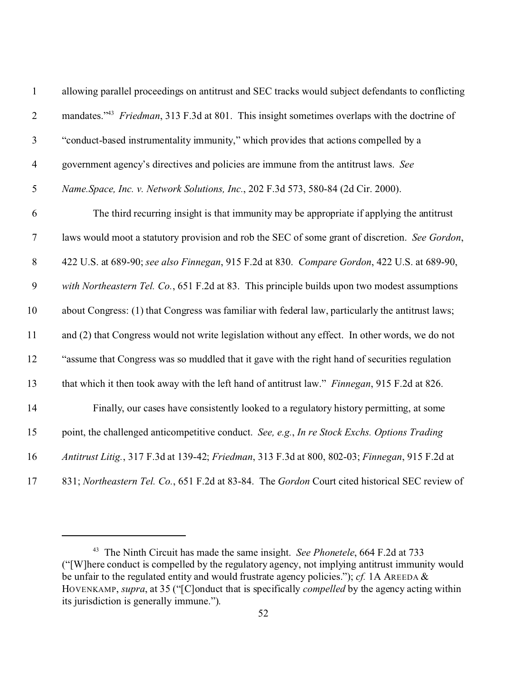| $\mathbf 1$      | allowing parallel proceedings on antitrust and SEC tracks would subject defendants to conflicting        |
|------------------|----------------------------------------------------------------------------------------------------------|
| $\mathbf{2}$     | mandates." <sup>43</sup> Friedman, 313 F.3d at 801. This insight sometimes overlaps with the doctrine of |
| $\mathfrak{Z}$   | "conduct-based instrumentality immunity," which provides that actions compelled by a                     |
| $\overline{4}$   | government agency's directives and policies are immune from the antitrust laws. See                      |
| 5                | Name.Space, Inc. v. Network Solutions, Inc., 202 F.3d 573, 580-84 (2d Cir. 2000).                        |
| 6                | The third recurring insight is that immunity may be appropriate if applying the antitrust                |
| $\boldsymbol{7}$ | laws would moot a statutory provision and rob the SEC of some grant of discretion. See Gordon,           |
| 8                | 422 U.S. at 689-90; see also Finnegan, 915 F.2d at 830. Compare Gordon, 422 U.S. at 689-90,              |
| 9                | with Northeastern Tel. Co., 651 F.2d at 83. This principle builds upon two modest assumptions            |
| 10               | about Congress: (1) that Congress was familiar with federal law, particularly the antitrust laws;        |
| 11               | and (2) that Congress would not write legislation without any effect. In other words, we do not          |
| 12               | "assume that Congress was so muddled that it gave with the right hand of securities regulation           |
| 13               | that which it then took away with the left hand of antitrust law." Finnegan, 915 F.2d at 826.            |
| 14               | Finally, our cases have consistently looked to a regulatory history permitting, at some                  |
| 15               | point, the challenged anticompetitive conduct. See, e.g., In re Stock Exchs. Options Trading             |
| 16               | Antitrust Litig., 317 F.3d at 139-42; Friedman, 313 F.3d at 800, 802-03; Finnegan, 915 F.2d at           |
| 17               | 831; Northeastern Tel. Co., 651 F.2d at 83-84. The Gordon Court cited historical SEC review of           |

 The Ninth Circuit has made the same insight. *See Phonetele*, 664 F.2d at 733 ("[W]here conduct is compelled by the regulatory agency, not implying antitrust immunity would be unfair to the regulated entity and would frustrate agency policies."); *cf.* 1A AREEDA & HOVENKAMP, *supra*, at 35 ("[C]onduct that is specifically *compelled* by the agency acting within its jurisdiction is generally immune.").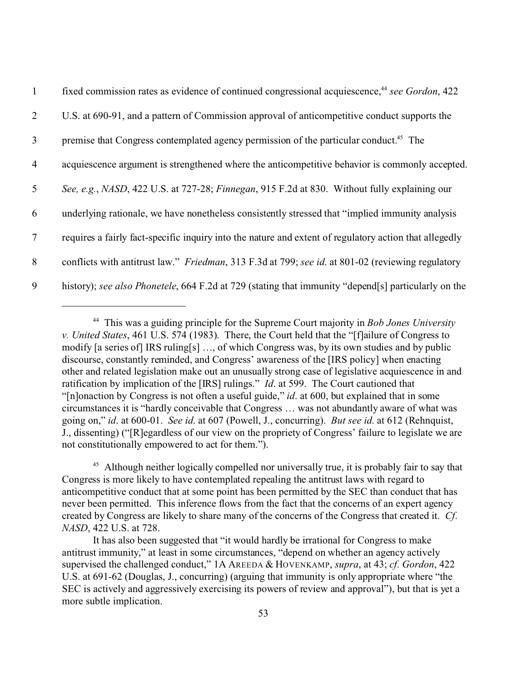| $\mathbf{1}$    | fixed commission rates as evidence of continued congressional acquiescence, <sup>44</sup> see Gordon, 422 |
|-----------------|-----------------------------------------------------------------------------------------------------------|
| $\overline{2}$  | U.S. at 690-91, and a pattern of Commission approval of anticompetitive conduct supports the              |
| $\mathfrak{Z}$  | premise that Congress contemplated agency permission of the particular conduct. <sup>45</sup> The         |
| $\overline{4}$  | acquiescence argument is strengthened where the anticompetitive behavior is commonly accepted.            |
| $5\overline{)}$ | See, e.g., NASD, 422 U.S. at 727-28; Finnegan, 915 F.2d at 830. Without fully explaining our              |
| 6               | underlying rationale, we have nonetheless consistently stressed that "implied immunity analysis           |
| $7\phantom{.0}$ | requires a fairly fact-specific inquiry into the nature and extent of regulatory action that allegedly    |
| 8               | conflicts with antitrust law." Friedman, 313 F.3d at 799; see id. at 801-02 (reviewing regulatory         |
| 9               | history); see also Phonetele, 664 F.2d at 729 (stating that immunity "depend[s] particularly on the       |

<sup>44</sup> This was a guiding principle for the Supreme Court majority in *Bob Jones University v. United States*, 461 U.S. 574 (1983). There, the Court held that the "[f]ailure of Congress to modify [a series of] IRS ruling[s] …, of which Congress was, by its own studies and by public discourse, constantly reminded, and Congress' awareness of the [IRS policy] when enacting other and related legislation make out an unusually strong case of legislative acquiescence in and ratification by implication of the [IRS] rulings." *Id*. at 599. The Court cautioned that "[n]onaction by Congress is not often a useful guide," *id*. at 600, but explained that in some circumstances it is "hardly conceivable that Congress … was not abundantly aware of what was going on," *id*. at 600-01. *See id*. at 607 (Powell, J., concurring). *But see id*. at 612 (Rehnquist, J., dissenting) ("[R]egardless of our view on the propriety of Congress' failure to legislate we are not constitutionally empowered to act for them.").

<sup>&</sup>lt;sup>45</sup> Although neither logically compelled nor universally true, it is probably fair to say that Congress is more likely to have contemplated repealing the antitrust laws with regard to anticompetitive conduct that at some point has been permitted by the SEC than conduct that has never been permitted. This inference flows from the fact that the concerns of an expert agency created by Congress are likely to share many of the concerns of the Congress that created it. *Cf*. *NASD*, 422 U.S. at 728.

It has also been suggested that "it would hardly be irrational for Congress to make antitrust immunity," at least in some circumstances, "depend on whether an agency actively supervised the challenged conduct," 1A AREEDA & HOVENKAMP, *supra*, at 43; *cf*. *Gordon*, 422 U.S. at 691-62 (Douglas, J., concurring) (arguing that immunity is only appropriate where "the SEC is actively and aggressively exercising its powers of review and approval"), but that is yet a more subtle implication.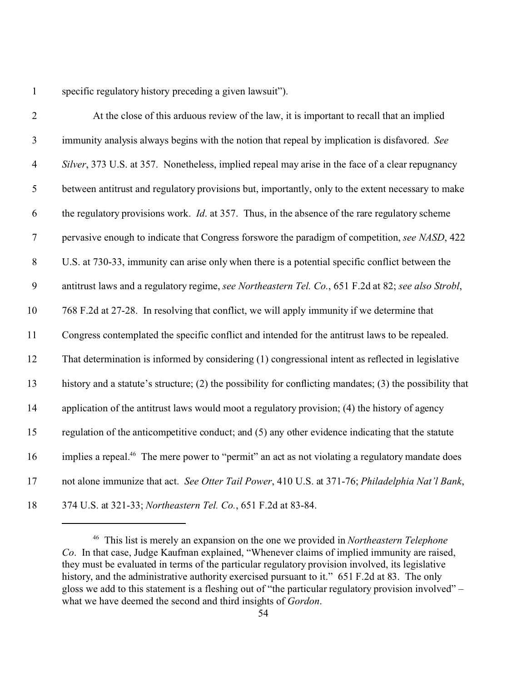specific regulatory history preceding a given lawsuit").

| $\mathbf{2}$   | At the close of this arduous review of the law, it is important to recall that an implied                    |
|----------------|--------------------------------------------------------------------------------------------------------------|
| $\mathfrak{Z}$ | immunity analysis always begins with the notion that repeal by implication is disfavored. See                |
| $\overline{4}$ | Silver, 373 U.S. at 357. Nonetheless, implied repeal may arise in the face of a clear repugnancy             |
| 5              | between antitrust and regulatory provisions but, importantly, only to the extent necessary to make           |
| 6              | the regulatory provisions work. <i>Id.</i> at 357. Thus, in the absence of the rare regulatory scheme        |
| $\tau$         | pervasive enough to indicate that Congress forswore the paradigm of competition, see NASD, 422               |
| $8\,$          | U.S. at 730-33, immunity can arise only when there is a potential specific conflict between the              |
| 9              | antitrust laws and a regulatory regime, see Northeastern Tel. Co., 651 F.2d at 82; see also Strobl,          |
| 10             | 768 F.2d at 27-28. In resolving that conflict, we will apply immunity if we determine that                   |
| 11             | Congress contemplated the specific conflict and intended for the antitrust laws to be repealed.              |
| 12             | That determination is informed by considering (1) congressional intent as reflected in legislative           |
| 13             | history and a statute's structure; (2) the possibility for conflicting mandates; (3) the possibility that    |
| 14             | application of the antitrust laws would moot a regulatory provision; (4) the history of agency               |
| 15             | regulation of the anticompetitive conduct; and (5) any other evidence indicating that the statute            |
| 16             | implies a repeal. <sup>46</sup> The mere power to "permit" an act as not violating a regulatory mandate does |
| 17             | not alone immunize that act. See Otter Tail Power, 410 U.S. at 371-76; Philadelphia Nat'l Bank,              |
| 18             | 374 U.S. at 321-33; Northeastern Tel. Co., 651 F.2d at 83-84.                                                |

 This list is merely an expansion on the one we provided in *Northeastern Telephone Co*. In that case, Judge Kaufman explained, "Whenever claims of implied immunity are raised, they must be evaluated in terms of the particular regulatory provision involved, its legislative history, and the administrative authority exercised pursuant to it." 651 F.2d at 83. The only gloss we add to this statement is a fleshing out of "the particular regulatory provision involved" – what we have deemed the second and third insights of *Gordon*.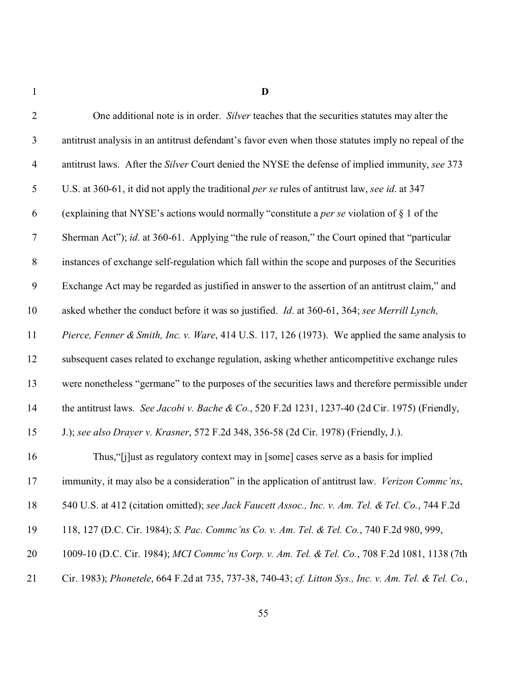**D**

| $\overline{2}$ | One additional note is in order. Silver teaches that the securities statutes may alter the            |
|----------------|-------------------------------------------------------------------------------------------------------|
| $\mathfrak{Z}$ | antitrust analysis in an antitrust defendant's favor even when those statutes imply no repeal of the  |
| $\overline{4}$ | antitrust laws. After the Silver Court denied the NYSE the defense of implied immunity, see 373       |
| $\sqrt{5}$     | U.S. at 360-61, it did not apply the traditional per se rules of antitrust law, see id. at 347        |
| 6              | (explaining that NYSE's actions would normally "constitute a <i>per se</i> violation of $\S$ 1 of the |
| $\tau$         | Sherman Act"); id. at 360-61. Applying "the rule of reason," the Court opined that "particular        |
| $8\,$          | instances of exchange self-regulation which fall within the scope and purposes of the Securities      |
| $\mathbf{9}$   | Exchange Act may be regarded as justified in answer to the assertion of an antitrust claim," and      |
| 10             | asked whether the conduct before it was so justified. Id. at 360-61, 364; see Merrill Lynch,          |
| 11             | Pierce, Fenner & Smith, Inc. v. Ware, 414 U.S. 117, 126 (1973). We applied the same analysis to       |
| 12             | subsequent cases related to exchange regulation, asking whether anticompetitive exchange rules        |
| 13             | were nonetheless "germane" to the purposes of the securities laws and therefore permissible under     |
| 14             | the antitrust laws. See Jacobi v. Bache & Co., 520 F.2d 1231, 1237-40 (2d Cir. 1975) (Friendly,       |
| 15             | J.); see also Drayer v. Krasner, 572 F.2d 348, 356-58 (2d Cir. 1978) (Friendly, J.).                  |
| 16             | Thus, "[j]ust as regulatory context may in [some] cases serve as a basis for implied                  |
| 17             | immunity, it may also be a consideration" in the application of antitrust law. Verizon Commc'ns,      |
| 18             | 540 U.S. at 412 (citation omitted); see Jack Faucett Assoc., Inc. v. Am. Tel. & Tel. Co., 744 F.2d    |
| 19             | 118, 127 (D.C. Cir. 1984); S. Pac. Commc'ns Co. v. Am. Tel. & Tel. Co., 740 F.2d 980, 999,            |
| 20             | 1009-10 (D.C. Cir. 1984); MCI Commc'ns Corp. v. Am. Tel. & Tel. Co., 708 F.2d 1081, 1138 (7th         |
| 21             | Cir. 1983); Phonetele, 664 F.2d at 735, 737-38, 740-43; cf. Litton Sys., Inc. v. Am. Tel. & Tel. Co., |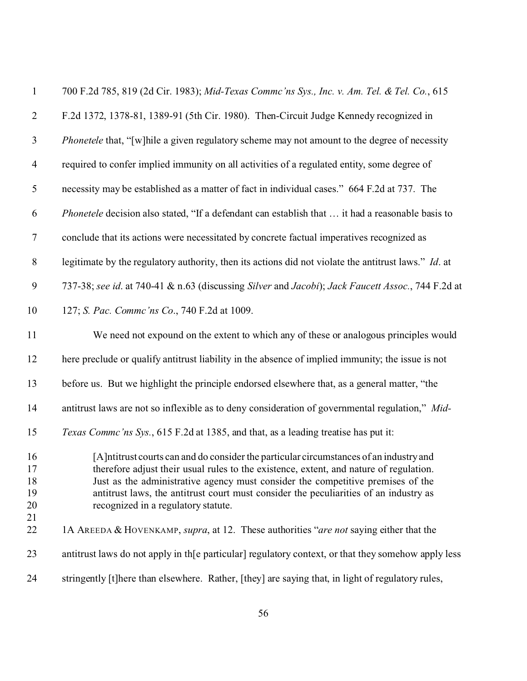| $\mathbf{1}$               | 700 F.2d 785, 819 (2d Cir. 1983); Mid-Texas Commc'ns Sys., Inc. v. Am. Tel. & Tel. Co., 615                                                                                                                                                                                                                                                                                                          |
|----------------------------|------------------------------------------------------------------------------------------------------------------------------------------------------------------------------------------------------------------------------------------------------------------------------------------------------------------------------------------------------------------------------------------------------|
| $\overline{2}$             | F.2d 1372, 1378-81, 1389-91 (5th Cir. 1980). Then-Circuit Judge Kennedy recognized in                                                                                                                                                                                                                                                                                                                |
| $\mathfrak{Z}$             | <i>Phonetele</i> that, "[w] hile a given regulatory scheme may not amount to the degree of necessity                                                                                                                                                                                                                                                                                                 |
| $\overline{4}$             | required to confer implied immunity on all activities of a regulated entity, some degree of                                                                                                                                                                                                                                                                                                          |
| 5                          | necessity may be established as a matter of fact in individual cases." 664 F.2d at 737. The                                                                                                                                                                                                                                                                                                          |
| 6                          | Phonetele decision also stated, "If a defendant can establish that  it had a reasonable basis to                                                                                                                                                                                                                                                                                                     |
| $\boldsymbol{7}$           | conclude that its actions were necessitated by concrete factual imperatives recognized as                                                                                                                                                                                                                                                                                                            |
| $8\,$                      | legitimate by the regulatory authority, then its actions did not violate the antitrust laws." Id. at                                                                                                                                                                                                                                                                                                 |
| 9                          | 737-38; see id. at 740-41 & n.63 (discussing Silver and Jacobi); Jack Faucett Assoc., 744 F.2d at                                                                                                                                                                                                                                                                                                    |
| 10                         | 127; S. Pac. Commc'ns Co., 740 F.2d at 1009.                                                                                                                                                                                                                                                                                                                                                         |
| 11                         | We need not expound on the extent to which any of these or analogous principles would                                                                                                                                                                                                                                                                                                                |
| 12                         | here preclude or qualify antitrust liability in the absence of implied immunity; the issue is not                                                                                                                                                                                                                                                                                                    |
| 13                         | before us. But we highlight the principle endorsed elsewhere that, as a general matter, "the                                                                                                                                                                                                                                                                                                         |
| 14                         | antitrust laws are not so inflexible as to deny consideration of governmental regulation," Mid-                                                                                                                                                                                                                                                                                                      |
| 15                         | Texas Commc'ns Sys., 615 F.2d at 1385, and that, as a leading treatise has put it:                                                                                                                                                                                                                                                                                                                   |
| 16<br>17<br>18<br>19<br>20 | [A] ntitrust courts can and do consider the particular circumstances of an industry and<br>therefore adjust their usual rules to the existence, extent, and nature of regulation.<br>Just as the administrative agency must consider the competitive premises of the<br>antitrust laws, the antitrust court must consider the peculiarities of an industry as<br>recognized in a regulatory statute. |
| 21<br>22                   | 1A AREEDA & HOVENKAMP, supra, at 12. These authorities "are not saying either that the                                                                                                                                                                                                                                                                                                               |
| 23                         | antitrust laws do not apply in the particular regulatory context, or that they somehow apply less                                                                                                                                                                                                                                                                                                    |
| 24                         | stringently [t]here than elsewhere. Rather, [they] are saying that, in light of regulatory rules,                                                                                                                                                                                                                                                                                                    |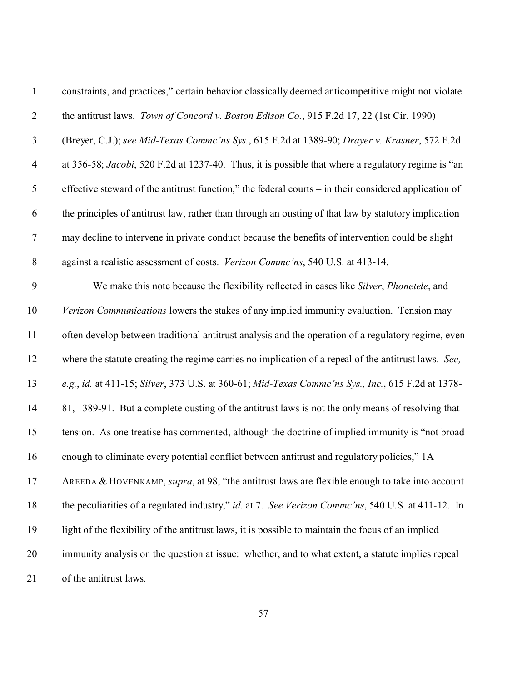| $\mathbf{1}$   | constraints, and practices," certain behavior classically deemed anticompetitive might not violate     |
|----------------|--------------------------------------------------------------------------------------------------------|
| $\overline{2}$ | the antitrust laws. Town of Concord v. Boston Edison Co., 915 F.2d 17, 22 (1st Cir. 1990)              |
| $\mathfrak{Z}$ | (Breyer, C.J.); see Mid-Texas Commc'ns Sys., 615 F.2d at 1389-90; Drayer v. Krasner, 572 F.2d          |
| $\overline{4}$ | at 356-58; Jacobi, 520 F.2d at 1237-40. Thus, it is possible that where a regulatory regime is "an     |
| $\mathfrak{S}$ | effective steward of the antitrust function," the federal courts – in their considered application of  |
| 6              | the principles of antitrust law, rather than through an ousting of that law by statutory implication – |
| $\overline{7}$ | may decline to intervene in private conduct because the benefits of intervention could be slight       |
| $8\phantom{1}$ | against a realistic assessment of costs. Verizon Commc'ns, 540 U.S. at 413-14.                         |
| 9              | We make this note because the flexibility reflected in cases like Silver, Phonetele, and               |
| 10             | Verizon Communications lowers the stakes of any implied immunity evaluation. Tension may               |
| 11             | often develop between traditional antitrust analysis and the operation of a regulatory regime, even    |
| 12             | where the statute creating the regime carries no implication of a repeal of the antitrust laws. See,   |
| 13             | e.g., id. at 411-15; Silver, 373 U.S. at 360-61; Mid-Texas Commc'ns Sys., Inc., 615 F.2d at 1378-      |
| 14             | 81, 1389-91. But a complete ousting of the antitrust laws is not the only means of resolving that      |
| 15             | tension. As one treatise has commented, although the doctrine of implied immunity is "not broad        |
| 16             | enough to eliminate every potential conflict between antitrust and regulatory policies," 1A            |
| 17             | AREEDA & HOVENKAMP, supra, at 98, "the antitrust laws are flexible enough to take into account         |
| 18             | the peculiarities of a regulated industry," id. at 7. See Verizon Commc'ns, 540 U.S. at 411-12. In     |
| 19             | light of the flexibility of the antitrust laws, it is possible to maintain the focus of an implied     |
| 20             | immunity analysis on the question at issue: whether, and to what extent, a statute implies repeal      |
| 21             | of the antitrust laws.                                                                                 |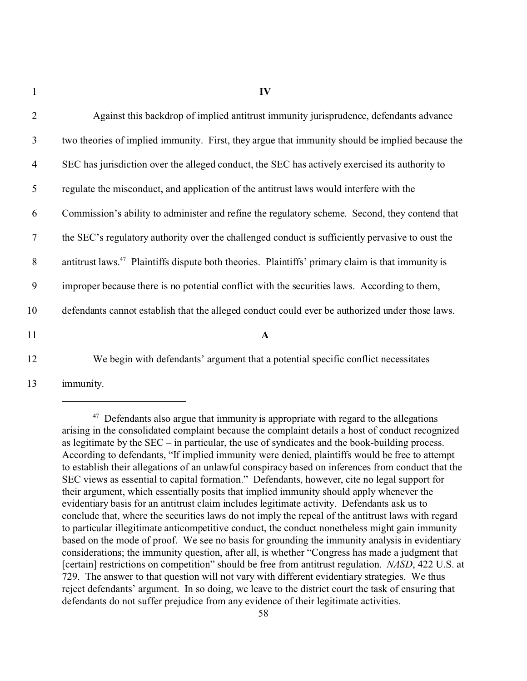| $\overline{2}$ | Against this backdrop of implied antitrust immunity jurisprudence, defendants advance                         |
|----------------|---------------------------------------------------------------------------------------------------------------|
| $\mathfrak{Z}$ | two theories of implied immunity. First, they argue that immunity should be implied because the               |
| $\overline{4}$ | SEC has jurisdiction over the alleged conduct, the SEC has actively exercised its authority to                |
| 5              | regulate the misconduct, and application of the antitrust laws would interfere with the                       |
| 6              | Commission's ability to administer and refine the regulatory scheme. Second, they contend that                |
| $\overline{7}$ | the SEC's regulatory authority over the challenged conduct is sufficiently pervasive to oust the              |
| 8              | antitrust laws. <sup>47</sup> Plaintiffs dispute both theories. Plaintiffs' primary claim is that immunity is |
| 9              | improper because there is no potential conflict with the securities laws. According to them,                  |
| 10             | defendants cannot establish that the alleged conduct could ever be authorized under those laws.               |
| 11             | $\mathbf{A}$                                                                                                  |
| 12             | We begin with defendants' argument that a potential specific conflict necessitates                            |

13 immunity.

 $47$  Defendants also argue that immunity is appropriate with regard to the allegations arising in the consolidated complaint because the complaint details a host of conduct recognized as legitimate by the SEC – in particular, the use of syndicates and the book-building process. According to defendants, "If implied immunity were denied, plaintiffs would be free to attempt to establish their allegations of an unlawful conspiracy based on inferences from conduct that the SEC views as essential to capital formation." Defendants, however, cite no legal support for their argument, which essentially posits that implied immunity should apply whenever the evidentiary basis for an antitrust claim includes legitimate activity. Defendants ask us to conclude that, where the securities laws do not imply the repeal of the antitrust laws with regard to particular illegitimate anticompetitive conduct, the conduct nonetheless might gain immunity based on the mode of proof. We see no basis for grounding the immunity analysis in evidentiary considerations; the immunity question, after all, is whether "Congress has made a judgment that [certain] restrictions on competition" should be free from antitrust regulation. *NASD*, 422 U.S. at 729. The answer to that question will not vary with different evidentiary strategies. We thus reject defendants' argument. In so doing, we leave to the district court the task of ensuring that defendants do not suffer prejudice from any evidence of their legitimate activities.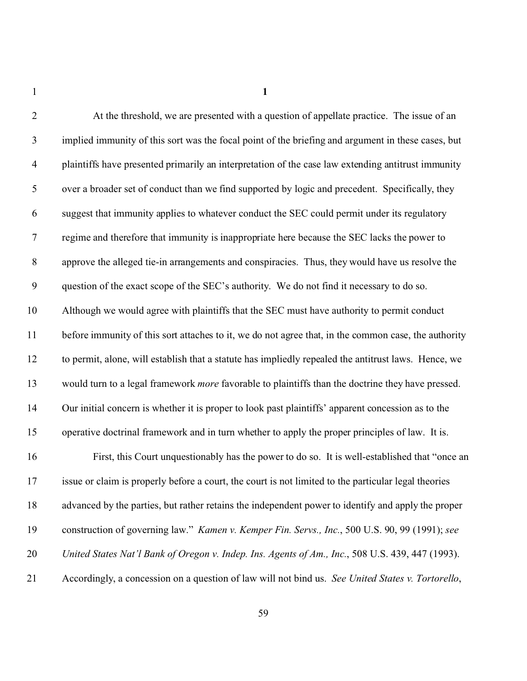| $\overline{2}$   | At the threshold, we are presented with a question of appellate practice. The issue of an                |
|------------------|----------------------------------------------------------------------------------------------------------|
| $\mathfrak{Z}$   | implied immunity of this sort was the focal point of the briefing and argument in these cases, but       |
| $\overline{4}$   | plaintiffs have presented primarily an interpretation of the case law extending antitrust immunity       |
| 5                | over a broader set of conduct than we find supported by logic and precedent. Specifically, they          |
| 6                | suggest that immunity applies to whatever conduct the SEC could permit under its regulatory              |
| $\boldsymbol{7}$ | regime and therefore that immunity is inappropriate here because the SEC lacks the power to              |
| $8\,$            | approve the alleged tie-in arrangements and conspiracies. Thus, they would have us resolve the           |
| $\boldsymbol{9}$ | question of the exact scope of the SEC's authority. We do not find it necessary to do so.                |
| 10               | Although we would agree with plaintiffs that the SEC must have authority to permit conduct               |
| 11               | before immunity of this sort attaches to it, we do not agree that, in the common case, the authority     |
| 12               | to permit, alone, will establish that a statute has impliedly repealed the antitrust laws. Hence, we     |
| 13               | would turn to a legal framework <i>more</i> favorable to plaintiffs than the doctrine they have pressed. |
| 14               | Our initial concern is whether it is proper to look past plaintiffs' apparent concession as to the       |
| 15               | operative doctrinal framework and in turn whether to apply the proper principles of law. It is.          |
| 16               | First, this Court unquestionably has the power to do so. It is well-established that "once an            |
| 17               | issue or claim is properly before a court, the court is not limited to the particular legal theories     |
| 18               | advanced by the parties, but rather retains the independent power to identify and apply the proper       |
| 19               | construction of governing law." <i>Kamen v. Kemper Fin. Servs., Inc.</i> , 500 U.S. 90, 99 (1991); see   |
| 20               | United States Nat'l Bank of Oregon v. Indep. Ins. Agents of Am., Inc., 508 U.S. 439, 447 (1993).         |
| 21               | Accordingly, a concession on a question of law will not bind us. See United States v. Tortorello,        |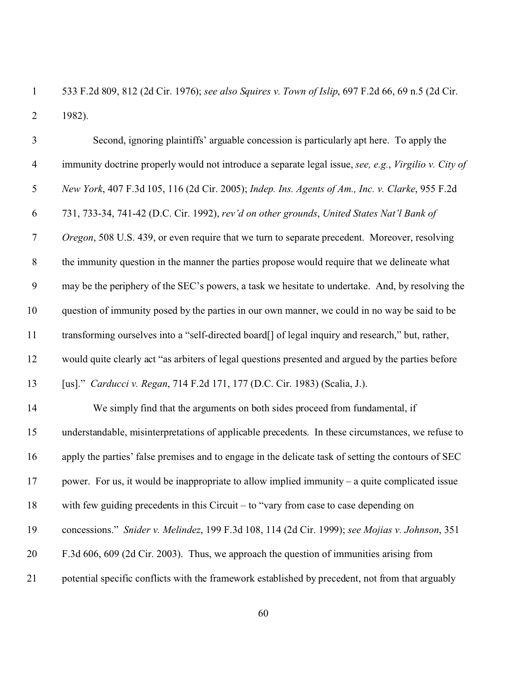533 F.2d 809, 812 (2d Cir. 1976); *see also Squires v. Town of Islip*, 697 F.2d 66, 69 n.5 (2d Cir. 1982).

| $\mathfrak{Z}$ | Second, ignoring plaintiffs' arguable concession is particularly apt here. To apply the               |
|----------------|-------------------------------------------------------------------------------------------------------|
| $\overline{4}$ | immunity doctrine properly would not introduce a separate legal issue, see, e.g., Virgilio v. City of |
| $\mathfrak{S}$ | New York, 407 F.3d 105, 116 (2d Cir. 2005); Indep. Ins. Agents of Am., Inc. v. Clarke, 955 F.2d       |
| 6              | 731, 733-34, 741-42 (D.C. Cir. 1992), rev'd on other grounds, United States Nat'l Bank of             |
| $\tau$         | Oregon, 508 U.S. 439, or even require that we turn to separate precedent. Moreover, resolving         |
| $8\,$          | the immunity question in the manner the parties propose would require that we delineate what          |
| 9              | may be the periphery of the SEC's powers, a task we hesitate to undertake. And, by resolving the      |
| 10             | question of immunity posed by the parties in our own manner, we could in no way be said to be         |
| 11             | transforming ourselves into a "self-directed board[] of legal inquiry and research," but, rather,     |
| 12             | would quite clearly act "as arbiters of legal questions presented and argued by the parties before    |
| 13             | [us]." Carducci v. Regan, 714 F.2d 171, 177 (D.C. Cir. 1983) (Scalia, J.).                            |
| 14             | We simply find that the arguments on both sides proceed from fundamental, if                          |
| 15             | understandable, misinterpretations of applicable precedents. In these circumstances, we refuse to     |
| 16             | apply the parties' false premises and to engage in the delicate task of setting the contours of SEC   |
| 17             | power. For us, it would be inappropriate to allow implied immunity $-$ a quite complicated issue      |
| 18             | with few guiding precedents in this Circuit $-$ to "vary from case to case depending on               |
| 19             | concessions." Snider v. Melindez, 199 F.3d 108, 114 (2d Cir. 1999); see Mojias v. Johnson, 351        |
| 20             | F.3d 606, 609 (2d Cir. 2003). Thus, we approach the question of immunities arising from               |
| 21             | potential specific conflicts with the framework established by precedent, not from that arguably      |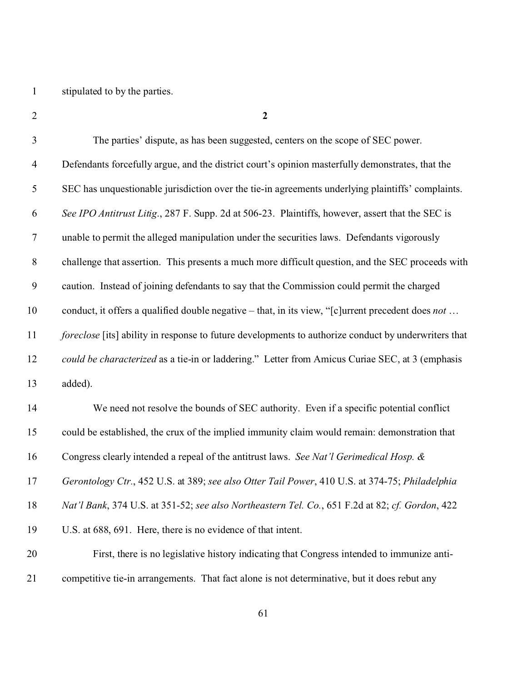stipulated to by the parties.

| $\mathfrak{Z}$ | The parties' dispute, as has been suggested, centers on the scope of SEC power.                          |
|----------------|----------------------------------------------------------------------------------------------------------|
| $\overline{4}$ | Defendants forcefully argue, and the district court's opinion masterfully demonstrates, that the         |
| 5              | SEC has unquestionable jurisdiction over the tie-in agreements underlying plaintiffs' complaints.        |
| 6              | See IPO Antitrust Litig., 287 F. Supp. 2d at 506-23. Plaintiffs, however, assert that the SEC is         |
| $\overline{7}$ | unable to permit the alleged manipulation under the securities laws. Defendants vigorously               |
| $8\phantom{1}$ | challenge that assertion. This presents a much more difficult question, and the SEC proceeds with        |
| 9              | caution. Instead of joining defendants to say that the Commission could permit the charged               |
| 10             | conduct, it offers a qualified double negative – that, in its view, "[c]urrent precedent does <i>not</i> |
| 11             | foreclose [its] ability in response to future developments to authorize conduct by underwriters that     |
| 12             | could be characterized as a tie-in or laddering." Letter from Amicus Curiae SEC, at 3 (emphasis          |
| 13             | added).                                                                                                  |
| 14             | We need not resolve the bounds of SEC authority. Even if a specific potential conflict                   |
| 15             | could be established, the crux of the implied immunity claim would remain: demonstration that            |
| 16             | Congress clearly intended a repeal of the antitrust laws. See Nat'l Gerimedical Hosp. &                  |
| 17             | Gerontology Ctr., 452 U.S. at 389; see also Otter Tail Power, 410 U.S. at 374-75; Philadelphia           |
| 18             | Nat'l Bank, 374 U.S. at 351-52; see also Northeastern Tel. Co., 651 F.2d at 82; cf. Gordon, 422          |
| 19             | U.S. at 688, 691. Here, there is no evidence of that intent.                                             |
| 20             | First, there is no legislative history indicating that Congress intended to immunize anti-               |
| 21             | competitive tie-in arrangements. That fact alone is not determinative, but it does rebut any             |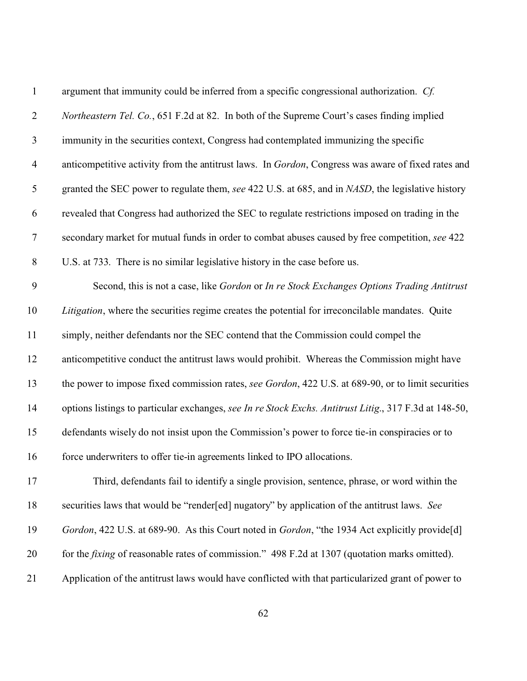| $\mathbf{1}$   | argument that immunity could be inferred from a specific congressional authorization. Cf.              |
|----------------|--------------------------------------------------------------------------------------------------------|
| $\overline{2}$ | Northeastern Tel. Co., 651 F.2d at 82. In both of the Supreme Court's cases finding implied            |
| 3              | immunity in the securities context, Congress had contemplated immunizing the specific                  |
| $\overline{4}$ | anticompetitive activity from the antitrust laws. In Gordon, Congress was aware of fixed rates and     |
| 5              | granted the SEC power to regulate them, see 422 U.S. at 685, and in NASD, the legislative history      |
| 6              | revealed that Congress had authorized the SEC to regulate restrictions imposed on trading in the       |
| $\overline{7}$ | secondary market for mutual funds in order to combat abuses caused by free competition, see 422        |
| $8\,$          | U.S. at 733. There is no similar legislative history in the case before us.                            |
| 9              | Second, this is not a case, like Gordon or In re Stock Exchanges Options Trading Antitrust             |
| 10             | Litigation, where the securities regime creates the potential for irreconcilable mandates. Quite       |
| 11             | simply, neither defendants nor the SEC contend that the Commission could compel the                    |
| 12             | anticompetitive conduct the antitrust laws would prohibit. Whereas the Commission might have           |
| 13             | the power to impose fixed commission rates, see Gordon, 422 U.S. at 689-90, or to limit securities     |
| 14             | options listings to particular exchanges, see In re Stock Exchs. Antitrust Litig., 317 F.3d at 148-50, |
| 15             | defendants wisely do not insist upon the Commission's power to force tie-in conspiracies or to         |
| 16             | force underwriters to offer tie-in agreements linked to IPO allocations.                               |
| 17             | Third, defendants fail to identify a single provision, sentence, phrase, or word within the            |
| 18             | securities laws that would be "render[ed] nugatory" by application of the antitrust laws. See          |
| 19             | Gordon, 422 U.S. at 689-90. As this Court noted in Gordon, "the 1934 Act explicitly provide[d]         |
| 20             | for the <i>fixing</i> of reasonable rates of commission." 498 F.2d at 1307 (quotation marks omitted).  |
| 21             | Application of the antitrust laws would have conflicted with that particularized grant of power to     |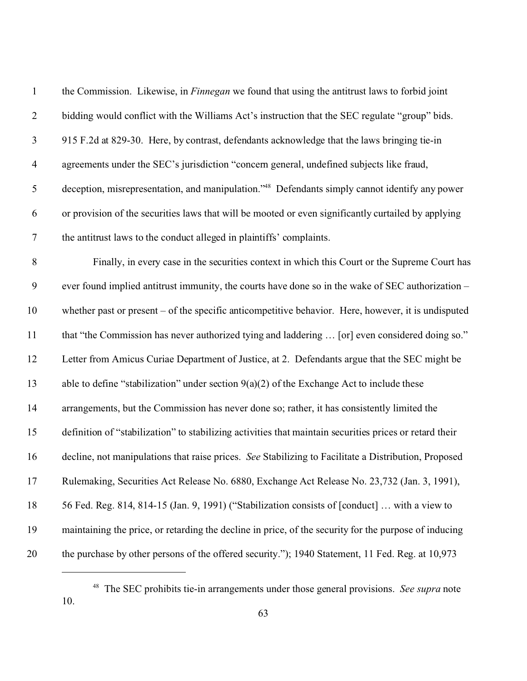| $\mathbf{1}$     | the Commission. Likewise, in <i>Finnegan</i> we found that using the antitrust laws to forbid joint        |
|------------------|------------------------------------------------------------------------------------------------------------|
| $\mathbf{2}$     | bidding would conflict with the Williams Act's instruction that the SEC regulate "group" bids.             |
| $\mathfrak{Z}$   | 915 F.2d at 829-30. Here, by contrast, defendants acknowledge that the laws bringing tie-in                |
| $\overline{4}$   | agreements under the SEC's jurisdiction "concern general, undefined subjects like fraud,                   |
| $\mathfrak{S}$   | deception, misrepresentation, and manipulation." <sup>48</sup> Defendants simply cannot identify any power |
| 6                | or provision of the securities laws that will be mooted or even significantly curtailed by applying        |
| $\tau$           | the antitrust laws to the conduct alleged in plaintiffs' complaints.                                       |
| $8\,$            | Finally, in every case in the securities context in which this Court or the Supreme Court has              |
| $\boldsymbol{9}$ | ever found implied antitrust immunity, the courts have done so in the wake of SEC authorization –          |
| 10               | whether past or present $-$ of the specific anticompetitive behavior. Here, however, it is undisputed      |
| 11               | that "the Commission has never authorized tying and laddering  [or] even considered doing so."             |
| 12               | Letter from Amicus Curiae Department of Justice, at 2. Defendants argue that the SEC might be              |
| 13               | able to define "stabilization" under section $9(a)(2)$ of the Exchange Act to include these                |
| 14               | arrangements, but the Commission has never done so; rather, it has consistently limited the                |
| 15               | definition of "stabilization" to stabilizing activities that maintain securities prices or retard their    |
| 16               | decline, not manipulations that raise prices. See Stabilizing to Facilitate a Distribution, Proposed       |
| 17               | Rulemaking, Securities Act Release No. 6880, Exchange Act Release No. 23,732 (Jan. 3, 1991),               |
| 18               | 56 Fed. Reg. 814, 814-15 (Jan. 9, 1991) ("Stabilization consists of [conduct]  with a view to              |
| 19               | maintaining the price, or retarding the decline in price, of the security for the purpose of inducing      |
| 20               | the purchase by other persons of the offered security."); 1940 Statement, 11 Fed. Reg. at 10,973           |
|                  |                                                                                                            |

 The SEC prohibits tie-in arrangements under those general provisions. *See supra* note 10.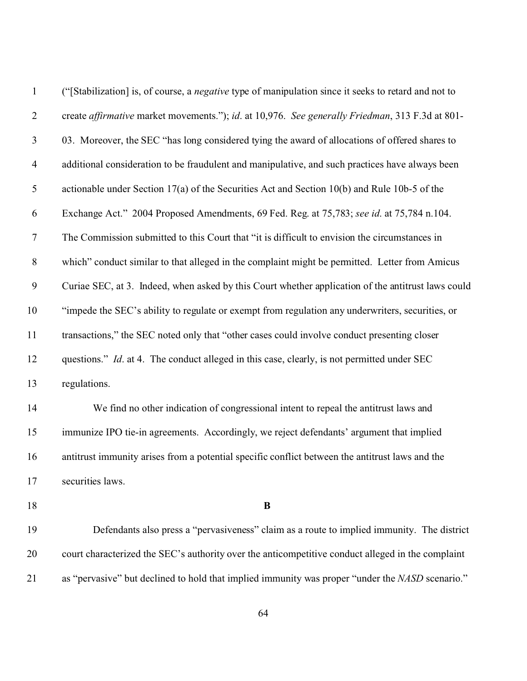| $\mathbf{1}$     | ("Stabilization] is, of course, a <i>negative</i> type of manipulation since it seeks to retard and not to |
|------------------|------------------------------------------------------------------------------------------------------------|
| $\overline{2}$   | create affirmative market movements."); id. at 10,976. See generally Friedman, 313 F.3d at 801-            |
| $\mathfrak{Z}$   | 03. Moreover, the SEC "has long considered tying the award of allocations of offered shares to             |
| $\overline{4}$   | additional consideration to be fraudulent and manipulative, and such practices have always been            |
| 5                | actionable under Section 17(a) of the Securities Act and Section 10(b) and Rule 10b-5 of the               |
| 6                | Exchange Act." 2004 Proposed Amendments, 69 Fed. Reg. at 75,783; see id. at 75,784 n.104.                  |
| $\boldsymbol{7}$ | The Commission submitted to this Court that "it is difficult to envision the circumstances in              |
| $8\,$            | which" conduct similar to that alleged in the complaint might be permitted. Letter from Amicus             |
| $\boldsymbol{9}$ | Curiae SEC, at 3. Indeed, when asked by this Court whether application of the antitrust laws could         |
| 10               | "impede the SEC's ability to regulate or exempt from regulation any underwriters, securities, or           |
| 11               | transactions," the SEC noted only that "other cases could involve conduct presenting closer                |
| 12               | questions." <i>Id.</i> at 4. The conduct alleged in this case, clearly, is not permitted under SEC         |
| 13               | regulations.                                                                                               |
| 14               | We find no other indication of congressional intent to repeal the antitrust laws and                       |
| 15               | immunize IPO tie-in agreements. Accordingly, we reject defendants' argument that implied                   |
| 16               | antitrust immunity arises from a potential specific conflict between the antitrust laws and the            |
| 17               | securities laws.                                                                                           |
| 18               | B                                                                                                          |
| 19               | Defendants also press a "pervasiveness" claim as a route to implied immunity. The district                 |
| 20               | court characterized the SEC's authority over the anticompetitive conduct alleged in the complaint          |
| 21               | as "pervasive" but declined to hold that implied immunity was proper "under the NASD scenario."            |
|                  |                                                                                                            |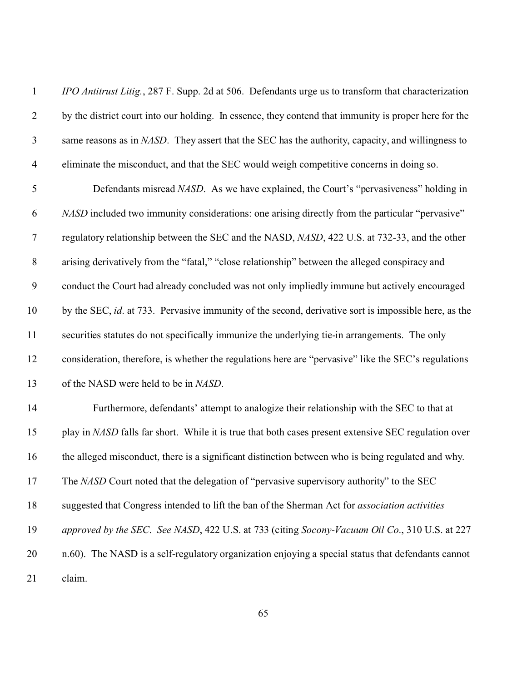| $\mathbf{1}$   | <i>IPO Antitrust Litig.</i> , 287 F. Supp. 2d at 506. Defendants urge us to transform that characterization |
|----------------|-------------------------------------------------------------------------------------------------------------|
| $\overline{2}$ | by the district court into our holding. In essence, they contend that immunity is proper here for the       |
| $\mathfrak{Z}$ | same reasons as in NASD. They assert that the SEC has the authority, capacity, and willingness to           |
| $\overline{4}$ | eliminate the misconduct, and that the SEC would weigh competitive concerns in doing so.                    |
| $\mathfrak s$  | Defendants misread NASD. As we have explained, the Court's "pervasiveness" holding in                       |
| 6              | <i>NASD</i> included two immunity considerations: one arising directly from the particular "pervasive"      |
| $\overline{7}$ | regulatory relationship between the SEC and the NASD, NASD, 422 U.S. at 732-33, and the other               |
| $8\,$          | arising derivatively from the "fatal," "close relationship" between the alleged conspiracy and              |
| 9              | conduct the Court had already concluded was not only impliedly immune but actively encouraged               |
| 10             | by the SEC, id. at 733. Pervasive immunity of the second, derivative sort is impossible here, as the        |
| 11             | securities statutes do not specifically immunize the underlying tie-in arrangements. The only               |
| 12             | consideration, therefore, is whether the regulations here are "pervasive" like the SEC's regulations        |
| 13             | of the NASD were held to be in NASD.                                                                        |
| 14             | Furthermore, defendants' attempt to analogize their relationship with the SEC to that at                    |
| 15             | play in NASD falls far short. While it is true that both cases present extensive SEC regulation over        |
| 16             | the alleged misconduct, there is a significant distinction between who is being regulated and why.          |
| 17             | The NASD Court noted that the delegation of "pervasive supervisory authority" to the SEC                    |
| 18             | suggested that Congress intended to lift the ban of the Sherman Act for <i>association activities</i>       |
| 19             | approved by the SEC. See NASD, 422 U.S. at 733 (citing Socony-Vacuum Oil Co., 310 U.S. at 227               |
| 20             | n.60). The NASD is a self-regulatory organization enjoying a special status that defendants cannot          |
| 21             | claim.                                                                                                      |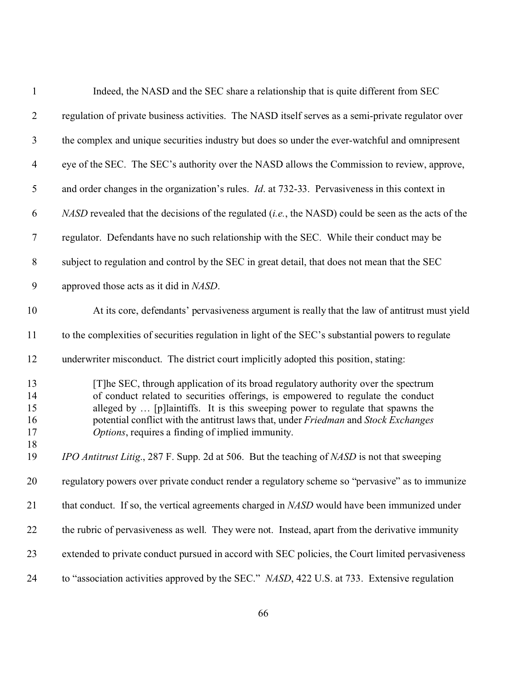| $\mathbf{1}$                     | Indeed, the NASD and the SEC share a relationship that is quite different from SEC                                                                                                                                                                                                                                                                                                                    |
|----------------------------------|-------------------------------------------------------------------------------------------------------------------------------------------------------------------------------------------------------------------------------------------------------------------------------------------------------------------------------------------------------------------------------------------------------|
| $\overline{2}$                   | regulation of private business activities. The NASD itself serves as a semi-private regulator over                                                                                                                                                                                                                                                                                                    |
| $\mathfrak{Z}$                   | the complex and unique securities industry but does so under the ever-watchful and omnipresent                                                                                                                                                                                                                                                                                                        |
| $\overline{4}$                   | eye of the SEC. The SEC's authority over the NASD allows the Commission to review, approve,                                                                                                                                                                                                                                                                                                           |
| 5                                | and order changes in the organization's rules. <i>Id.</i> at 732-33. Pervasiveness in this context in                                                                                                                                                                                                                                                                                                 |
| 6                                | NASD revealed that the decisions of the regulated (i.e., the NASD) could be seen as the acts of the                                                                                                                                                                                                                                                                                                   |
| $\tau$                           | regulator. Defendants have no such relationship with the SEC. While their conduct may be                                                                                                                                                                                                                                                                                                              |
| $8\,$                            | subject to regulation and control by the SEC in great detail, that does not mean that the SEC                                                                                                                                                                                                                                                                                                         |
| 9                                | approved those acts as it did in NASD.                                                                                                                                                                                                                                                                                                                                                                |
| 10                               | At its core, defendants' pervasiveness argument is really that the law of antitrust must yield                                                                                                                                                                                                                                                                                                        |
| 11                               | to the complexities of securities regulation in light of the SEC's substantial powers to regulate                                                                                                                                                                                                                                                                                                     |
| 12                               | underwriter misconduct. The district court implicitly adopted this position, stating:                                                                                                                                                                                                                                                                                                                 |
| 13<br>14<br>15<br>16<br>17<br>18 | [T] he SEC, through application of its broad regulatory authority over the spectrum<br>of conduct related to securities offerings, is empowered to regulate the conduct<br>alleged by  [p]laintiffs. It is this sweeping power to regulate that spawns the<br>potential conflict with the antitrust laws that, under Friedman and Stock Exchanges<br>Options, requires a finding of implied immunity. |
| 19                               | IPO Antitrust Litig., 287 F. Supp. 2d at 506. But the teaching of NASD is not that sweeping                                                                                                                                                                                                                                                                                                           |
| 20                               | regulatory powers over private conduct render a regulatory scheme so "pervasive" as to immunize                                                                                                                                                                                                                                                                                                       |
| 21                               | that conduct. If so, the vertical agreements charged in NASD would have been immunized under                                                                                                                                                                                                                                                                                                          |
| 22                               | the rubric of pervasiveness as well. They were not. Instead, apart from the derivative immunity                                                                                                                                                                                                                                                                                                       |
| 23                               | extended to private conduct pursued in accord with SEC policies, the Court limited pervasiveness                                                                                                                                                                                                                                                                                                      |
| 24                               | to "association activities approved by the SEC." NASD, 422 U.S. at 733. Extensive regulation                                                                                                                                                                                                                                                                                                          |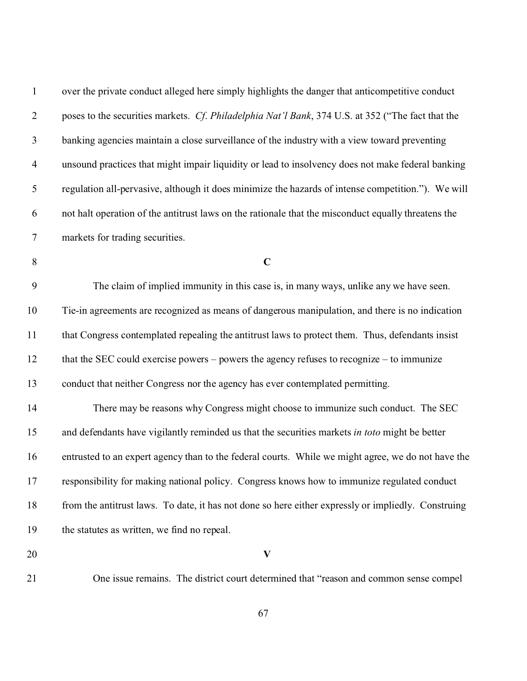| $\mathbf{1}$   | over the private conduct alleged here simply highlights the danger that anticompetitive conduct     |
|----------------|-----------------------------------------------------------------------------------------------------|
| $\overline{2}$ | poses to the securities markets. Cf. Philadelphia Nat'l Bank, 374 U.S. at 352 ("The fact that the   |
| 3              | banking agencies maintain a close surveillance of the industry with a view toward preventing        |
| $\overline{4}$ | unsound practices that might impair liquidity or lead to insolvency does not make federal banking   |
| 5              | regulation all-pervasive, although it does minimize the hazards of intense competition."). We will  |
| 6              | not halt operation of the antitrust laws on the rationale that the misconduct equally threatens the |
| $\tau$         | markets for trading securities.                                                                     |
| $8\,$          | $\mathbf C$                                                                                         |
| 9              | The claim of implied immunity in this case is, in many ways, unlike any we have seen.               |
| 10             | Tie-in agreements are recognized as means of dangerous manipulation, and there is no indication     |
| 11             | that Congress contemplated repealing the antitrust laws to protect them. Thus, defendants insist    |
| 12             | that the SEC could exercise powers - powers the agency refuses to recognize - to immunize           |
| 13             | conduct that neither Congress nor the agency has ever contemplated permitting.                      |
| 14             | There may be reasons why Congress might choose to immunize such conduct. The SEC                    |
| 15             | and defendants have vigilantly reminded us that the securities markets in toto might be better      |
| 16             | entrusted to an expert agency than to the federal courts. While we might agree, we do not have the  |
| 17             | responsibility for making national policy. Congress knows how to immunize regulated conduct         |
| 18             | from the antitrust laws. To date, it has not done so here either expressly or impliedly. Construing |
| 19             | the statutes as written, we find no repeal.                                                         |
| 20             | $\boldsymbol{\mathrm{V}}$                                                                           |
|                |                                                                                                     |

One issue remains. The district court determined that "reason and common sense compel